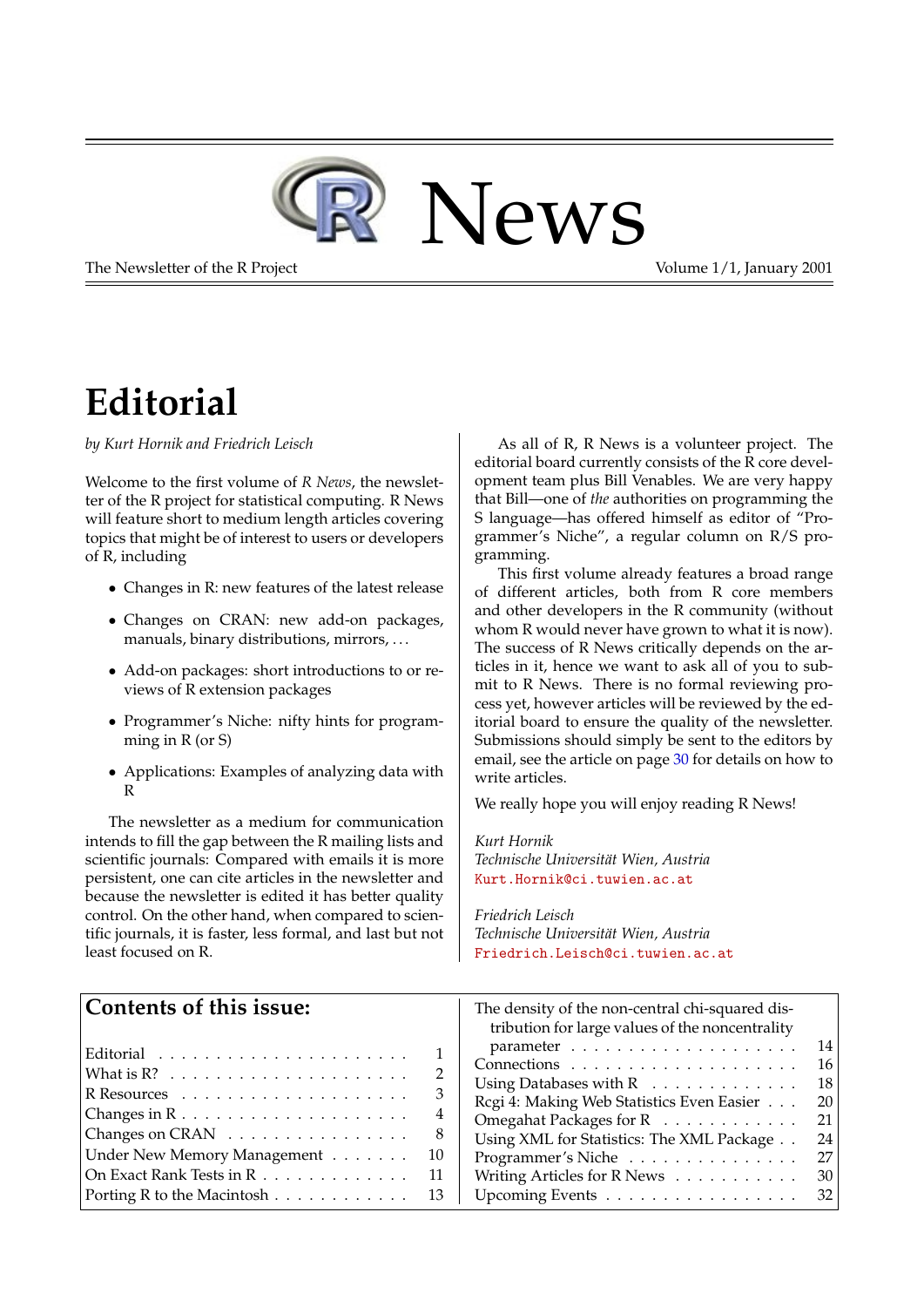

The Newsletter of the R Project The Newsletter of the R Project Volume 1/1, January 2001

## **Editorial**

*by Kurt Hornik and Friedrich Leisch*

Welcome to the first volume of *R News*, the newsletter of the R project for statistical computing. R News will feature short to medium length articles covering topics that might be of interest to users or developers of R, including

- Changes in R: new features of the latest release
- Changes on CRAN: new add-on packages, manuals, binary distributions, mirrors, . . .
- Add-on packages: short introductions to or reviews of R extension packages
- Programmer's Niche: nifty hints for programming in R (or S)
- Applications: Examples of analyzing data with R

The newsletter as a medium for communication intends to fill the gap between the R mailing lists and scientific journals: Compared with emails it is more persistent, one can cite articles in the newsletter and because the newsletter is edited it has better quality control. On the other hand, when compared to scientific journals, it is faster, less formal, and last but not least focused on R.

As all of R, R News is a volunteer project. The editorial board currently consists of the R core development team plus Bill Venables. We are very happy that Bill—one of *the* authorities on programming the S language—has offered himself as editor of "Programmer's Niche", a regular column on R/S programming.

This first volume already features a broad range of different articles, both from R core members and other developers in the R community (without whom R would never have grown to what it is now). The success of R News critically depends on the articles in it, hence we want to ask all of you to submit to R News. There is no formal reviewing process yet, however articles will be reviewed by the editorial board to ensure the quality of the newsletter. Submissions should simply be sent to the editors by email, see the article on page [30](#page-28-0) for details on how to write articles.

We really hope you will enjoy reading R News!

*Kurt Hornik Technische Universität Wien, Austria* [Kurt.Hornik@ci.tuwien.ac.at](mailto:Kurt.Hornik@ci.tuwien.ac.at)

*Friedrich Leisch Technische Universität Wien, Austria* [Friedrich.Leisch@ci.tuwien.ac.at](mailto:Friedrich.Leisch@ci.tuwien.ac.at)

| Contents of this issue:<br>The density of the non-central chi-squared dis-<br>tribution for large values of the noncentrality |    |
|-------------------------------------------------------------------------------------------------------------------------------|----|
|                                                                                                                               | 14 |
|                                                                                                                               | 16 |
|                                                                                                                               | 18 |
| Regi 4: Making Web Statistics Even Easier                                                                                     | 20 |
| 4<br>Omegahat Packages for R                                                                                                  | 21 |
| Changes on CRAN<br>8<br>Using XML for Statistics: The XML Package                                                             | 24 |
| Under New Memory Management<br>-10<br>Programmer's Niche                                                                      | 27 |
| On Exact Rank Tests in R<br>Writing Articles for R News $\dots \dots \dots$<br>- 11                                           | 30 |
| Porting R to the Macintosh $\ldots \ldots \ldots \ldots$ 13<br>Upcoming Events                                                | 32 |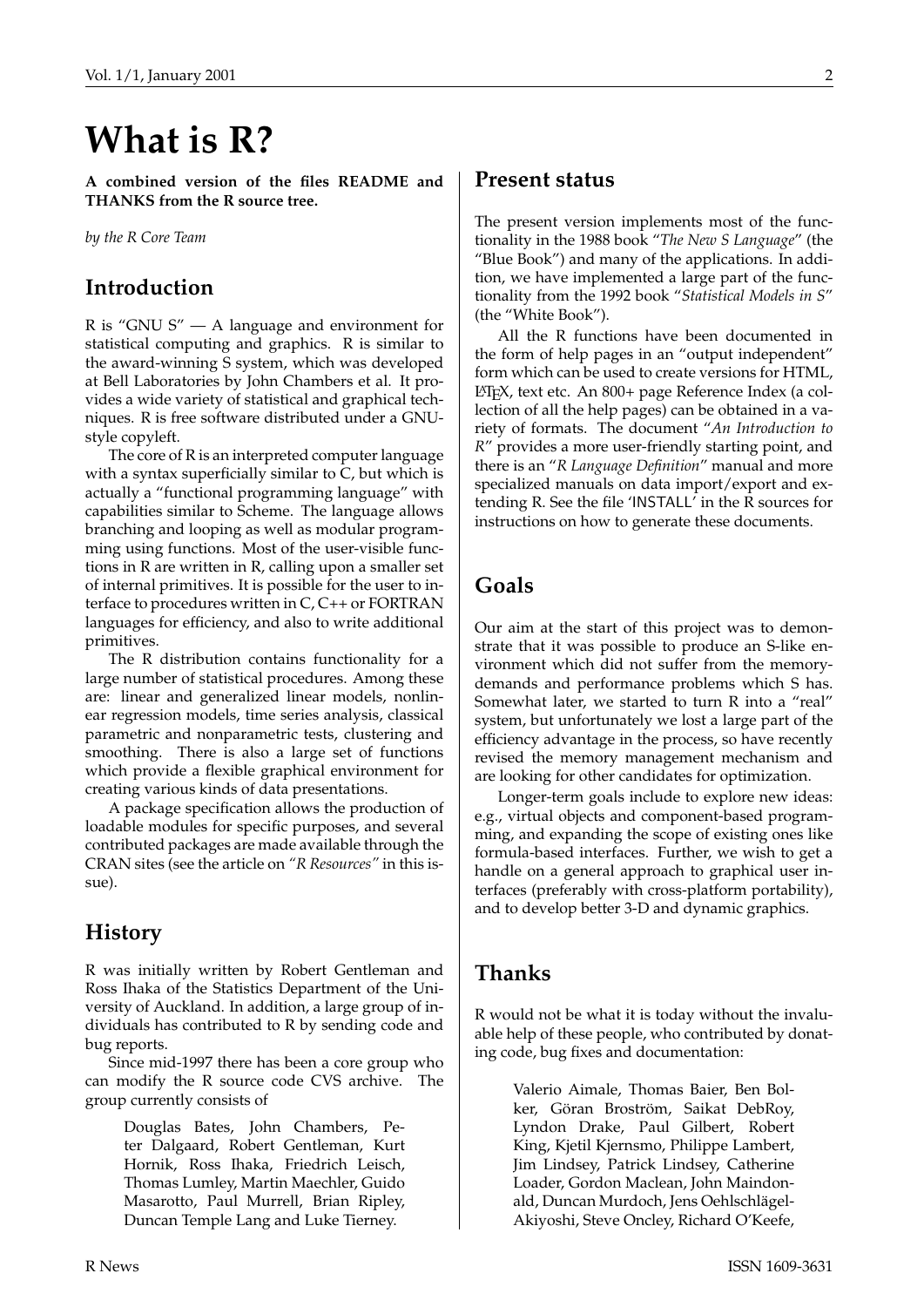## **What is R?**

**A combined version of the files README and THANKS from the R source tree.**

*by the R Core Team*

## **Introduction**

R is "GNU S" — A language and environment for statistical computing and graphics. R is similar to the award-winning S system, which was developed at Bell Laboratories by John Chambers et al. It provides a wide variety of statistical and graphical techniques. R is free software distributed under a GNUstyle copyleft.

The core of R is an interpreted computer language with a syntax superficially similar to C, but which is actually a "functional programming language" with capabilities similar to Scheme. The language allows branching and looping as well as modular programming using functions. Most of the user-visible functions in R are written in R, calling upon a smaller set of internal primitives. It is possible for the user to interface to procedures written in C, C++ or FORTRAN languages for efficiency, and also to write additional primitives.

The R distribution contains functionality for a large number of statistical procedures. Among these are: linear and generalized linear models, nonlinear regression models, time series analysis, classical parametric and nonparametric tests, clustering and smoothing. There is also a large set of functions which provide a flexible graphical environment for creating various kinds of data presentations.

A package specification allows the production of loadable modules for specific purposes, and several contributed packages are made available through the CRAN sites (see the article on *"R Resources"* in this issue).

## **History**

R was initially written by Robert Gentleman and Ross Ihaka of the Statistics Department of the University of Auckland. In addition, a large group of individuals has contributed to R by sending code and bug reports.

Since mid-1997 there has been a core group who can modify the R source code CVS archive. The group currently consists of

> Douglas Bates, John Chambers, Peter Dalgaard, Robert Gentleman, Kurt Hornik, Ross Ihaka, Friedrich Leisch, Thomas Lumley, Martin Maechler, Guido Masarotto, Paul Murrell, Brian Ripley, Duncan Temple Lang and Luke Tierney.

### **Present status**

The present version implements most of the functionality in the 1988 book "*The New S Language*" (the "Blue Book") and many of the applications. In addition, we have implemented a large part of the functionality from the 1992 book "*Statistical Models in S*" (the "White Book").

All the R functions have been documented in the form of help pages in an "output independent" form which can be used to create versions for HTML, LATEX, text etc. An 800+ page Reference Index (a collection of all the help pages) can be obtained in a variety of formats. The document "*An Introduction to R*" provides a more user-friendly starting point, and there is an "*R Language Definition*" manual and more specialized manuals on data import/export and extending R. See the file 'INSTALL' in the R sources for instructions on how to generate these documents.

## **Goals**

Our aim at the start of this project was to demonstrate that it was possible to produce an S-like environment which did not suffer from the memorydemands and performance problems which S has. Somewhat later, we started to turn R into a "real" system, but unfortunately we lost a large part of the efficiency advantage in the process, so have recently revised the memory management mechanism and are looking for other candidates for optimization.

Longer-term goals include to explore new ideas: e.g., virtual objects and component-based programming, and expanding the scope of existing ones like formula-based interfaces. Further, we wish to get a handle on a general approach to graphical user interfaces (preferably with cross-platform portability), and to develop better 3-D and dynamic graphics.

## **Thanks**

R would not be what it is today without the invaluable help of these people, who contributed by donating code, bug fixes and documentation:

> Valerio Aimale, Thomas Baier, Ben Bolker, Göran Broström, Saikat DebRoy, Lyndon Drake, Paul Gilbert, Robert King, Kjetil Kjernsmo, Philippe Lambert, Jim Lindsey, Patrick Lindsey, Catherine Loader, Gordon Maclean, John Maindonald, Duncan Murdoch, Jens Oehlschlägel-Akiyoshi, Steve Oncley, Richard O'Keefe,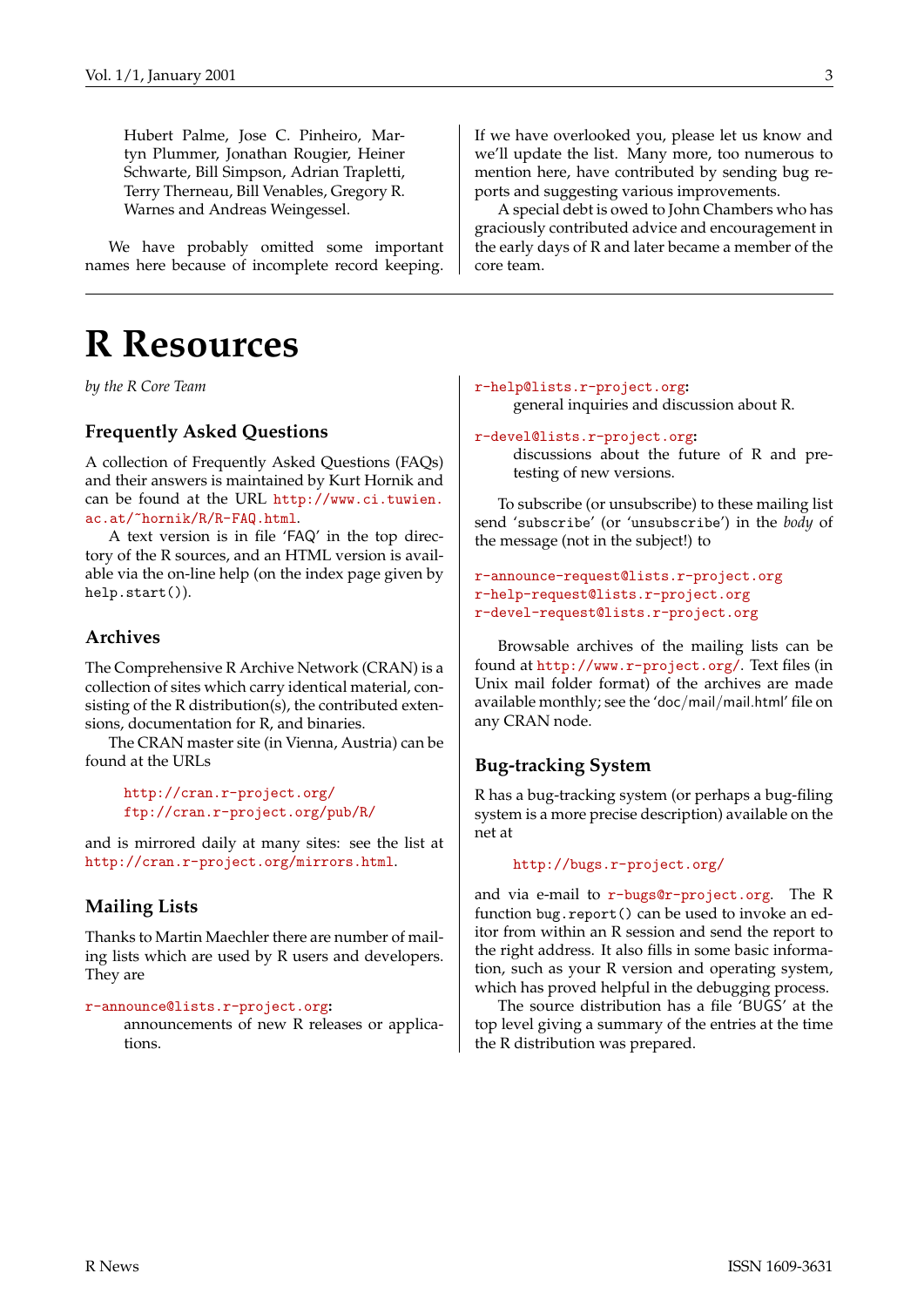Hubert Palme, Jose C. Pinheiro, Martyn Plummer, Jonathan Rougier, Heiner Schwarte, Bill Simpson, Adrian Trapletti, Terry Therneau, Bill Venables, Gregory R. Warnes and Andreas Weingessel.

We have probably omitted some important names here because of incomplete record keeping.

## **R Resources**

*by the R Core Team*

#### **Frequently Asked Questions**

A collection of Frequently Asked Questions (FAQs) and their answers is maintained by Kurt Hornik and can be found at the URL [http://www.ci.tuwien.](http://www.ci.tuwien.ac.at/~hornik/R/R-FAQ.html) [ac.at/~hornik/R/R-FAQ.html](http://www.ci.tuwien.ac.at/~hornik/R/R-FAQ.html).

A text version is in file 'FAQ' in the top directory of the R sources, and an HTML version is available via the on-line help (on the index page given by help.start()).

#### **Archives**

The Comprehensive R Archive Network (CRAN) is a collection of sites which carry identical material, consisting of the R distribution(s), the contributed extensions, documentation for R, and binaries.

The CRAN master site (in Vienna, Austria) can be found at the URLs

```
http://cran.r-project.org/
ftp://cran.r-project.org/pub/R/
```
and is mirrored daily at many sites: see the list at <http://cran.r-project.org/mirrors.html>.

#### **Mailing Lists**

Thanks to Martin Maechler there are number of mailing lists which are used by R users and developers. They are

```
r-announce@lists.r-project.org:
```
announcements of new R releases or applications.

If we have overlooked you, please let us know and we'll update the list. Many more, too numerous to mention here, have contributed by sending bug reports and suggesting various improvements.

A special debt is owed to John Chambers who has graciously contributed advice and encouragement in the early days of R and later became a member of the core team.

```
r-help@lists.r-project.org:
```
general inquiries and discussion about R.

#### [r-devel@lists.r-project.org](mailto:r-devel@lists.r-project.org)**:**

discussions about the future of R and pretesting of new versions.

To subscribe (or unsubscribe) to these mailing list send 'subscribe' (or 'unsubscribe') in the *body* of the message (not in the subject!) to

```
r-announce-request@lists.r-project.org
r-help-request@lists.r-project.org
r-devel-request@lists.r-project.org
```
Browsable archives of the mailing lists can be found at <http://www.r-project.org/>. Text files (in Unix mail folder format) of the archives are made available monthly; see the 'doc/mail/mail.html' file on any CRAN node.

#### **Bug-tracking System**

R has a bug-tracking system (or perhaps a bug-filing system is a more precise description) available on the net at

#### <http://bugs.r-project.org/>

and via e-mail to [r-bugs@r-project.org](mailto:r-bugs@r-project.org). The R function bug.report() can be used to invoke an editor from within an R session and send the report to the right address. It also fills in some basic information, such as your R version and operating system, which has proved helpful in the debugging process.

The source distribution has a file 'BUGS' at the top level giving a summary of the entries at the time the R distribution was prepared.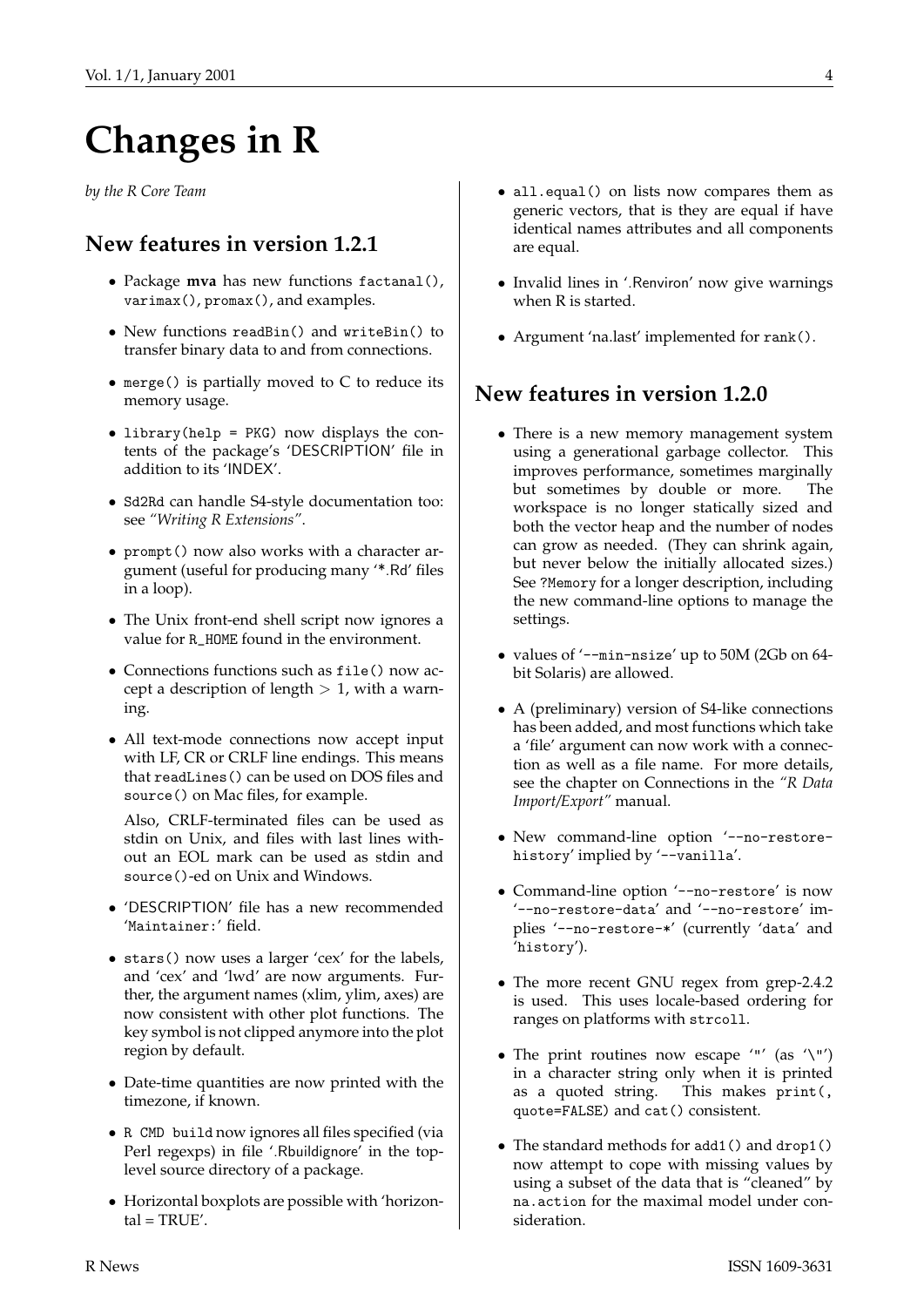# **Changes in R**

*by the R Core Team*

## **New features in version 1.2.1**

- Package **mva** has new functions factanal(), varimax(), promax(), and examples.
- New functions readBin() and writeBin() to transfer binary data to and from connections.
- merge() is partially moved to C to reduce its memory usage.
- library(help = PKG) now displays the contents of the package's 'DESCRIPTION' file in addition to its 'INDEX'.
- Sd2Rd can handle S4-style documentation too: see *"Writing R Extensions"*.
- prompt() now also works with a character argument (useful for producing many '\*.Rd' files in a loop).
- The Unix front-end shell script now ignores a value for R\_HOME found in the environment.
- Connections functions such as file() now accept a description of length  $> 1$ , with a warning.
- All text-mode connections now accept input with LF, CR or CRLF line endings. This means that readLines() can be used on DOS files and source() on Mac files, for example.

Also, CRLF-terminated files can be used as stdin on Unix, and files with last lines without an EOL mark can be used as stdin and source()-ed on Unix and Windows.

- 'DESCRIPTION' file has a new recommended 'Maintainer:' field.
- stars() now uses a larger 'cex' for the labels, and 'cex' and 'lwd' are now arguments. Further, the argument names (xlim, ylim, axes) are now consistent with other plot functions. The key symbol is not clipped anymore into the plot region by default.
- Date-time quantities are now printed with the timezone, if known.
- R CMD build now ignores all files specified (via Perl regexps) in file '.Rbuildignore' in the toplevel source directory of a package.
- Horizontal boxplots are possible with 'horizon $tal = TRUE'.$
- all.equal() on lists now compares them as generic vectors, that is they are equal if have identical names attributes and all components are equal.
- Invalid lines in '.Renviron' now give warnings when R is started.
- Argument 'na.last' implemented for rank().

## **New features in version 1.2.0**

- There is a new memory management system using a generational garbage collector. This improves performance, sometimes marginally but sometimes by double or more. The workspace is no longer statically sized and both the vector heap and the number of nodes can grow as needed. (They can shrink again, but never below the initially allocated sizes.) See ?Memory for a longer description, including the new command-line options to manage the settings.
- values of '--min-nsize' up to 50M (2Gb on 64 bit Solaris) are allowed.
- A (preliminary) version of S4-like connections has been added, and most functions which take a 'file' argument can now work with a connection as well as a file name. For more details, see the chapter on Connections in the *"R Data Import/Export"* manual.
- New command-line option '--no-restorehistory' implied by '--vanilla'.
- Command-line option '--no-restore' is now '--no-restore-data' and '--no-restore' implies '--no-restore-\*' (currently 'data' and 'history').
- The more recent GNU regex from grep-2.4.2 is used. This uses locale-based ordering for ranges on platforms with strcoll.
- The print routines now escape '"' (as '\"') in a character string only when it is printed as a quoted string. This makes print(, quote=FALSE) and cat() consistent.
- The standard methods for add1() and drop1() now attempt to cope with missing values by using a subset of the data that is "cleaned" by na.action for the maximal model under consideration.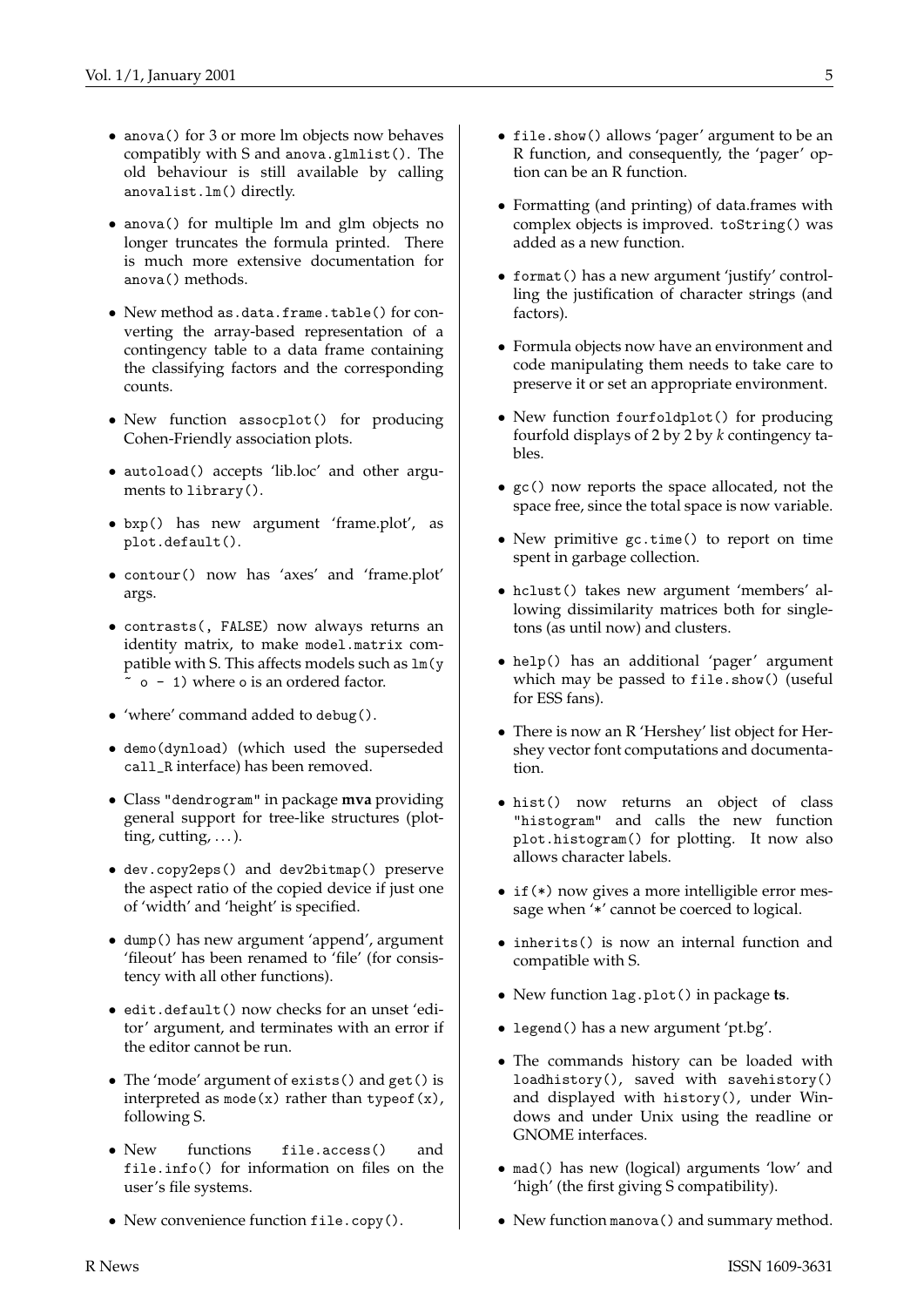- anova() for 3 or more lm objects now behaves compatibly with S and anova.glmlist(). The old behaviour is still available by calling anovalist.lm() directly.
- anova() for multiple lm and glm objects no longer truncates the formula printed. There is much more extensive documentation for anova() methods.
- New method as.data.frame.table() for converting the array-based representation of a contingency table to a data frame containing the classifying factors and the corresponding counts.
- New function assocplot() for producing Cohen-Friendly association plots.
- autoload() accepts 'lib.loc' and other arguments to library().
- bxp() has new argument 'frame.plot', as plot.default().
- contour() now has 'axes' and 'frame.plot' args.
- contrasts(, FALSE) now always returns an identity matrix, to make model.matrix compatible with S. This affects models such as lm(y ~ o - 1) where o is an ordered factor.
- 'where' command added to debug().
- demo(dynload) (which used the superseded call\_R interface) has been removed.
- Class "dendrogram" in package **mva** providing general support for tree-like structures (plotting, cutting,  $\dots$ ).
- dev.copy2eps() and dev2bitmap() preserve the aspect ratio of the copied device if just one of 'width' and 'height' is specified.
- dump() has new argument 'append', argument 'fileout' has been renamed to 'file' (for consistency with all other functions).
- edit.default() now checks for an unset 'editor' argument, and terminates with an error if the editor cannot be run.
- The 'mode' argument of exists() and get() is interpreted as  $mode(x)$  rather than typeof(x), following S.
- New functions file.access() and file.info() for information on files on the user's file systems.
- New convenience function file.copy().
- file.show() allows 'pager' argument to be an R function, and consequently, the 'pager' option can be an R function.
- Formatting (and printing) of data.frames with complex objects is improved. toString() was added as a new function.
- format() has a new argument 'justify' controlling the justification of character strings (and factors).
- Formula objects now have an environment and code manipulating them needs to take care to preserve it or set an appropriate environment.
- New function fourfoldplot() for producing fourfold displays of 2 by 2 by *k* contingency tables.
- gc() now reports the space allocated, not the space free, since the total space is now variable.
- New primitive gc.time() to report on time spent in garbage collection.
- hclust() takes new argument 'members' allowing dissimilarity matrices both for singletons (as until now) and clusters.
- help() has an additional 'pager' argument which may be passed to file.show() (useful for ESS fans).
- There is now an R 'Hershey' list object for Hershey vector font computations and documentation.
- hist() now returns an object of class "histogram" and calls the new function plot.histogram() for plotting. It now also allows character labels.
- if (\*) now gives a more intelligible error message when '\*' cannot be coerced to logical.
- inherits() is now an internal function and compatible with S.
- New function lag.plot() in package **ts**.
- legend() has a new argument 'pt.bg'.
- The commands history can be loaded with loadhistory(), saved with savehistory() and displayed with history(), under Windows and under Unix using the readline or GNOME interfaces.
- mad() has new (logical) arguments 'low' and 'high' (the first giving S compatibility).
- New function manova() and summary method.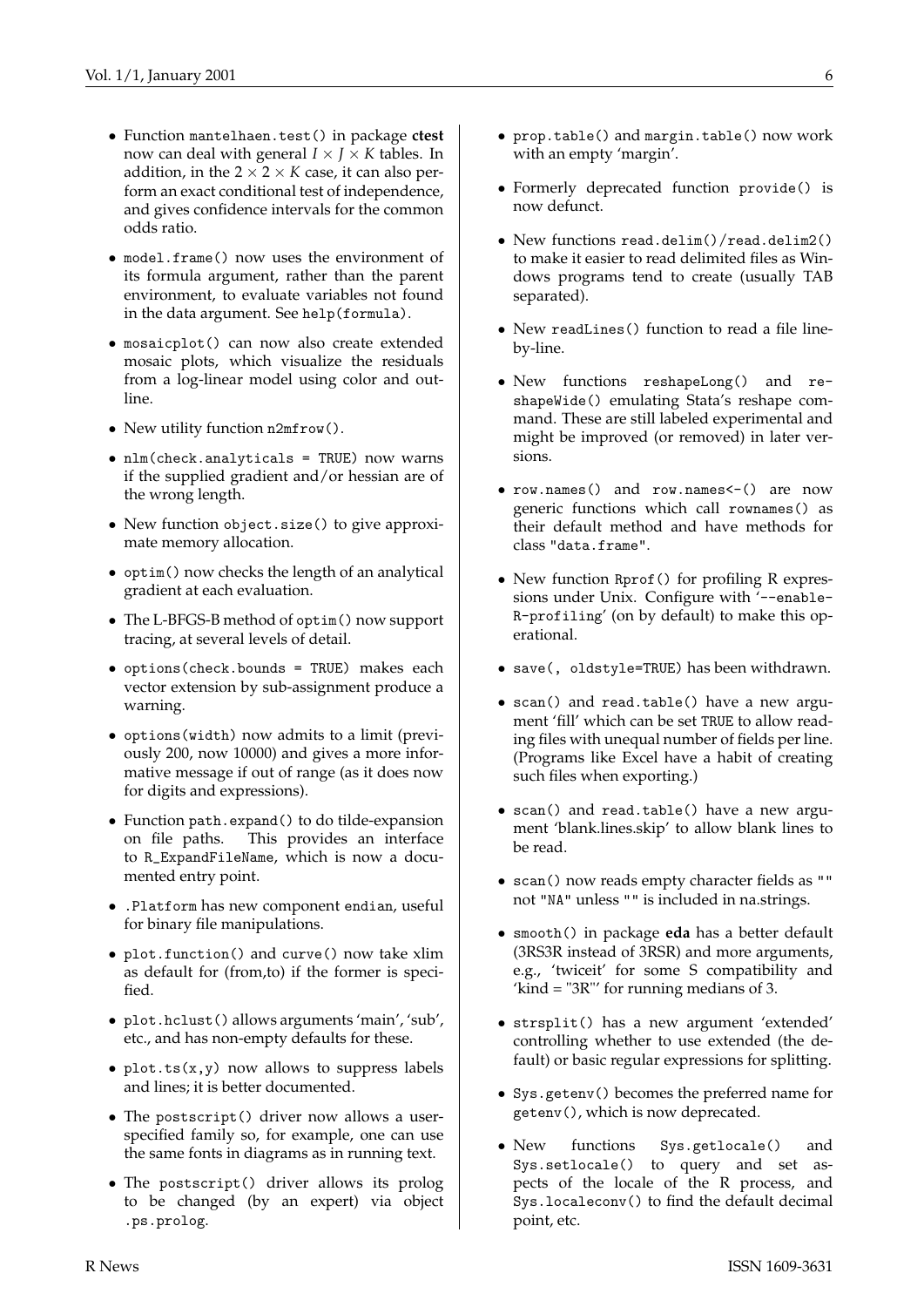- Function mantelhaen.test() in package **ctest** now can deal with general  $I \times J \times K$  tables. In addition, in the  $2 \times 2 \times K$  case, it can also perform an exact conditional test of independence, and gives confidence intervals for the common odds ratio.
- model.frame() now uses the environment of its formula argument, rather than the parent environment, to evaluate variables not found in the data argument. See help(formula).
- mosaicplot() can now also create extended mosaic plots, which visualize the residuals from a log-linear model using color and outline.
- New utility function n2mfrow().
- nlm(check.analyticals = TRUE) now warns if the supplied gradient and/or hessian are of the wrong length.
- New function object.size() to give approximate memory allocation.
- optim() now checks the length of an analytical gradient at each evaluation.
- The L-BFGS-B method of optim() now support tracing, at several levels of detail.
- options(check.bounds = TRUE) makes each vector extension by sub-assignment produce a warning.
- options(width) now admits to a limit (previously 200, now 10000) and gives a more informative message if out of range (as it does now for digits and expressions).
- Function path.expand() to do tilde-expansion on file paths. This provides an interface to R\_ExpandFileName, which is now a documented entry point.
- .Platform has new component endian, useful for binary file manipulations.
- plot.function() and curve() now take xlim as default for (from,to) if the former is specified.
- plot.hclust() allows arguments 'main', 'sub', etc., and has non-empty defaults for these.
- plot.ts $(x,y)$  now allows to suppress labels and lines; it is better documented.
- The postscript() driver now allows a userspecified family so, for example, one can use the same fonts in diagrams as in running text.
- The postscript() driver allows its prolog to be changed (by an expert) via object .ps.prolog.
- prop.table() and margin.table() now work with an empty 'margin'.
- Formerly deprecated function provide() is now defunct.
- New functions read.delim()/read.delim2() to make it easier to read delimited files as Windows programs tend to create (usually TAB separated).
- New readLines() function to read a file lineby-line.
- New functions reshapeLong() and reshapeWide() emulating Stata's reshape command. These are still labeled experimental and might be improved (or removed) in later versions.
- row.names() and row.names<-() are now generic functions which call rownames() as their default method and have methods for class "data.frame".
- New function Rprof() for profiling R expressions under Unix. Configure with '--enable-R-profiling' (on by default) to make this operational.
- save(, oldstyle=TRUE) has been withdrawn.
- scan() and read.table() have a new argument 'fill' which can be set TRUE to allow reading files with unequal number of fields per line. (Programs like Excel have a habit of creating such files when exporting.)
- scan() and read.table() have a new argument 'blank.lines.skip' to allow blank lines to be read.
- scan() now reads empty character fields as "" not "NA" unless "" is included in na.strings.
- smooth() in package **eda** has a better default (3RS3R instead of 3RSR) and more arguments, e.g., 'twiceit' for some S compatibility and 'kind = "3R"' for running medians of 3.
- strsplit() has a new argument 'extended' controlling whether to use extended (the default) or basic regular expressions for splitting.
- Sys.getenv() becomes the preferred name for getenv(), which is now deprecated.
- New functions Sys.getlocale() and Sys.setlocale() to query and set aspects of the locale of the R process, and Sys.localeconv() to find the default decimal point, etc.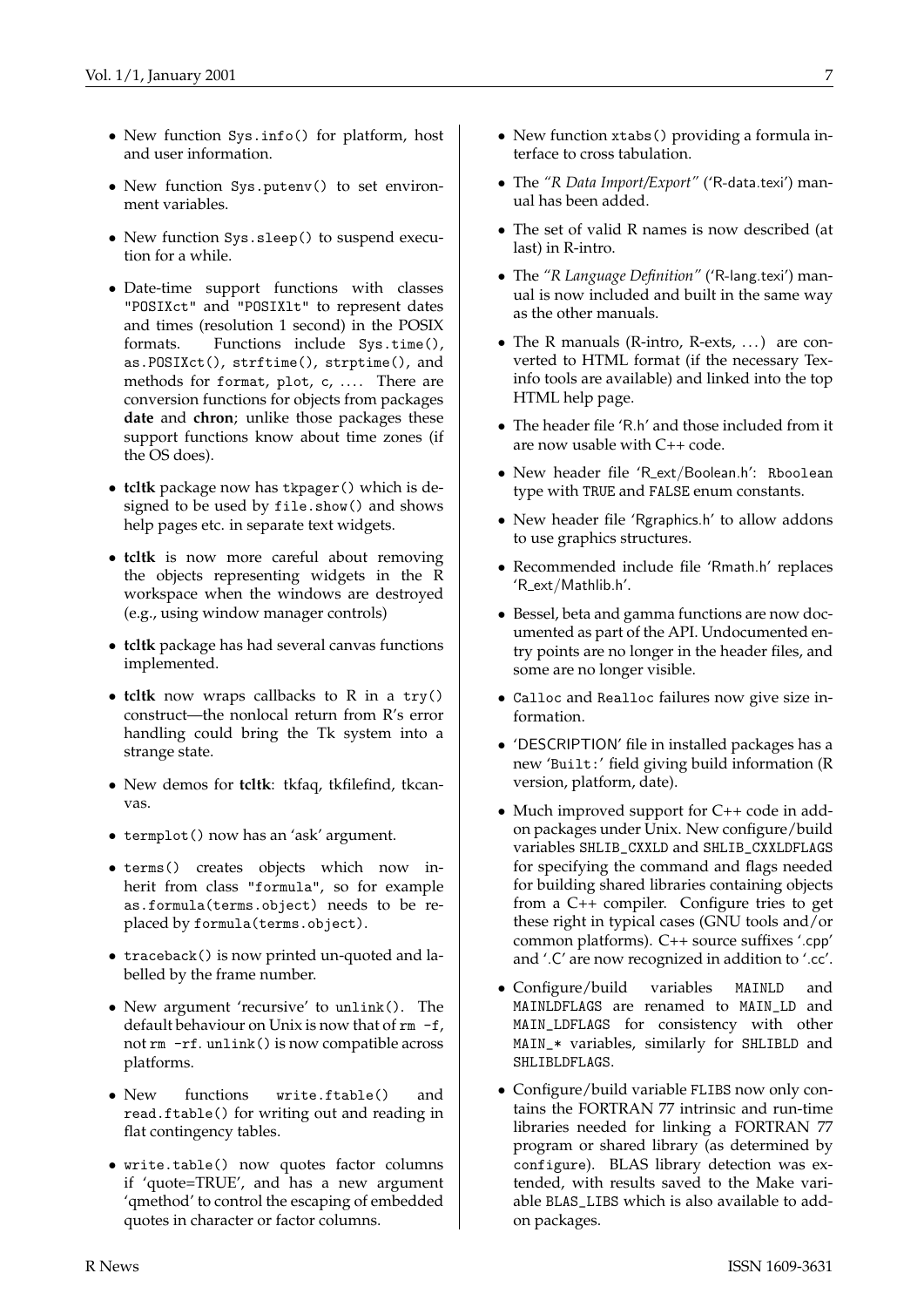- New function Sys.info() for platform, host and user information.
- New function Sys.putenv() to set environment variables.
- New function Sys.sleep() to suspend execution for a while.
- Date-time support functions with classes "POSIXct" and "POSIXlt" to represent dates and times (resolution 1 second) in the POSIX formats. Functions include Sys.time(), as.POSIXct(), strftime(), strptime(), and methods for format, plot, c, .... There are conversion functions for objects from packages **date** and **chron**; unlike those packages these support functions know about time zones (if the OS does).
- **tcltk** package now has tkpager() which is designed to be used by file.show() and shows help pages etc. in separate text widgets.
- **tcltk** is now more careful about removing the objects representing widgets in the R workspace when the windows are destroyed (e.g., using window manager controls)
- **tcltk** package has had several canvas functions implemented.
- **tcltk** now wraps callbacks to R in a try() construct—the nonlocal return from R's error handling could bring the Tk system into a strange state.
- New demos for **tcltk**: tkfaq, tkfilefind, tkcanvas.
- termplot() now has an 'ask' argument.
- terms() creates objects which now inherit from class "formula", so for example as.formula(terms.object) needs to be replaced by formula(terms.object).
- traceback() is now printed un-quoted and labelled by the frame number.
- New argument 'recursive' to unlink(). The default behaviour on Unix is now that of  $rm -f$ , not rm -rf. unlink() is now compatible across platforms.
- New functions write.ftable() and read.ftable() for writing out and reading in flat contingency tables.
- write.table() now quotes factor columns if 'quote=TRUE', and has a new argument 'qmethod' to control the escaping of embedded quotes in character or factor columns.
- New function xtabs() providing a formula interface to cross tabulation.
- The *"R Data Import/Export"* ('R-data.texi') manual has been added.
- The set of valid R names is now described (at last) in R-intro.
- The *"R Language Definition"* ('R-lang.texi') manual is now included and built in the same way as the other manuals.
- The R manuals (R-intro, R-exts, . . . ) are converted to HTML format (if the necessary Texinfo tools are available) and linked into the top HTML help page.
- The header file 'R.h' and those included from it are now usable with C++ code.
- New header file 'R ext/Boolean.h': Rboolean type with TRUE and FALSE enum constants.
- New header file 'Rgraphics.h' to allow addons to use graphics structures.
- Recommended include file 'Rmath.h' replaces 'R ext/Mathlib.h'.
- Bessel, beta and gamma functions are now documented as part of the API. Undocumented entry points are no longer in the header files, and some are no longer visible.
- Calloc and Realloc failures now give size information.
- 'DESCRIPTION' file in installed packages has a new 'Built:' field giving build information (R version, platform, date).
- Much improved support for C++ code in addon packages under Unix. New configure/build variables SHLIB\_CXXLD and SHLIB\_CXXLDFLAGS for specifying the command and flags needed for building shared libraries containing objects from a C++ compiler. Configure tries to get these right in typical cases (GNU tools and/or common platforms). C++ source suffixes '.cpp' and '.C' are now recognized in addition to '.cc'.
- Configure/build variables MAINLD and MAINLDFLAGS are renamed to MAIN\_LD and MAIN\_LDFLAGS for consistency with other MAIN\_\* variables, similarly for SHLIBLD and SHLIBLDFLAGS.
- Configure/build variable FLIBS now only contains the FORTRAN 77 intrinsic and run-time libraries needed for linking a FORTRAN 77 program or shared library (as determined by configure). BLAS library detection was extended, with results saved to the Make variable BLAS\_LIBS which is also available to addon packages.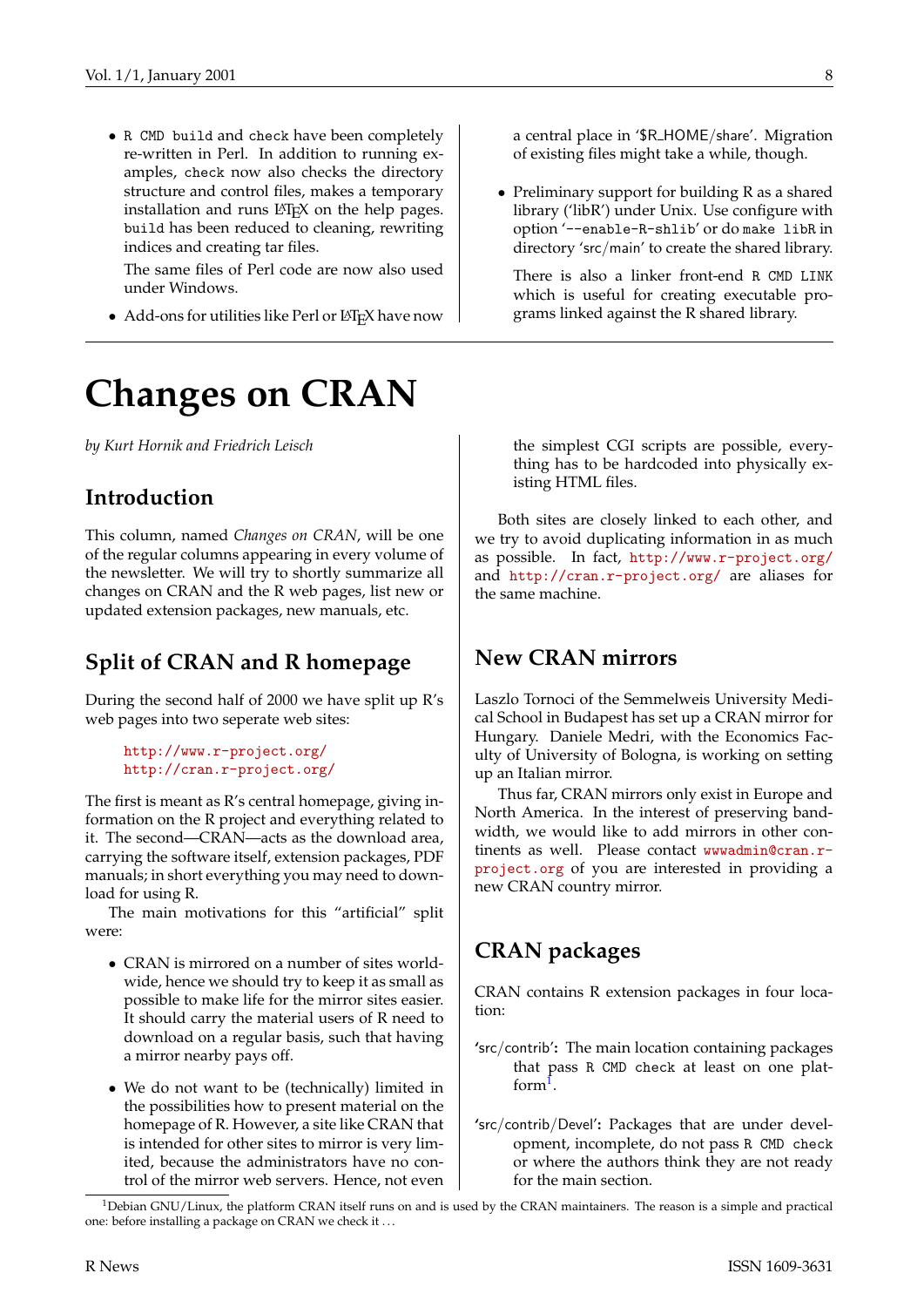- R CMD build and check have been completely re-written in Perl. In addition to running examples, check now also checks the directory structure and control files, makes a temporary installation and runs  $L^{\text{th}}$  and the help pages. build has been reduced to cleaning, rewriting indices and creating tar files.
	- The same files of Perl code are now also used under Windows.
- Add-ons for utilities like Perl or LATEX have now

## **Changes on CRAN**

*by Kurt Hornik and Friedrich Leisch*

## **Introduction**

This column, named *Changes on CRAN*, will be one of the regular columns appearing in every volume of the newsletter. We will try to shortly summarize all changes on CRAN and the R web pages, list new or updated extension packages, new manuals, etc.

## **Split of CRAN and R homepage**

During the second half of 2000 we have split up R's web pages into two seperate web sites:

> <http://www.r-project.org/> <http://cran.r-project.org/>

The first is meant as R's central homepage, giving information on the R project and everything related to it. The second—CRAN—acts as the download area, carrying the software itself, extension packages, PDF manuals; in short everything you may need to download for using R.

The main motivations for this "artificial" split were:

- CRAN is mirrored on a number of sites worldwide, hence we should try to keep it as small as possible to make life for the mirror sites easier. It should carry the material users of R need to download on a regular basis, such that having a mirror nearby pays off.
- We do not want to be (technically) limited in the possibilities how to present material on the homepage of R. However, a site like CRAN that is intended for other sites to mirror is very limited, because the administrators have no control of the mirror web servers. Hence, not even

a central place in '\$R HOME/share'. Migration of existing files might take a while, though.

• Preliminary support for building R as a shared library ('libR') under Unix. Use configure with option '--enable-R-shlib' or do make libR in directory 'src/main' to create the shared library.

There is also a linker front-end R CMD LINK which is useful for creating executable programs linked against the R shared library.

the simplest CGI scripts are possible, everything has to be hardcoded into physically existing HTML files.

Both sites are closely linked to each other, and we try to avoid duplicating information in as much as possible. In fact, <http://www.r-project.org/> and <http://cran.r-project.org/> are aliases for the same machine.

## **New CRAN mirrors**

Laszlo Tornoci of the Semmelweis University Medical School in Budapest has set up a CRAN mirror for Hungary. Daniele Medri, with the Economics Faculty of University of Bologna, is working on setting up an Italian mirror.

Thus far, CRAN mirrors only exist in Europe and North America. In the interest of preserving bandwidth, we would like to add mirrors in other continents as well. Please contact [wwwadmin@cran.r](mailto:wwwadmin@cran.r-project.org)[project.org](mailto:wwwadmin@cran.r-project.org) of you are interested in providing a new CRAN country mirror.

## **CRAN packages**

CRAN contains R extension packages in four location:

- **'**src/contrib'**:** The main location containing packages that pass R CMD check at least on one platform1 .
- **'**src/contrib/Devel'**:** Packages that are under development, incomplete, do not pass R CMD check or where the authors think they are not ready for the main section.

 $1$ Debian GNU/Linux, the platform CRAN itself runs on and is used by the CRAN maintainers. The reason is a simple and practical one: before installing a package on CRAN we check it . . .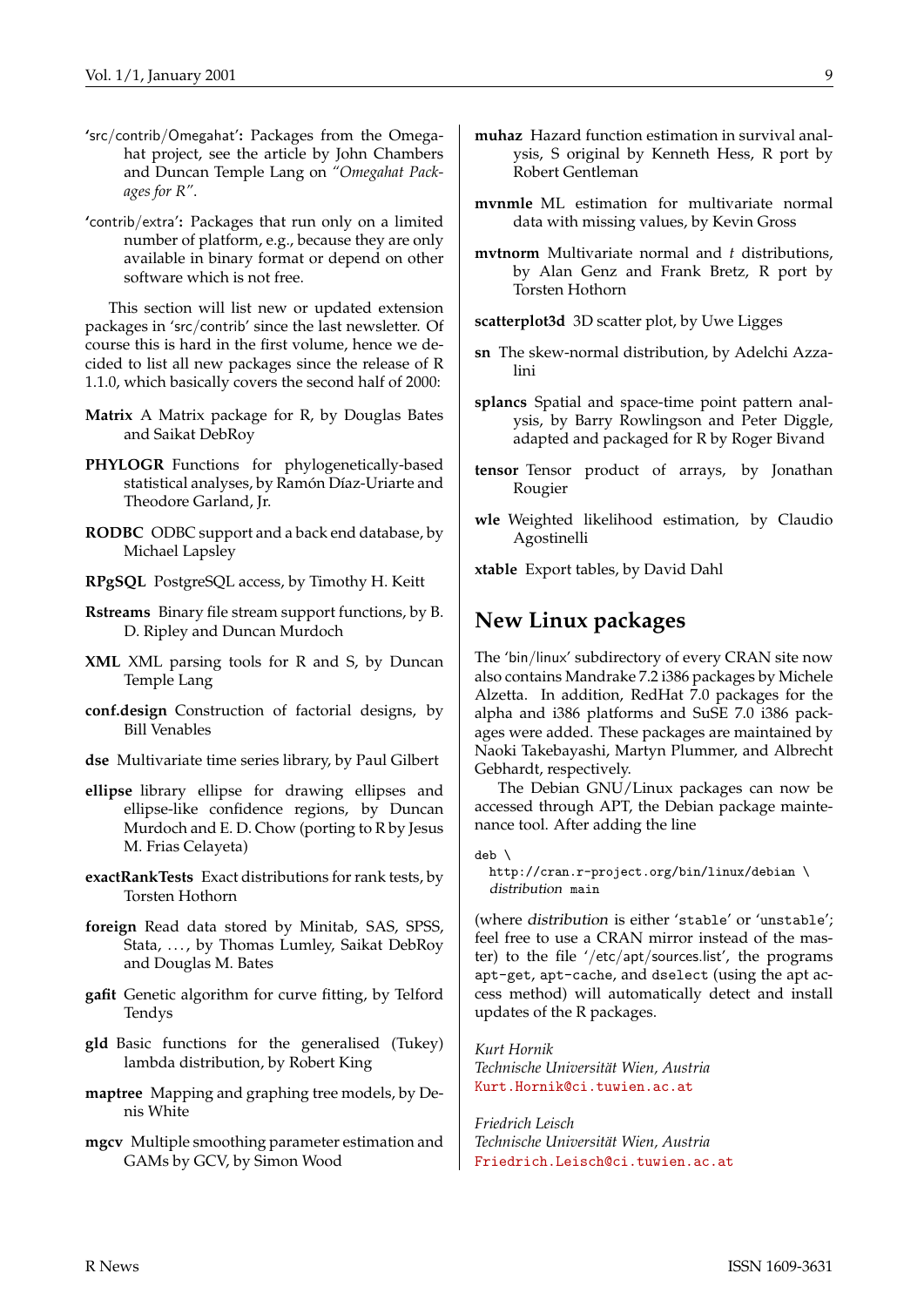- **'**src/contrib/Omegahat'**:** Packages from the Omegahat project, see the article by John Chambers and Duncan Temple Lang on *"Omegahat Packages for R"*.
- **'**contrib/extra'**:** Packages that run only on a limited number of platform, e.g., because they are only available in binary format or depend on other software which is not free.

This section will list new or updated extension packages in 'src/contrib' since the last newsletter. Of course this is hard in the first volume, hence we decided to list all new packages since the release of R 1.1.0, which basically covers the second half of 2000:

- **Matrix** A Matrix package for R, by Douglas Bates and Saikat DebRoy
- **PHYLOGR** Functions for phylogenetically-based statistical analyses, by Ramón Díaz-Uriarte and Theodore Garland, Jr.
- **RODBC** ODBC support and a back end database, by Michael Lapsley
- **RPgSQL** PostgreSQL access, by Timothy H. Keitt
- **Rstreams** Binary file stream support functions, by B. D. Ripley and Duncan Murdoch
- **XML** XML parsing tools for R and S, by Duncan Temple Lang
- **conf.design** Construction of factorial designs, by Bill Venables
- **dse** Multivariate time series library, by Paul Gilbert
- **ellipse** library ellipse for drawing ellipses and ellipse-like confidence regions, by Duncan Murdoch and E. D. Chow (porting to R by Jesus M. Frias Celayeta)
- **exactRankTests** Exact distributions for rank tests, by Torsten Hothorn
- **foreign** Read data stored by Minitab, SAS, SPSS, Stata, ..., by Thomas Lumley, Saikat DebRoy and Douglas M. Bates
- **gafit** Genetic algorithm for curve fitting, by Telford Tendys
- **gld** Basic functions for the generalised (Tukey) lambda distribution, by Robert King
- **maptree** Mapping and graphing tree models, by Denis White
- **mgcv** Multiple smoothing parameter estimation and GAMs by GCV, by Simon Wood
- **muhaz** Hazard function estimation in survival analysis, S original by Kenneth Hess, R port by Robert Gentleman
- **mvnmle** ML estimation for multivariate normal data with missing values, by Kevin Gross
- **mvtnorm** Multivariate normal and *t* distributions, by Alan Genz and Frank Bretz, R port by Torsten Hothorn
- **scatterplot3d** 3D scatter plot, by Uwe Ligges
- **sn** The skew-normal distribution, by Adelchi Azzalini
- **splancs** Spatial and space-time point pattern analysis, by Barry Rowlingson and Peter Diggle, adapted and packaged for R by Roger Bivand
- **tensor** Tensor product of arrays, by Jonathan Rougier
- **wle** Weighted likelihood estimation, by Claudio Agostinelli

**xtable** Export tables, by David Dahl

### **New Linux packages**

The 'bin/linux' subdirectory of every CRAN site now also contains Mandrake 7.2 i386 packages by Michele Alzetta. In addition, RedHat 7.0 packages for the alpha and i386 platforms and SuSE 7.0 i386 packages were added. These packages are maintained by Naoki Takebayashi, Martyn Plummer, and Albrecht Gebhardt, respectively.

The Debian GNU/Linux packages can now be accessed through APT, the Debian package maintenance tool. After adding the line

deb \

http://cran.r-project.org/bin/linux/debian \ distribution main

(where distribution is either 'stable' or 'unstable'; feel free to use a CRAN mirror instead of the master) to the file '/etc/apt/sources.list', the programs apt-get, apt-cache, and dselect (using the apt access method) will automatically detect and install updates of the R packages.

*Kurt Hornik Technische Universität Wien, Austria* [Kurt.Hornik@ci.tuwien.ac.at](mailto:Kurt.Hornik@ci.tuwien.ac.at)

*Friedrich Leisch Technische Universität Wien, Austria* [Friedrich.Leisch@ci.tuwien.ac.at](mailto:Friedrich.Leisch@ci.tuwien.ac.at)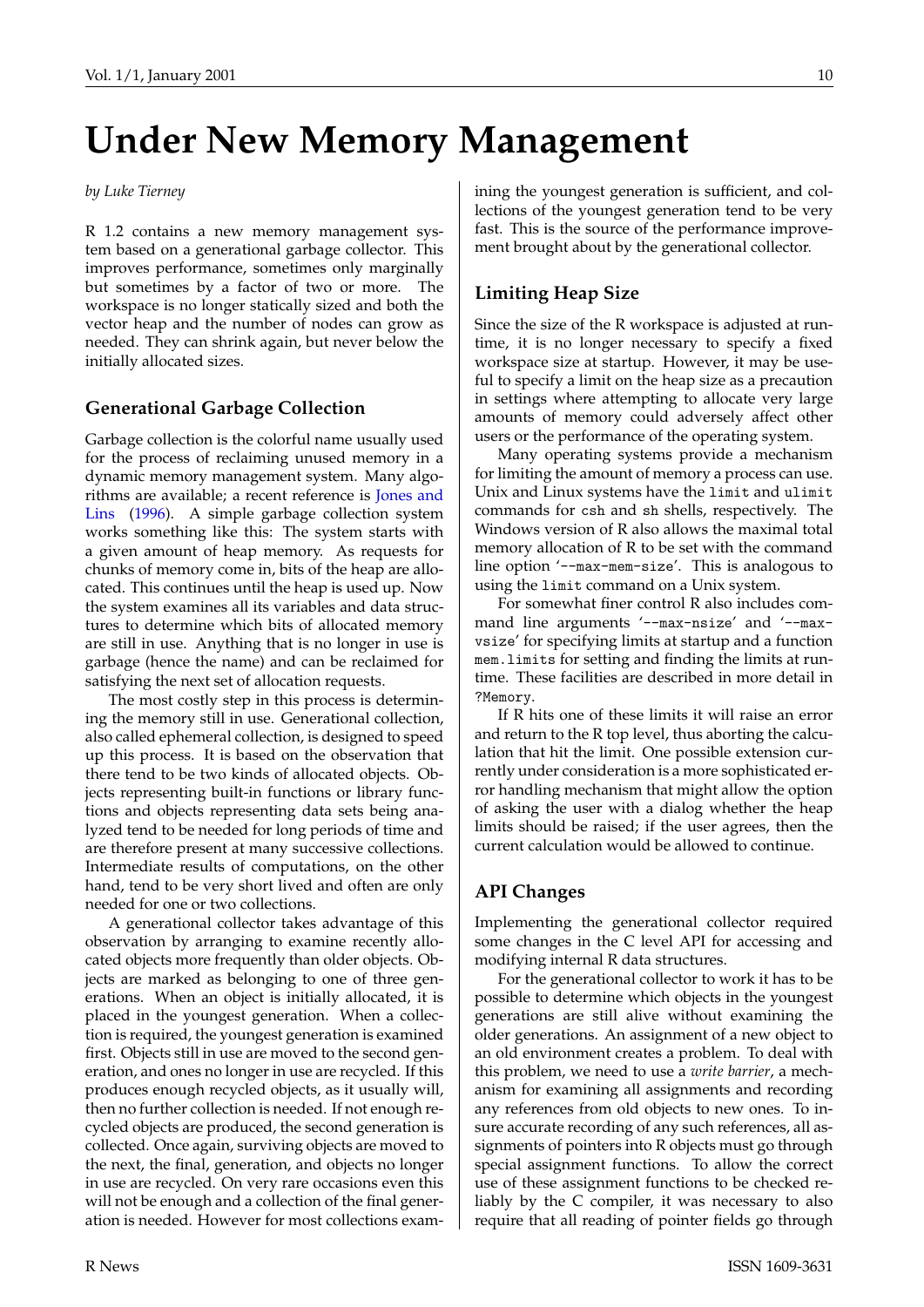# <span id="page-9-0"></span>**Under New Memory Management**

#### *by Luke Tierney*

R 1.2 contains a new memory management system based on a generational garbage collector. This improves performance, sometimes only marginally but sometimes by a factor of two or more. The workspace is no longer statically sized and both the vector heap and the number of nodes can grow as needed. They can shrink again, but never below the initially allocated sizes.

#### **Generational Garbage Collection**

Garbage collection is the colorful name usually used for the process of reclaiming unused memory in a dynamic memory management system. Many algorithms are available; a recent reference is [Jones and](#page-10-0) [Lins](#page-10-0) ([1996\)](#page-10-0). A simple garbage collection system works something like this: The system starts with a given amount of heap memory. As requests for chunks of memory come in, bits of the heap are allocated. This continues until the heap is used up. Now the system examines all its variables and data structures to determine which bits of allocated memory are still in use. Anything that is no longer in use is garbage (hence the name) and can be reclaimed for satisfying the next set of allocation requests.

The most costly step in this process is determining the memory still in use. Generational collection, also called ephemeral collection, is designed to speed up this process. It is based on the observation that there tend to be two kinds of allocated objects. Objects representing built-in functions or library functions and objects representing data sets being analyzed tend to be needed for long periods of time and are therefore present at many successive collections. Intermediate results of computations, on the other hand, tend to be very short lived and often are only needed for one or two collections.

A generational collector takes advantage of this observation by arranging to examine recently allocated objects more frequently than older objects. Objects are marked as belonging to one of three generations. When an object is initially allocated, it is placed in the youngest generation. When a collection is required, the youngest generation is examined first. Objects still in use are moved to the second generation, and ones no longer in use are recycled. If this produces enough recycled objects, as it usually will, then no further collection is needed. If not enough recycled objects are produced, the second generation is collected. Once again, surviving objects are moved to the next, the final, generation, and objects no longer in use are recycled. On very rare occasions even this will not be enough and a collection of the final generation is needed. However for most collections examining the youngest generation is sufficient, and collections of the youngest generation tend to be very fast. This is the source of the performance improvement brought about by the generational collector.

#### **Limiting Heap Size**

Since the size of the R workspace is adjusted at runtime, it is no longer necessary to specify a fixed workspace size at startup. However, it may be useful to specify a limit on the heap size as a precaution in settings where attempting to allocate very large amounts of memory could adversely affect other users or the performance of the operating system.

Many operating systems provide a mechanism for limiting the amount of memory a process can use. Unix and Linux systems have the limit and ulimit commands for csh and sh shells, respectively. The Windows version of R also allows the maximal total memory allocation of R to be set with the command line option '--max-mem-size'. This is analogous to using the limit command on a Unix system.

For somewhat finer control R also includes command line arguments '--max-nsize' and '--maxvsize' for specifying limits at startup and a function mem.limits for setting and finding the limits at runtime. These facilities are described in more detail in ?Memory.

If R hits one of these limits it will raise an error and return to the R top level, thus aborting the calculation that hit the limit. One possible extension currently under consideration is a more sophisticated error handling mechanism that might allow the option of asking the user with a dialog whether the heap limits should be raised; if the user agrees, then the current calculation would be allowed to continue.

#### **API Changes**

Implementing the generational collector required some changes in the C level API for accessing and modifying internal R data structures.

For the generational collector to work it has to be possible to determine which objects in the youngest generations are still alive without examining the older generations. An assignment of a new object to an old environment creates a problem. To deal with this problem, we need to use a *write barrier*, a mechanism for examining all assignments and recording any references from old objects to new ones. To insure accurate recording of any such references, all assignments of pointers into R objects must go through special assignment functions. To allow the correct use of these assignment functions to be checked reliably by the C compiler, it was necessary to also require that all reading of pointer fields go through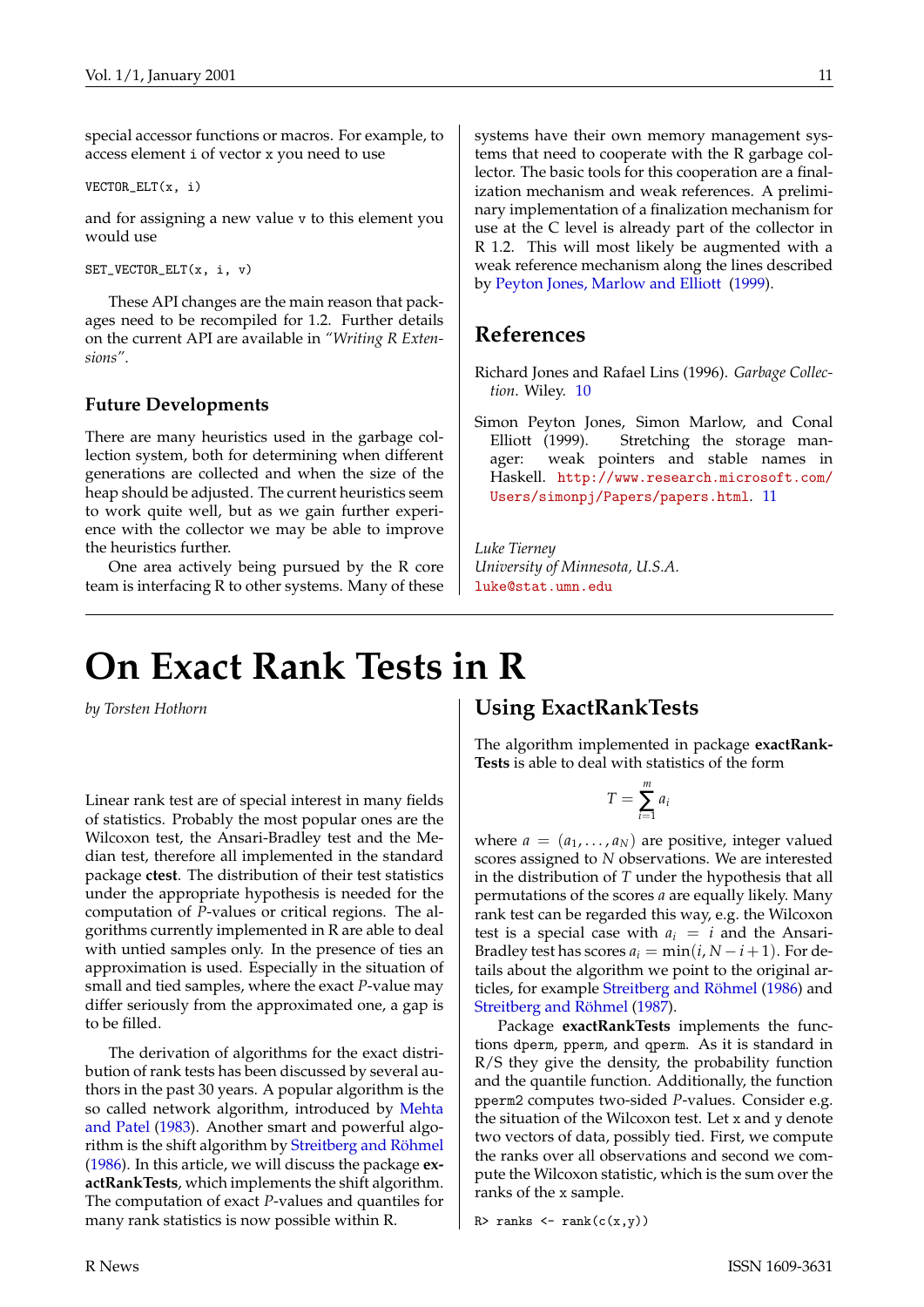<span id="page-10-2"></span>special accessor functions or macros. For example, to access element i of vector x you need to use

VECTOR\_ELT(x, i)

and for assigning a new value v to this element you would use

SET\_VECTOR\_ELT(x, i, v)

These API changes are the main reason that packages need to be recompiled for 1.2. Further details on the current API are available in *"Writing R Extensions"*.

#### **Future Developments**

There are many heuristics used in the garbage collection system, both for determining when different generations are collected and when the size of the heap should be adjusted. The current heuristics seem to work quite well, but as we gain further experience with the collector we may be able to improve the heuristics further.

One area actively being pursued by the R core team is interfacing R to other systems. Many of these systems have their own memory management systems that need to cooperate with the R garbage collector. The basic tools for this cooperation are a finalization mechanism and weak references. A preliminary implementation of a finalization mechanism for use at the C level is already part of the collector in R 1.2. This will most likely be augmented with a weak reference mechanism along the lines described by [Peyton Jones, Marlow and Elliott](#page-10-1) [\(1999](#page-10-1)).

### **References**

<span id="page-10-0"></span>Richard Jones and Rafael Lins (1996). *Garbage Collection*. Wiley. [10](#page-9-0)

<span id="page-10-1"></span>Simon Peyton Jones, Simon Marlow, and Conal Elliott (1999). Stretching the storage manager: weak pointers and stable names in Haskell. [http://www.research.microsoft.com/](http://www.research.microsoft.com/Users/simonpj/Papers/papers.html) [Users/simonpj/Papers/papers.html](http://www.research.microsoft.com/Users/simonpj/Papers/papers.html). [11](#page-10-2)

*Luke Tierney University of Minnesota, U.S.A.* [luke@stat.umn.edu](mailto:luke@stat.umn.edu)

## **On Exact Rank Tests in R**

*by Torsten Hothorn*

Linear rank test are of special interest in many fields of statistics. Probably the most popular ones are the Wilcoxon test, the Ansari-Bradley test and the Median test, therefore all implemented in the standard package **ctest**. The distribution of their test statistics under the appropriate hypothesis is needed for the computation of *P*-values or critical regions. The algorithms currently implemented in R are able to deal with untied samples only. In the presence of ties an approximation is used. Especially in the situation of small and tied samples, where the exact *P*-value may differ seriously from the approximated one, a gap is to be filled.

The derivation of algorithms for the exact distribution of rank tests has been discussed by several authors in the past 30 years. A popular algorithm is the so called network algorithm, introduced by [Mehta](#page-11-0) [and Patel](#page-11-0) ([1983\)](#page-11-0). Another smart and powerful algorithm is the shift algorithm by [Streitberg and Röhmel](#page-11-1) [\(1986](#page-11-1)). In this article, we will discuss the package **exactRankTests**, which implements the shift algorithm. The computation of exact *P*-values and quantiles for many rank statistics is now possible within R.

### **Using ExactRankTests**

The algorithm implemented in package **exactRank-Tests** is able to deal with statistics of the form

$$
T=\sum_{i=1}^m a_i
$$

where  $a = (a_1, \ldots, a_N)$  are positive, integer valued scores assigned to *N* observations. We are interested in the distribution of *T* under the hypothesis that all permutations of the scores *a* are equally likely. Many rank test can be regarded this way, e.g. the Wilcoxon test is a special case with  $a_i = i$  and the Ansari-Bradley test has scores  $a_i = \min(i, N - i + 1)$ . For details about the algorithm we point to the original articles, for example [Streitberg and Röhmel](#page-11-1) [\(1986](#page-11-1)) and [Streitberg and Röhmel](#page-11-2) ([1987\)](#page-11-2).

Package **exactRankTests** implements the functions dperm, pperm, and qperm. As it is standard in R/S they give the density, the probability function and the quantile function. Additionally, the function pperm2 computes two-sided *P*-values. Consider e.g. the situation of the Wilcoxon test. Let x and y denote two vectors of data, possibly tied. First, we compute the ranks over all observations and second we compute the Wilcoxon statistic, which is the sum over the ranks of the x sample.

R> ranks  $\leftarrow$  rank $(c(x,y))$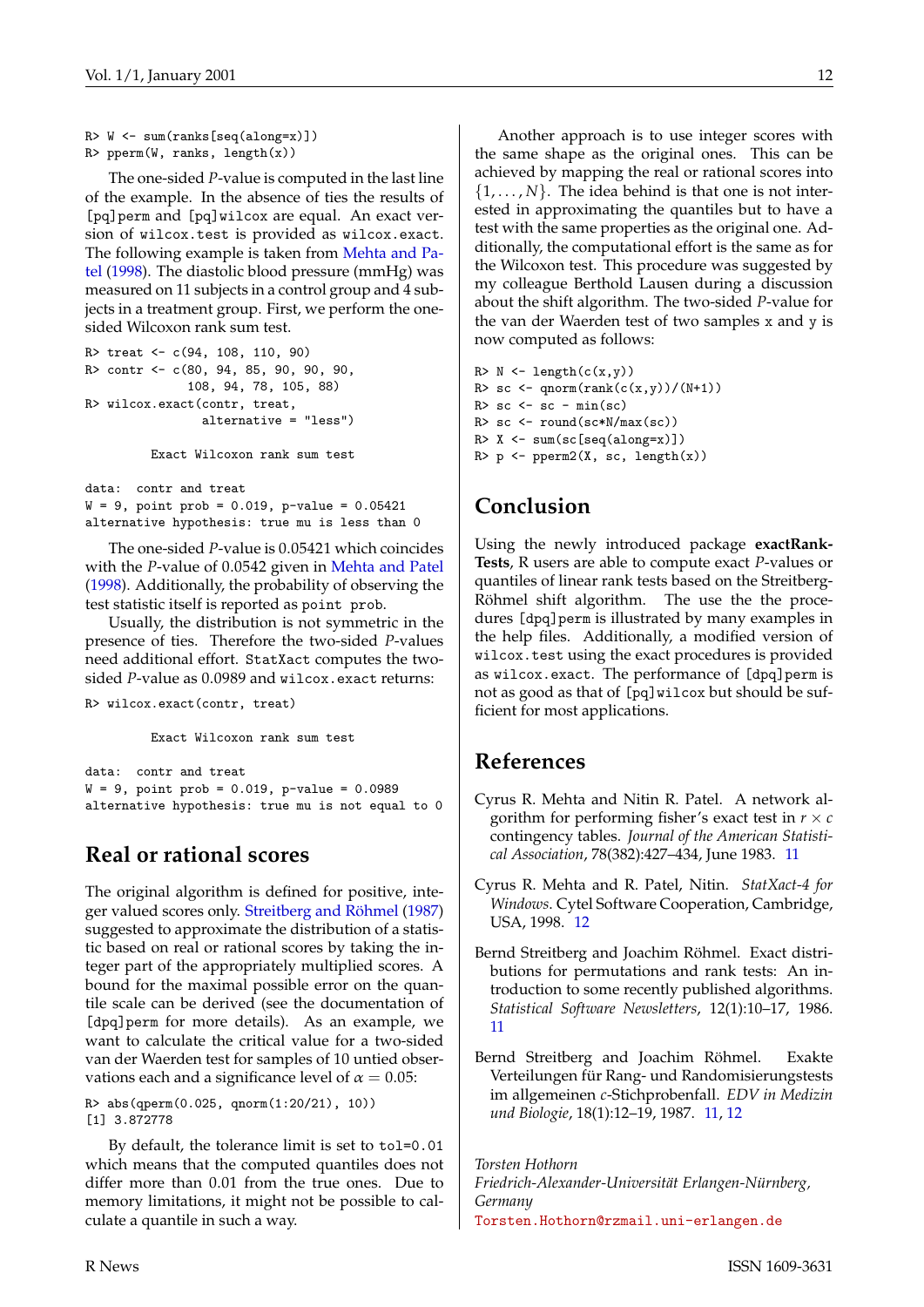```
R> W <- sum(ranks[seq(along=x)])
R> pperm(W, ranks, length(x))
```
The one-sided *P*-value is computed in the last line of the example. In the absence of ties the results of [pq]perm and [pq]wilcox are equal. An exact version of wilcox.test is provided as wilcox.exact. The following example is taken from [Mehta and Pa](#page-11-3)[tel](#page-11-3) ([1998\)](#page-11-3). The diastolic blood pressure (mmHg) was measured on 11 subjects in a control group and 4 subjects in a treatment group. First, we perform the onesided Wilcoxon rank sum test.

```
R> treat <- c(94, 108, 110, 90)
R> contr <- c(80, 94, 85, 90, 90, 90,
             108, 94, 78, 105, 88)
R> wilcox.exact(contr, treat,
               alternative = "less")
         Exact Wilcoxon rank sum test
```
data: contr and treat  $W = 9$ , point prob = 0.019, p-value = 0.05421 alternative hypothesis: true mu is less than 0

The one-sided *P*-value is 0.05421 which coincides with the *P*-value of 0.0542 given in [Mehta and Patel](#page-11-3) [\(1998](#page-11-3)). Additionally, the probability of observing the test statistic itself is reported as point prob.

Usually, the distribution is not symmetric in the presence of ties. Therefore the two-sided *P*-values need additional effort. StatXact computes the twosided *P*-value as 0.0989 and wilcox.exact returns:

#### R> wilcox.exact(contr, treat)

Exact Wilcoxon rank sum test

```
data: contr and treat
W = 9, point prob = 0.019, p-value = 0.0989
alternative hypothesis: true mu is not equal to 0
```
## **Real or rational scores**

The original algorithm is defined for positive, integer valued scores only. [Streitberg and Röhmel](#page-11-2) ([1987\)](#page-11-2) suggested to approximate the distribution of a statistic based on real or rational scores by taking the integer part of the appropriately multiplied scores. A bound for the maximal possible error on the quantile scale can be derived (see the documentation of [dpq]perm for more details). As an example, we want to calculate the critical value for a two-sided van der Waerden test for samples of 10 untied observations each and a significance level of  $\alpha = 0.05$ :

R> abs(qperm(0.025, qnorm(1:20/21), 10)) [1] 3.872778

By default, the tolerance limit is set to tol=0.01 which means that the computed quantiles does not differ more than 0.01 from the true ones. Due to memory limitations, it might not be possible to calculate a quantile in such a way.

Another approach is to use integer scores with the same shape as the original ones. This can be achieved by mapping the real or rational scores into  $\{1, \ldots, N\}$ . The idea behind is that one is not interested in approximating the quantiles but to have a test with the same properties as the original one. Additionally, the computational effort is the same as for the Wilcoxon test. This procedure was suggested by my colleague Berthold Lausen during a discussion about the shift algorithm. The two-sided *P*-value for the van der Waerden test of two samples x and y is now computed as follows:

```
R > N \leftarrow \text{length}(c(x,y))R> sc <- qnorm(rank(c(x,y)/(N+1))
R > sc < - sc - min(sc)R > sc < - round(sc*N/max(sc))
R > X \leftarrow \text{sum}(\text{sc}[\text{seq}(\text{along}=x)])R> p <- pperm2(X, sc, length(x))
```
## **Conclusion**

Using the newly introduced package **exactRank-Tests**, R users are able to compute exact *P*-values or quantiles of linear rank tests based on the Streitberg-Röhmel shift algorithm. The use the the procedures [dpq]perm is illustrated by many examples in the help files. Additionally, a modified version of wilcox.test using the exact procedures is provided as wilcox.exact. The performance of [dpq]perm is not as good as that of [pq]wilcox but should be sufficient for most applications.

### **References**

- <span id="page-11-0"></span>Cyrus R. Mehta and Nitin R. Patel. A network algorithm for performing fisher's exact test in  $r \times c$ contingency tables. *Journal of the American Statistical Association*, 78(382):427–434, June 1983. [11](#page-10-2)
- <span id="page-11-3"></span>Cyrus R. Mehta and R. Patel, Nitin. *StatXact-4 for Windows*. Cytel Software Cooperation, Cambridge, USA, 1998. [12](#page-11-4)
- <span id="page-11-1"></span>Bernd Streitberg and Joachim Röhmel. Exact distributions for permutations and rank tests: An introduction to some recently published algorithms. *Statistical Software Newsletters*, 12(1):10–17, 1986. [11](#page-10-2)
- <span id="page-11-2"></span>Bernd Streitberg and Joachim Röhmel. Exakte Verteilungen für Rang- und Randomisierungstests im allgemeinen *c*-Stichprobenfall. *EDV in Medizin und Biologie*, 18(1):12–19, 1987. [11](#page-10-2), [12](#page-11-4)

*Torsten Hothorn Friedrich-Alexander-Universität Erlangen-Nürnberg, Germany* [Torsten.Hothorn@rzmail.uni-erlangen.de](mailto:Torsten.Hothorn@rzmail.uni-erlangen.de)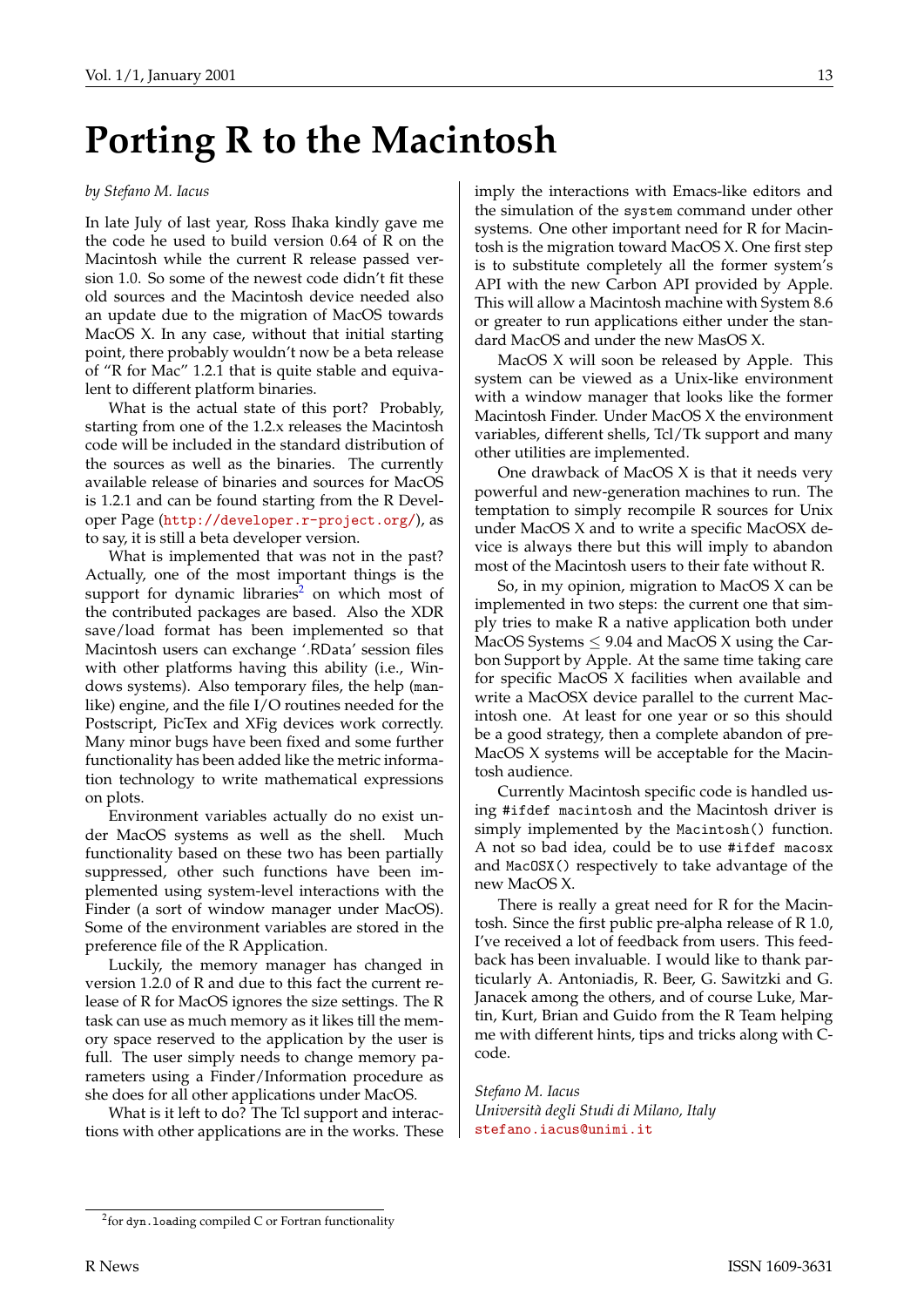## **Porting R to the Macintosh**

#### *by Stefano M. Iacus*

In late July of last year, Ross Ihaka kindly gave me the code he used to build version 0.64 of R on the Macintosh while the current R release passed version 1.0. So some of the newest code didn't fit these old sources and the Macintosh device needed also an update due to the migration of MacOS towards MacOS X. In any case, without that initial starting point, there probably wouldn't now be a beta release of "R for Mac" 1.2.1 that is quite stable and equivalent to different platform binaries.

What is the actual state of this port? Probably, starting from one of the 1.2.x releases the Macintosh code will be included in the standard distribution of the sources as well as the binaries. The currently available release of binaries and sources for MacOS is 1.2.1 and can be found starting from the R Developer Page (<http://developer.r-project.org/>), as to say, it is still a beta developer version.

What is implemented that was not in the past? Actually, one of the most important things is the support for dynamic libraries<sup>2</sup> on which most of the contributed packages are based. Also the XDR save/load format has been implemented so that Macintosh users can exchange '.RData' session files with other platforms having this ability (i.e., Windows systems). Also temporary files, the help (manlike) engine, and the file I/O routines needed for the Postscript, PicTex and XFig devices work correctly. Many minor bugs have been fixed and some further functionality has been added like the metric information technology to write mathematical expressions on plots.

Environment variables actually do no exist under MacOS systems as well as the shell. Much functionality based on these two has been partially suppressed, other such functions have been implemented using system-level interactions with the Finder (a sort of window manager under MacOS). Some of the environment variables are stored in the preference file of the R Application.

Luckily, the memory manager has changed in version 1.2.0 of R and due to this fact the current release of R for MacOS ignores the size settings. The R task can use as much memory as it likes till the memory space reserved to the application by the user is full. The user simply needs to change memory parameters using a Finder/Information procedure as she does for all other applications under MacOS.

What is it left to do? The Tcl support and interactions with other applications are in the works. These imply the interactions with Emacs-like editors and the simulation of the system command under other systems. One other important need for R for Macintosh is the migration toward MacOS X. One first step is to substitute completely all the former system's API with the new Carbon API provided by Apple. This will allow a Macintosh machine with System 8.6 or greater to run applications either under the standard MacOS and under the new MasOS X.

MacOS X will soon be released by Apple. This system can be viewed as a Unix-like environment with a window manager that looks like the former Macintosh Finder. Under MacOS X the environment variables, different shells, Tcl/Tk support and many other utilities are implemented.

One drawback of MacOS X is that it needs very powerful and new-generation machines to run. The temptation to simply recompile R sources for Unix under MacOS X and to write a specific MacOSX device is always there but this will imply to abandon most of the Macintosh users to their fate without R.

So, in my opinion, migration to MacOS X can be implemented in two steps: the current one that simply tries to make R a native application both under MacOS Systems  $\leq$  9.04 and MacOS X using the Carbon Support by Apple. At the same time taking care for specific MacOS X facilities when available and write a MacOSX device parallel to the current Macintosh one. At least for one year or so this should be a good strategy, then a complete abandon of pre-MacOS X systems will be acceptable for the Macintosh audience.

Currently Macintosh specific code is handled using #ifdef macintosh and the Macintosh driver is simply implemented by the Macintosh() function. A not so bad idea, could be to use #ifdef macosx and MacOSX() respectively to take advantage of the new MacOS X.

There is really a great need for R for the Macintosh. Since the first public pre-alpha release of R 1.0, I've received a lot of feedback from users. This feedback has been invaluable. I would like to thank particularly A. Antoniadis, R. Beer, G. Sawitzki and G. Janacek among the others, and of course Luke, Martin, Kurt, Brian and Guido from the R Team helping me with different hints, tips and tricks along with Ccode.

*Stefano M. Iacus Università degli Studi di Milano, Italy* [stefano.iacus@unimi.it](mailto:stefano.iacus@unimi.it)

<sup>&</sup>lt;sup>2</sup>for dyn.loading compiled C or Fortran functionality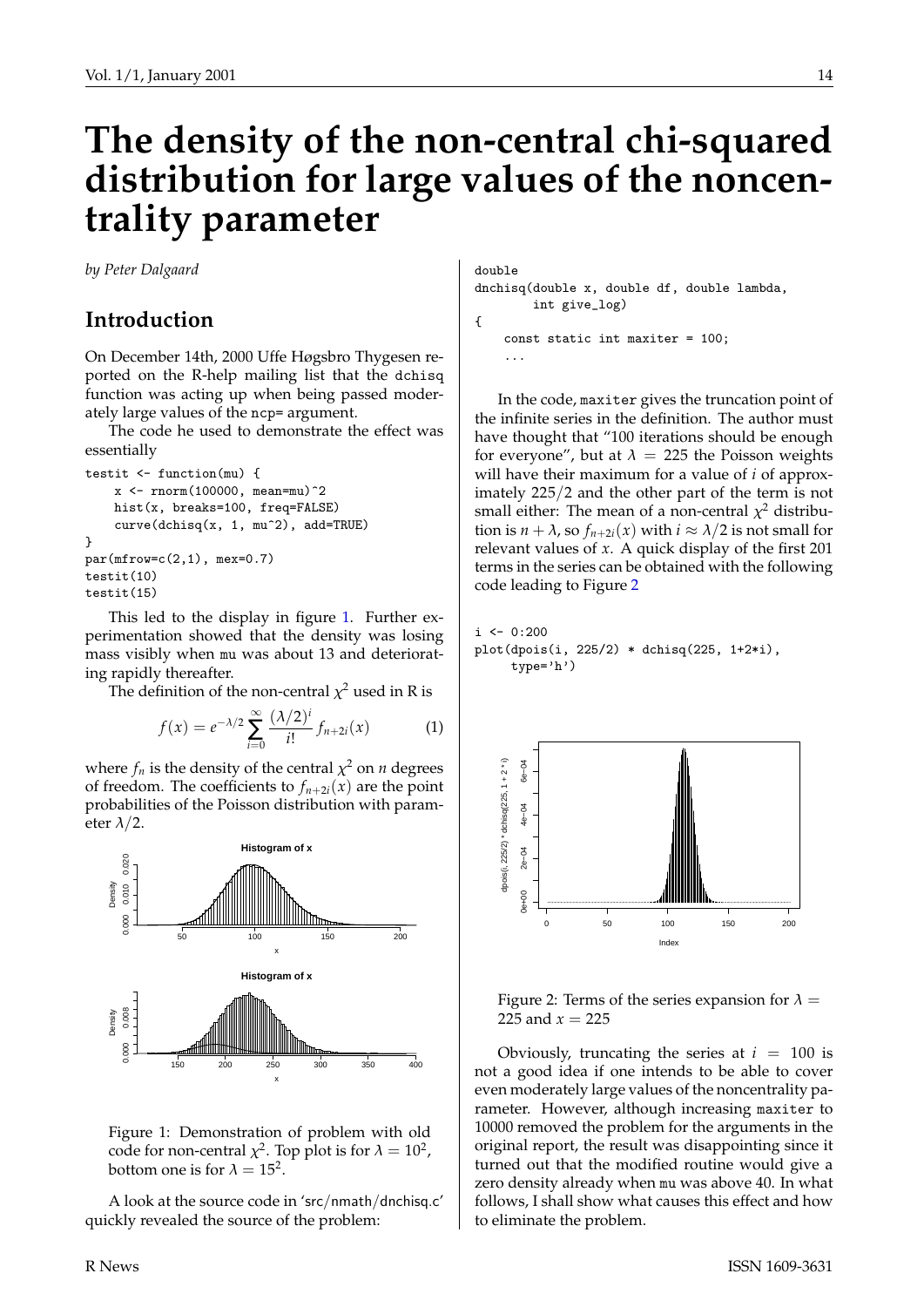## **The density of the non-central chi-squared distribution for large values of the noncentrality parameter**

*by Peter Dalgaard*

## **Introduction**

On December 14th, 2000 Uffe Høgsbro Thygesen reported on the R-help mailing list that the dchisq function was acting up when being passed moderately large values of the ncp= argument.

The code he used to demonstrate the effect was essentially

```
testit <- function(mu) {
    x <- rnorm(100000, mean=mu)^2
    hist(x, breaks=100, freq=FALSE)
    curve(dchisq(x, 1, mu^2), add=TRUE)
}
par(mfrow=c(2,1), mex=0.7)testit(10)
testit(15)
```
This led to the display in figure [1](#page-13-0). Further experimentation showed that the density was losing mass visibly when mu was about 13 and deteriorating rapidly thereafter.

The definition of the non-central  $\chi^2$  used in R is

<span id="page-13-2"></span>
$$
f(x) = e^{-\lambda/2} \sum_{i=0}^{\infty} \frac{(\lambda/2)^i}{i!} f_{n+2i}(x)
$$
 (1)

where  $f_n$  is the density of the central  $\chi^2$  on  $n$  degrees of freedom. The coefficients to  $f_{n+2i}(x)$  are the point probabilities of the Poisson distribution with parameter  $\lambda/2$ .



<span id="page-13-0"></span>Figure 1: Demonstration of problem with old code for non-central  $\chi^2$ . Top plot is for  $\lambda = 10^2$ , bottom one is for  $\lambda = 15^2$ .

A look at the source code in 'src/nmath/dnchisq.c' quickly revealed the source of the problem:

double dnchisq(double x, double df, double lambda, int give\_log) { const static int maxiter = 100; ...

In the code, maxiter gives the truncation point of the infinite series in the definition. The author must have thought that "100 iterations should be enough for everyone", but at  $\lambda = 225$  the Poisson weights will have their maximum for a value of *i* of approximately 225/2 and the other part of the term is not small either: The mean of a non-central  $\chi^2$  distribution is  $n + \lambda$ , so  $f_{n+2i}(x)$  with  $i \approx \lambda/2$  is not small for relevant values of *x*. A quick display of the first 201 terms in the series can be obtained with the following code leading to Figure [2](#page-13-1)

```
i \leftarrow 0:200plot(dpois(i, 225/2) * dchisq(225, 1+2*i),
     type='h')
```


<span id="page-13-1"></span>Figure 2: Terms of the series expansion for  $\lambda =$ 225 and  $x = 225$ 

Obviously, truncating the series at  $i = 100$  is not a good idea if one intends to be able to cover even moderately large values of the noncentrality parameter. However, although increasing maxiter to 10000 removed the problem for the arguments in the original report, the result was disappointing since it turned out that the modified routine would give a zero density already when mu was above 40. In what follows, I shall show what causes this effect and how to eliminate the problem.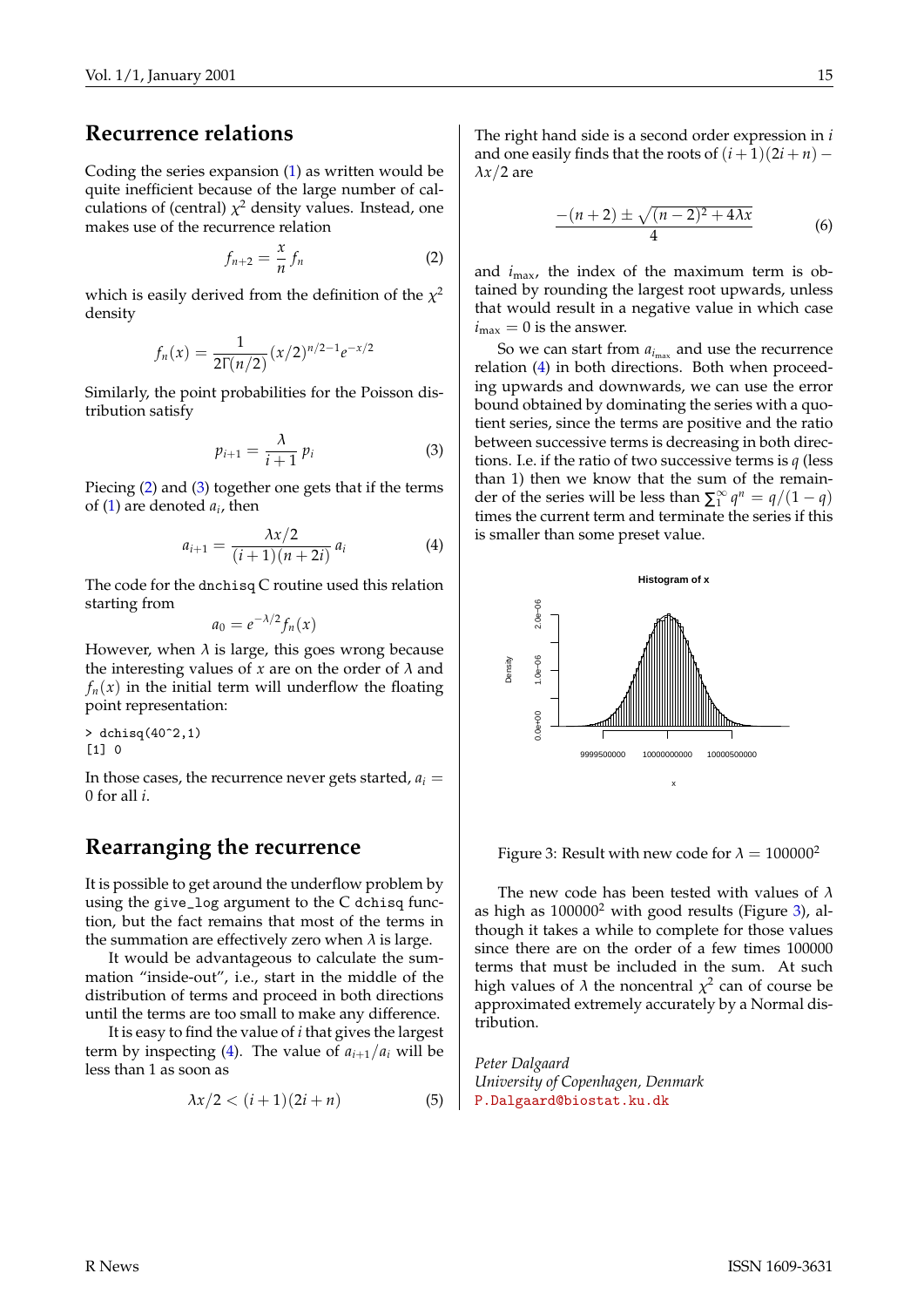### **Recurrence relations**

Coding the series expansion [\(1](#page-13-2)) as written would be quite inefficient because of the large number of calculations of (central)  $\chi^2$  density values. Instead, one makes use of the recurrence relation

<span id="page-14-0"></span>
$$
f_{n+2} = \frac{x}{n} f_n \tag{2}
$$

which is easily derived from the definition of the  $\chi^2$ density

$$
f_n(x) = \frac{1}{2\Gamma(n/2)} (x/2)^{n/2-1} e^{-x/2}
$$

Similarly, the point probabilities for the Poisson distribution satisfy

<span id="page-14-1"></span>
$$
p_{i+1} = \frac{\lambda}{i+1} p_i \tag{3}
$$

Piecing [\(2](#page-14-0)) and ([3\)](#page-14-1) together one gets that if the terms of ([1\)](#page-13-2) are denoted *a<sup>i</sup>* , then

<span id="page-14-2"></span>
$$
a_{i+1} = \frac{\lambda x/2}{(i+1)(n+2i)} a_i
$$
 (4)

The code for the dnchisq C routine used this relation starting from

$$
a_0=e^{-\lambda/2}f_n(x)
$$

However, when  $\lambda$  is large, this goes wrong because the interesting values of  $x$  are on the order of  $\lambda$  and  $f_n(x)$  in the initial term will underflow the floating point representation:

> dchisq(40^2,1)  $[1]$  0

In those cases, the recurrence never gets started,  $a_i =$ 0 for all *i*.

#### **Rearranging the recurrence**

It is possible to get around the underflow problem by using the give\_log argument to the C dchisq function, but the fact remains that most of the terms in the summation are effectively zero when  $\lambda$  is large.

It would be advantageous to calculate the summation "inside-out", i.e., start in the middle of the distribution of terms and proceed in both directions until the terms are too small to make any difference.

It is easy to find the value of *i* that gives the largest term by inspecting ([4\)](#page-14-2). The value of  $a_{i+1}/a_i$  will be less than 1 as soon as

$$
\lambda x/2 < (i+1)(2i+n) \tag{5}
$$

The right hand side is a second order expression in *i* and one easily finds that the roots of  $(i + 1)(2i + n)$  –  $\lambda x/2$  are

$$
\frac{-(n+2)\pm\sqrt{(n-2)^2+4\lambda x}}{4}
$$
 (6)

and  $i_{\text{max}}$ , the index of the maximum term is obtained by rounding the largest root upwards, unless that would result in a negative value in which case  $i_{\text{max}} = 0$  is the answer.

So we can start from  $a_{i_{\text{max}}}$  and use the recurrence relation [\(4](#page-14-2)) in both directions. Both when proceeding upwards and downwards, we can use the error bound obtained by dominating the series with a quotient series, since the terms are positive and the ratio between successive terms is decreasing in both directions. I.e. if the ratio of two successive terms is *q* (less than 1) then we know that the sum of the remainder of the series will be less than  $\Sigma_1^{\infty}$  $\int_{1}^{\infty} q^n = q/(1-q)$ times the current term and terminate the series if this is smaller than some preset value.



<span id="page-14-3"></span>Figure 3: Result with new code for  $\lambda = 100000^2$ 

The new code has been tested with values of  $\lambda$ as high as  $100000<sup>2</sup>$  with good results (Figure [3](#page-14-3)), although it takes a while to complete for those values since there are on the order of a few times 100000 terms that must be included in the sum. At such high values of  $\lambda$  the noncentral  $\chi^2$  can of course be approximated extremely accurately by a Normal distribution.

*Peter Dalgaard University of Copenhagen, Denmark* [P.Dalgaard@biostat.ku.dk](mailto:P.Dalgaard@biostat.ku.dk)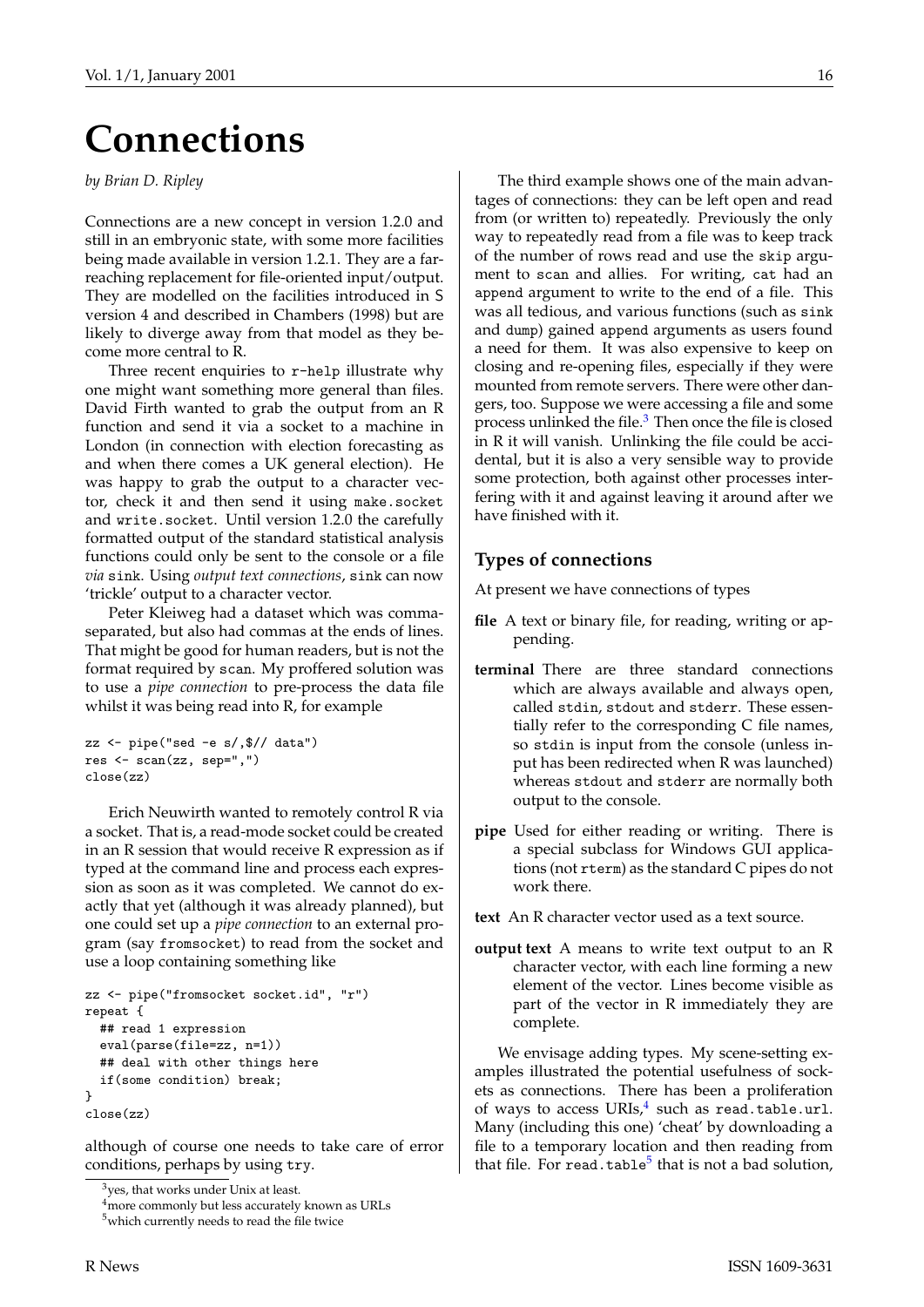## **Connections**

*by Brian D. Ripley*

Connections are a new concept in version 1.2.0 and still in an embryonic state, with some more facilities being made available in version 1.2.1. They are a farreaching replacement for file-oriented input/output. They are modelled on the facilities introduced in S version 4 and described in Chambers (1998) but are likely to diverge away from that model as they become more central to R.

Three recent enquiries to r-help illustrate why one might want something more general than files. David Firth wanted to grab the output from an R function and send it via a socket to a machine in London (in connection with election forecasting as and when there comes a UK general election). He was happy to grab the output to a character vector, check it and then send it using make.socket and write.socket. Until version 1.2.0 the carefully formatted output of the standard statistical analysis functions could only be sent to the console or a file *via* sink. Using *output text connections*, sink can now 'trickle' output to a character vector.

Peter Kleiweg had a dataset which was commaseparated, but also had commas at the ends of lines. That might be good for human readers, but is not the format required by scan. My proffered solution was to use a *pipe connection* to pre-process the data file whilst it was being read into R, for example

```
zz \leftarrow pipe("sed -e s/, $// data")
res <- scan(zz, sep=",")
close(zz)
```
Erich Neuwirth wanted to remotely control R via a socket. That is, a read-mode socket could be created in an R session that would receive R expression as if typed at the command line and process each expression as soon as it was completed. We cannot do exactly that yet (although it was already planned), but one could set up a *pipe connection* to an external program (say fromsocket) to read from the socket and use a loop containing something like

```
zz <- pipe("fromsocket socket.id", "r")
repeat {
 ## read 1 expression
  eval(parse(file=zz, n=1))
  ## deal with other things here
  if(some condition) break;
}
close(zz)
```
although of course one needs to take care of error conditions, perhaps by using try.

The third example shows one of the main advantages of connections: they can be left open and read from (or written to) repeatedly. Previously the only way to repeatedly read from a file was to keep track of the number of rows read and use the skip argument to scan and allies. For writing, cat had an append argument to write to the end of a file. This was all tedious, and various functions (such as sink and dump) gained append arguments as users found a need for them. It was also expensive to keep on closing and re-opening files, especially if they were mounted from remote servers. There were other dangers, too. Suppose we were accessing a file and some process unlinked the file.<sup>3</sup> Then once the file is closed in R it will vanish. Unlinking the file could be accidental, but it is also a very sensible way to provide some protection, both against other processes interfering with it and against leaving it around after we have finished with it.

#### **Types of connections**

At present we have connections of types

- **file** A text or binary file, for reading, writing or appending.
- **terminal** There are three standard connections which are always available and always open, called stdin, stdout and stderr. These essentially refer to the corresponding C file names, so stdin is input from the console (unless input has been redirected when R was launched) whereas stdout and stderr are normally both output to the console.
- **pipe** Used for either reading or writing. There is a special subclass for Windows GUI applications (not rterm) as the standard C pipes do not work there.
- **text** An R character vector used as a text source.
- **output text** A means to write text output to an R character vector, with each line forming a new element of the vector. Lines become visible as part of the vector in R immediately they are complete.

We envisage adding types. My scene-setting examples illustrated the potential usefulness of sockets as connections. There has been a proliferation of ways to access  $\mathrm{URIs}^{4}_t$  such as read.table.url. Many (including this one) 'cheat' by downloading a file to a temporary location and then reading from that file. For read.table<sup>5</sup> that is not a bad solution,

 $3$ yes, that works under Unix at least.

<sup>&</sup>lt;sup>4</sup>more commonly but less accurately known as URLs

<sup>5</sup>which currently needs to read the file twice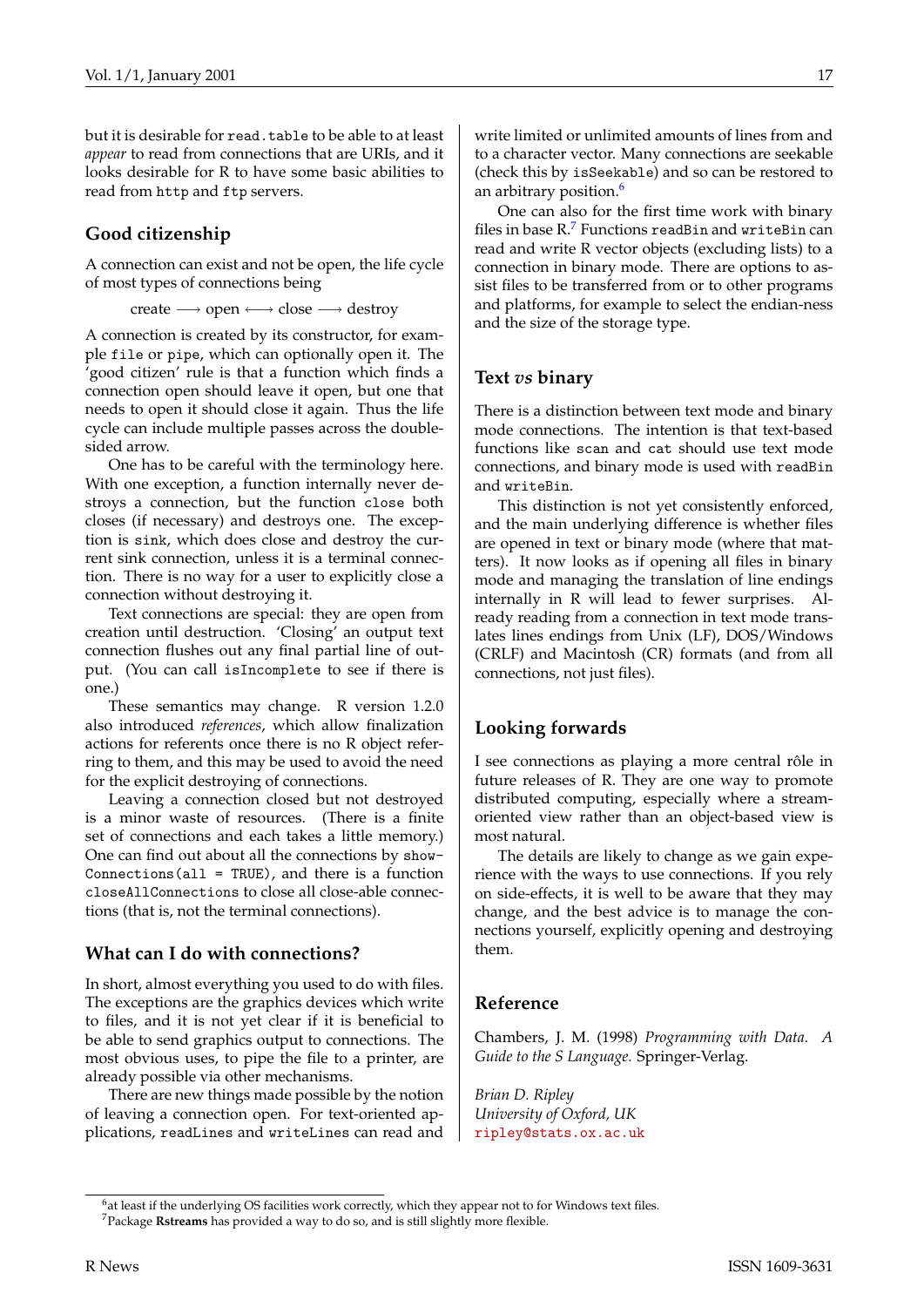but it is desirable for read.table to be able to at least *appear* to read from connections that are URIs, and it looks desirable for R to have some basic abilities to read from http and ftp servers.

#### **Good citizenship**

A connection can exist and not be open, the life cycle of most types of connections being

create −→ open ←→ close −→ destroy

A connection is created by its constructor, for example file or pipe, which can optionally open it. The 'good citizen' rule is that a function which finds a connection open should leave it open, but one that needs to open it should close it again. Thus the life cycle can include multiple passes across the doublesided arrow.

One has to be careful with the terminology here. With one exception, a function internally never destroys a connection, but the function close both closes (if necessary) and destroys one. The exception is sink, which does close and destroy the current sink connection, unless it is a terminal connection. There is no way for a user to explicitly close a connection without destroying it.

Text connections are special: they are open from creation until destruction. 'Closing' an output text connection flushes out any final partial line of output. (You can call isIncomplete to see if there is one.)

These semantics may change. R version 1.2.0 also introduced *references*, which allow finalization actions for referents once there is no R object referring to them, and this may be used to avoid the need for the explicit destroying of connections.

Leaving a connection closed but not destroyed is a minor waste of resources. (There is a finite set of connections and each takes a little memory.) One can find out about all the connections by show-Connections(all = TRUE), and there is a function closeAllConnections to close all close-able connections (that is, not the terminal connections).

#### **What can I do with connections?**

In short, almost everything you used to do with files. The exceptions are the graphics devices which write to files, and it is not yet clear if it is beneficial to be able to send graphics output to connections. The most obvious uses, to pipe the file to a printer, are already possible via other mechanisms.

There are new things made possible by the notion of leaving a connection open. For text-oriented applications, readLines and writeLines can read and write limited or unlimited amounts of lines from and to a character vector. Many connections are seekable (check this by isSeekable) and so can be restored to an arbitrary position.<sup>6</sup>

One can also for the first time work with binary files in base  $R<sup>7</sup>$  Functions readBin and writeBin can read and write R vector objects (excluding lists) to a connection in binary mode. There are options to assist files to be transferred from or to other programs and platforms, for example to select the endian-ness and the size of the storage type.

#### **Text** *vs* **binary**

There is a distinction between text mode and binary mode connections. The intention is that text-based functions like scan and cat should use text mode connections, and binary mode is used with readBin and writeBin.

This distinction is not yet consistently enforced, and the main underlying difference is whether files are opened in text or binary mode (where that matters). It now looks as if opening all files in binary mode and managing the translation of line endings internally in R will lead to fewer surprises. Already reading from a connection in text mode translates lines endings from Unix (LF), DOS/Windows (CRLF) and Macintosh (CR) formats (and from all connections, not just files).

#### **Looking forwards**

I see connections as playing a more central rôle in future releases of R. They are one way to promote distributed computing, especially where a streamoriented view rather than an object-based view is most natural.

The details are likely to change as we gain experience with the ways to use connections. If you rely on side-effects, it is well to be aware that they may change, and the best advice is to manage the connections yourself, explicitly opening and destroying them.

#### **Reference**

Chambers, J. M. (1998) *Programming with Data. A Guide to the S Language.* Springer-Verlag.

*Brian D. Ripley University of Oxford, UK* [ripley@stats.ox.ac.uk](mailto:ripley@stats.ox.ac.uk)

<sup>&</sup>lt;sup>6</sup>at least if the underlying OS facilities work correctly, which they appear not to for Windows text files. <sup>7</sup>Package **Rstreams** has provided a way to do so, and is still slightly more flexible.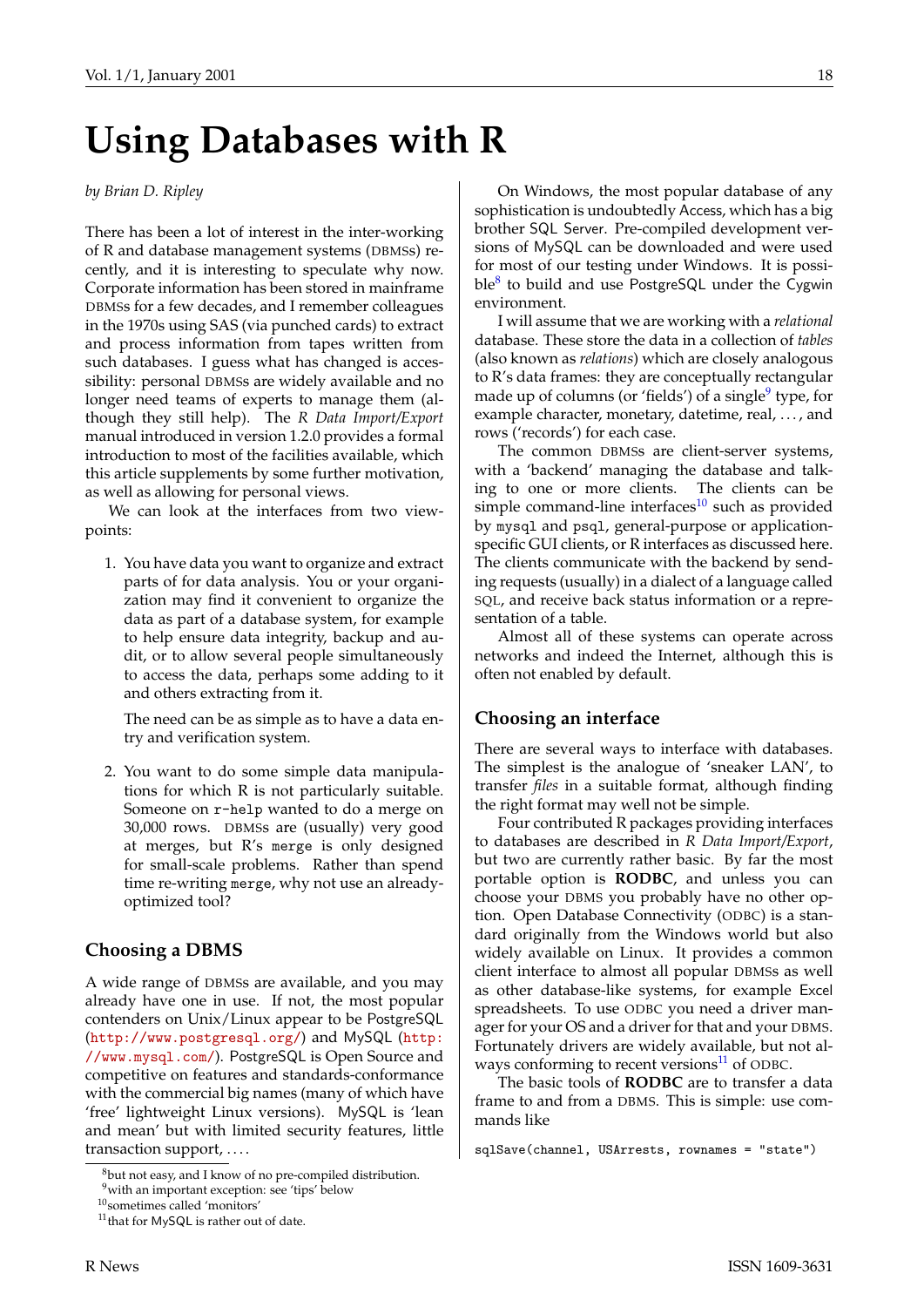## **Using Databases with R**

#### *by Brian D. Ripley*

There has been a lot of interest in the inter-working of R and database management systems (DBMSs) recently, and it is interesting to speculate why now. Corporate information has been stored in mainframe DBMSs for a few decades, and I remember colleagues in the 1970s using SAS (via punched cards) to extract and process information from tapes written from such databases. I guess what has changed is accessibility: personal DBMSs are widely available and no longer need teams of experts to manage them (although they still help). The *R Data Import/Export* manual introduced in version 1.2.0 provides a formal introduction to most of the facilities available, which this article supplements by some further motivation, as well as allowing for personal views.

We can look at the interfaces from two viewpoints:

1. You have data you want to organize and extract parts of for data analysis. You or your organization may find it convenient to organize the data as part of a database system, for example to help ensure data integrity, backup and audit, or to allow several people simultaneously to access the data, perhaps some adding to it and others extracting from it.

The need can be as simple as to have a data entry and verification system.

2. You want to do some simple data manipulations for which R is not particularly suitable. Someone on r-help wanted to do a merge on 30,000 rows. DBMSs are (usually) very good at merges, but R's merge is only designed for small-scale problems. Rather than spend time re-writing merge, why not use an alreadyoptimized tool?

#### **Choosing a DBMS**

A wide range of DBMSs are available, and you may already have one in use. If not, the most popular contenders on Unix/Linux appear to be PostgreSQL (<http://www.postgresql.org/>) and MySQL ([http:](http://www.mysql.com/) [//www.mysql.com/](http://www.mysql.com/)). PostgreSQL is Open Source and competitive on features and standards-conformance with the commercial big names (many of which have 'free' lightweight Linux versions). MySQL is 'lean and mean' but with limited security features, little transaction support, ....

On Windows, the most popular database of any sophistication is undoubtedly Access, which has a big brother SQL Server. Pre-compiled development versions of MySQL can be downloaded and were used for most of our testing under Windows. It is possible8 to build and use PostgreSQL under the Cygwin environment.

I will assume that we are working with a *relational* database. These store the data in a collection of *tables* (also known as *relations*) which are closely analogous to R's data frames: they are conceptually rectangular made up of columns (or 'fields') of a single<sup>9</sup> type, for example character, monetary, datetime, real, ..., and rows ('records') for each case.

The common DBMSs are client-server systems, with a 'backend' managing the database and talking to one or more clients. The clients can be simple command-line interfaces $10$  such as provided by mysql and psql, general-purpose or applicationspecific GUI clients, or R interfaces as discussed here. The clients communicate with the backend by sending requests (usually) in a dialect of a language called SQL, and receive back status information or a representation of a table.

Almost all of these systems can operate across networks and indeed the Internet, although this is often not enabled by default.

#### **Choosing an interface**

There are several ways to interface with databases. The simplest is the analogue of 'sneaker LAN', to transfer *files* in a suitable format, although finding the right format may well not be simple.

Four contributed R packages providing interfaces to databases are described in *R Data Import/Export*, but two are currently rather basic. By far the most portable option is **RODBC**, and unless you can choose your DBMS you probably have no other option. Open Database Connectivity (ODBC) is a standard originally from the Windows world but also widely available on Linux. It provides a common client interface to almost all popular DBMSs as well as other database-like systems, for example Excel spreadsheets. To use ODBC you need a driver manager for your OS and a driver for that and your DBMS. Fortunately drivers are widely available, but not always conforming to recent versions $^{11}$  of ODBC.

The basic tools of **RODBC** are to transfer a data frame to and from a DBMS. This is simple: use commands like

<sup>8</sup>but not easy, and I know of no pre-compiled distribution.

<sup>9</sup>with an important exception: see 'tips' below

 $^{10}\!$  sometimes called 'monitors'

<sup>11</sup>that for MySQL is rather out of date.

sqlSave(channel, USArrests, rownames = "state")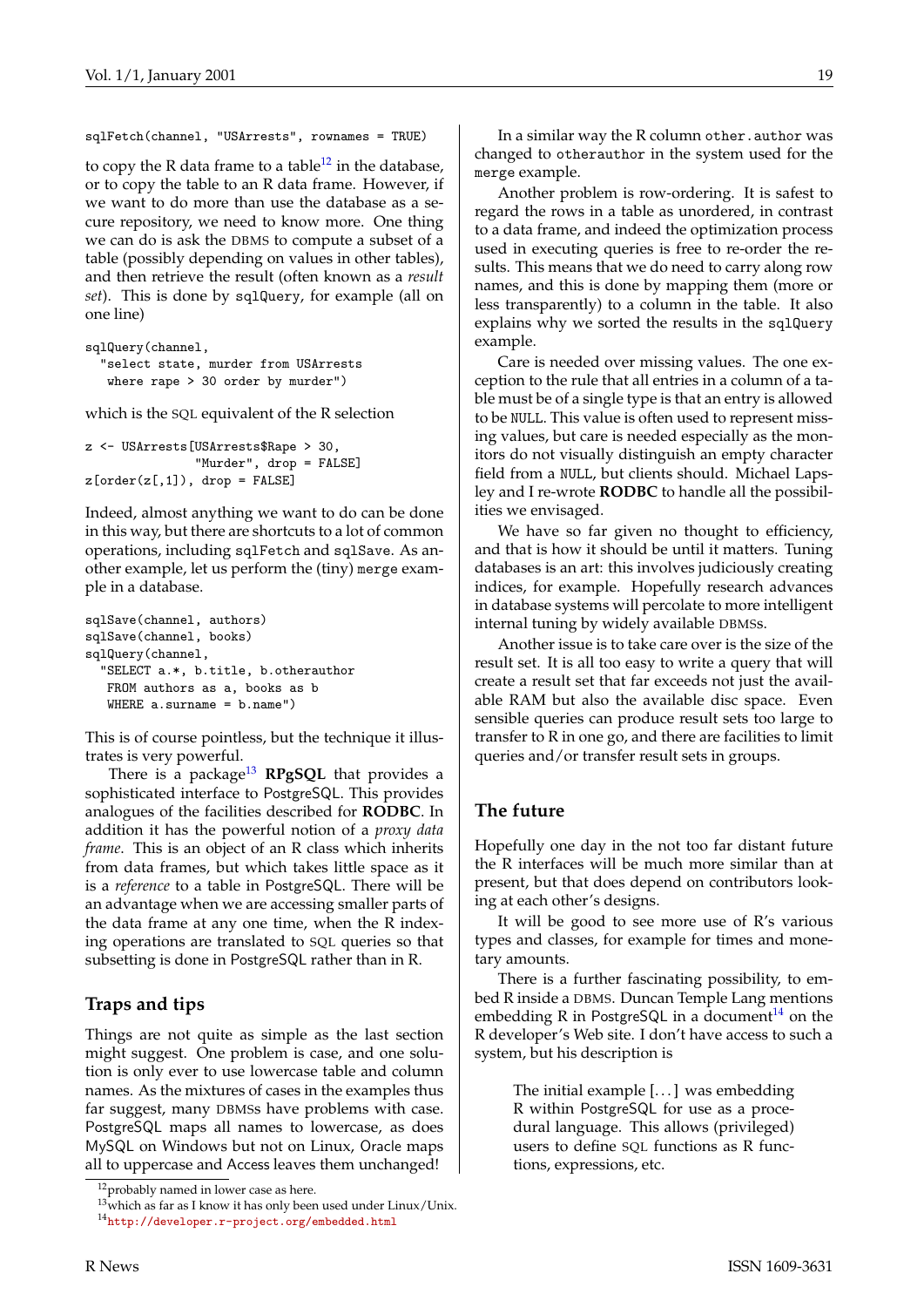sqlFetch(channel, "USArrests", rownames = TRUE)

to copy the R data frame to a table<sup>12</sup> in the database, or to copy the table to an R data frame. However, if we want to do more than use the database as a secure repository, we need to know more. One thing we can do is ask the DBMS to compute a subset of a table (possibly depending on values in other tables), and then retrieve the result (often known as a *result set*). This is done by sqlQuery, for example (all on one line)

```
sqlQuery(channel,
  "select state, murder from USArrests
  where rape > 30 order by murder")
```
which is the SQL equivalent of the R selection

```
z <- USArrests[USArrests$Rape > 30,
               "Murder", drop = FALSE]
z[order(z[,1]), drop = FALSE]
```
Indeed, almost anything we want to do can be done in this way, but there are shortcuts to a lot of common operations, including sqlFetch and sqlSave. As another example, let us perform the (tiny) merge example in a database.

```
sqlSave(channel, authors)
sqlSave(channel, books)
sqlQuery(channel,
  "SELECT a.*, b.title, b.otherauthor
  FROM authors as a, books as b
  WHERE a.surname = b.name")
```
This is of course pointless, but the technique it illustrates is very powerful.

There is a package<sup>13</sup> RPgSQL that provides a sophisticated interface to PostgreSQL. This provides analogues of the facilities described for **RODBC**. In addition it has the powerful notion of a *proxy data frame*. This is an object of an R class which inherits from data frames, but which takes little space as it is a *reference* to a table in PostgreSQL. There will be an advantage when we are accessing smaller parts of the data frame at any one time, when the R indexing operations are translated to SQL queries so that subsetting is done in PostgreSQL rather than in R.

#### **Traps and tips**

Things are not quite as simple as the last section might suggest. One problem is case, and one solution is only ever to use lowercase table and column names. As the mixtures of cases in the examples thus far suggest, many DBMSs have problems with case. PostgreSQL maps all names to lowercase, as does MySQL on Windows but not on Linux, Oracle maps all to uppercase and Access leaves them unchanged!

In a similar way the R column other.author was changed to otherauthor in the system used for the merge example.

Another problem is row-ordering. It is safest to regard the rows in a table as unordered, in contrast to a data frame, and indeed the optimization process used in executing queries is free to re-order the results. This means that we do need to carry along row names, and this is done by mapping them (more or less transparently) to a column in the table. It also explains why we sorted the results in the sqlQuery example.

Care is needed over missing values. The one exception to the rule that all entries in a column of a table must be of a single type is that an entry is allowed to be NULL. This value is often used to represent missing values, but care is needed especially as the monitors do not visually distinguish an empty character field from a NULL, but clients should. Michael Lapsley and I re-wrote **RODBC** to handle all the possibilities we envisaged.

We have so far given no thought to efficiency, and that is how it should be until it matters. Tuning databases is an art: this involves judiciously creating indices, for example. Hopefully research advances in database systems will percolate to more intelligent internal tuning by widely available DBMSs.

Another issue is to take care over is the size of the result set. It is all too easy to write a query that will create a result set that far exceeds not just the available RAM but also the available disc space. Even sensible queries can produce result sets too large to transfer to R in one go, and there are facilities to limit queries and/or transfer result sets in groups.

#### **The future**

Hopefully one day in the not too far distant future the R interfaces will be much more similar than at present, but that does depend on contributors looking at each other's designs.

It will be good to see more use of R's various types and classes, for example for times and monetary amounts.

There is a further fascinating possibility, to embed R inside a DBMS. Duncan Temple Lang mentions embedding R in PostgreSQL in a document<sup>14</sup> on the R developer's Web site. I don't have access to such a system, but his description is

> The initial example [. . . ] was embedding R within PostgreSQL for use as a procedural language. This allows (privileged) users to define SQL functions as R functions, expressions, etc.

<sup>&</sup>lt;sup>12</sup>probably named in lower case as here.

 $13$ <sup>w</sup> which as far as I know it has only been used under Linux/Unix. <sup>14</sup><http://developer.r-project.org/embedded.html>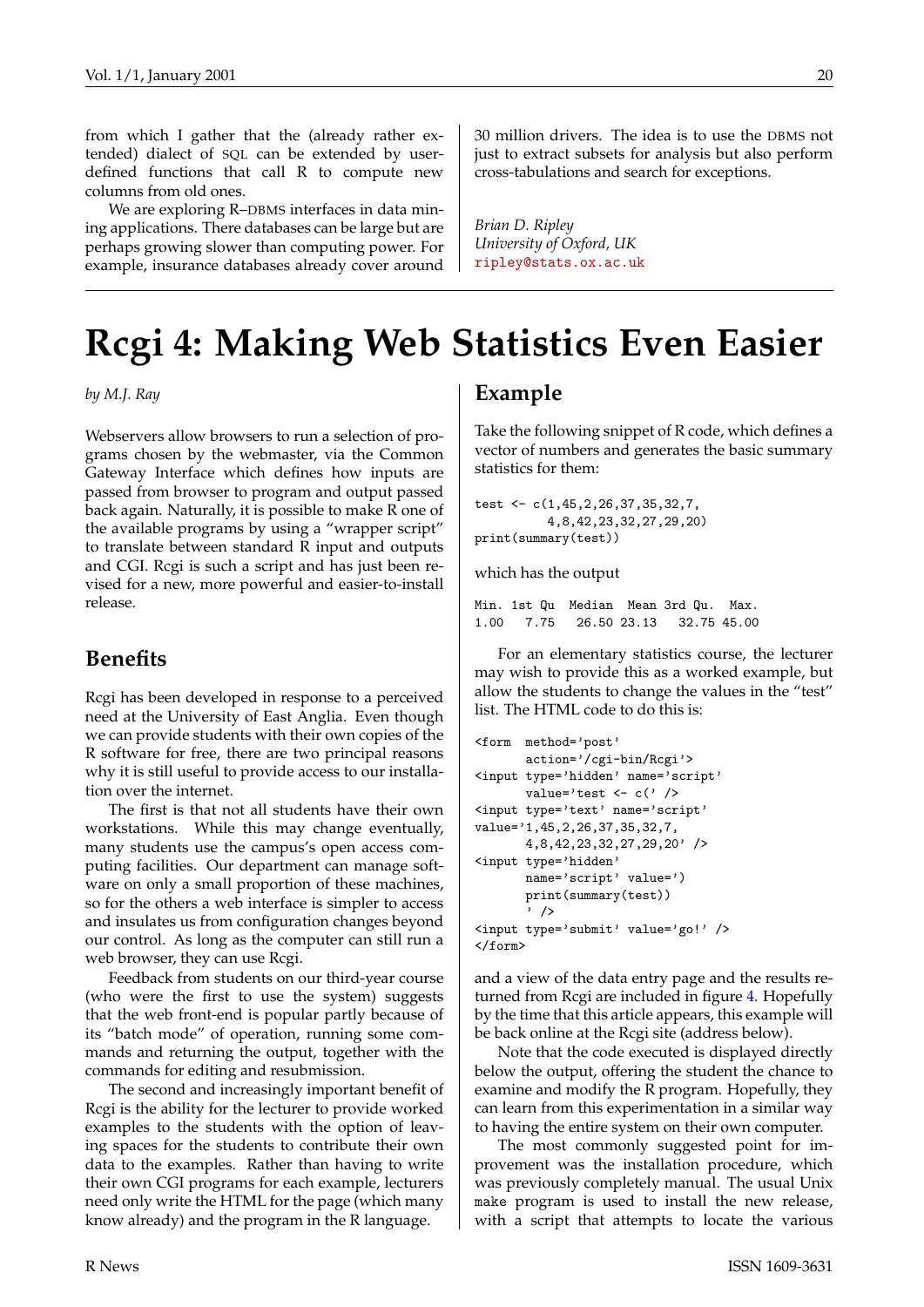from which I gather that the (already rather extended) dialect of SQL can be extended by userdefined functions that call R to compute new columns from old ones.

We are exploring R–DBMS interfaces in data mining applications. There databases can be large but are perhaps growing slower than computing power. For example, insurance databases already cover around 30 million drivers. The idea is to use the DBMS not just to extract subsets for analysis but also perform cross-tabulations and search for exceptions.

*Brian D. Ripley University of Oxford, UK* [ripley@stats.ox.ac.uk](mailto:ripley@stats.ox.ac.uk)

## **Rcgi 4: Making Web Statistics Even Easier**

*by M.J. Ray*

Webservers allow browsers to run a selection of programs chosen by the webmaster, via the Common Gateway Interface which defines how inputs are passed from browser to program and output passed back again. Naturally, it is possible to make R one of the available programs by using a "wrapper script" to translate between standard R input and outputs and CGI. Rcgi is such a script and has just been revised for a new, more powerful and easier-to-install release.

#### **Benefits**

Rcgi has been developed in response to a perceived need at the University of East Anglia. Even though we can provide students with their own copies of the R software for free, there are two principal reasons why it is still useful to provide access to our installation over the internet.

The first is that not all students have their own workstations. While this may change eventually, many students use the campus's open access computing facilities. Our department can manage software on only a small proportion of these machines, so for the others a web interface is simpler to access and insulates us from configuration changes beyond our control. As long as the computer can still run a web browser, they can use Rcgi.

Feedback from students on our third-year course (who were the first to use the system) suggests that the web front-end is popular partly because of its "batch mode" of operation, running some commands and returning the output, together with the commands for editing and resubmission.

The second and increasingly important benefit of Rcgi is the ability for the lecturer to provide worked examples to the students with the option of leaving spaces for the students to contribute their own data to the examples. Rather than having to write their own CGI programs for each example, lecturers need only write the HTML for the page (which many know already) and the program in the R language.

### **Example**

Take the following snippet of R code, which defines a vector of numbers and generates the basic summary statistics for them:

test <- c(1,45,2,26,37,35,32,7, 4,8,42,23,32,27,29,20) print(summary(test))

which has the output

Min. 1st Qu Median Mean 3rd Qu. Max. 1.00 7.75 26.50 23.13 32.75 45.00

For an elementary statistics course, the lecturer may wish to provide this as a worked example, but allow the students to change the values in the "test" list. The HTML code to do this is:

```
<form method='post'
      action='/cgi-bin/Rcgi'>
<input type='hidden' name='script'
      value='test <- c(' />
<input type='text' name='script'
value='1,45,2,26,37,35,32,7,
      4,8,42,23,32,27,29,20' />
<input type='hidden'
      name='script' value=')
      print(summary(test))
       ' />
<input type='submit' value='go!' />
</form>
```
and a view of the data entry page and the results returned from Rcgi are included in figure [4](#page-20-0). Hopefully by the time that this article appears, this example will be back online at the Rcgi site (address below).

Note that the code executed is displayed directly below the output, offering the student the chance to examine and modify the R program. Hopefully, they can learn from this experimentation in a similar way to having the entire system on their own computer.

The most commonly suggested point for improvement was the installation procedure, which was previously completely manual. The usual Unix make program is used to install the new release, with a script that attempts to locate the various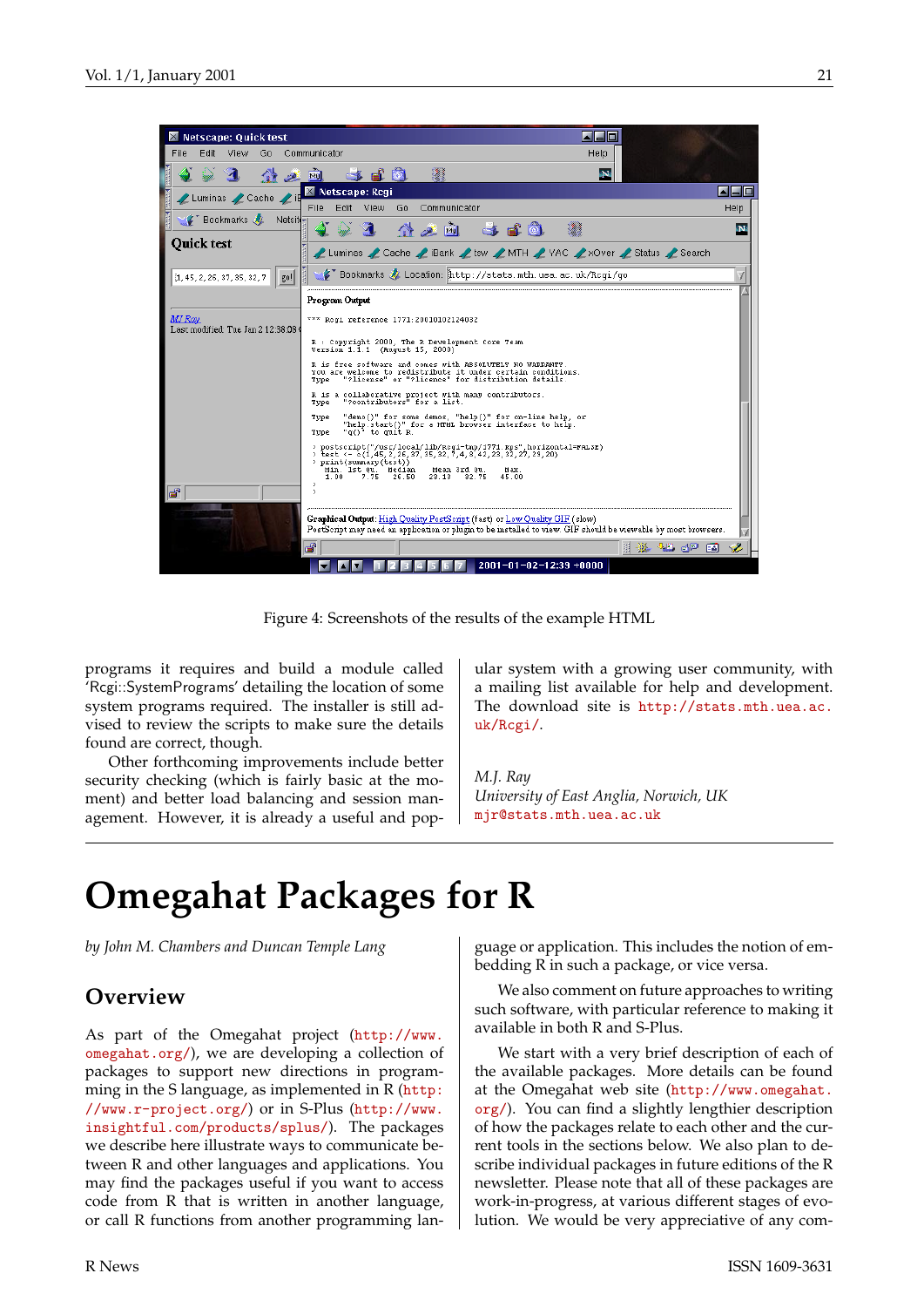

Figure 4: Screenshots of the results of the example HTML

<span id="page-20-0"></span>programs it requires and build a module called 'Rcgi::SystemPrograms' detailing the location of some system programs required. The installer is still advised to review the scripts to make sure the details found are correct, though.

Other forthcoming improvements include better security checking (which is fairly basic at the moment) and better load balancing and session management. However, it is already a useful and popular system with a growing user community, with a mailing list available for help and development. The download site is [http://stats.mth.uea.ac.](http://stats.mth.uea.ac.uk/Rcgi/) [uk/Rcgi/](http://stats.mth.uea.ac.uk/Rcgi/).

*M.J. Ray University of East Anglia, Norwich, UK* [mjr@stats.mth.uea.ac.uk](mailto:mjr@stats.mth.uea.ac.uk)

# **Omegahat Packages for R**

*by John M. Chambers and Duncan Temple Lang*

## **Overview**

As part of the Omegahat project ([http://www.](http://www.omegahat.org/) [omegahat.org/](http://www.omegahat.org/)), we are developing a collection of packages to support new directions in programming in the S language, as implemented in R ([http:](http://www.r-project.org/) [//www.r-project.org/](http://www.r-project.org/)) or in S-Plus ([http://www.](http://www.insightful.com/products/splus/) [insightful.com/products/splus/](http://www.insightful.com/products/splus/)). The packages we describe here illustrate ways to communicate between R and other languages and applications. You may find the packages useful if you want to access code from R that is written in another language, or call R functions from another programming lan-

guage or application. This includes the notion of embedding R in such a package, or vice versa.

We also comment on future approaches to writing such software, with particular reference to making it available in both R and S-Plus.

We start with a very brief description of each of the available packages. More details can be found at the Omegahat web site ([http://www.omegahat.](http://www.omegahat.org/) [org/](http://www.omegahat.org/)). You can find a slightly lengthier description of how the packages relate to each other and the current tools in the sections below. We also plan to describe individual packages in future editions of the R newsletter. Please note that all of these packages are work-in-progress, at various different stages of evolution. We would be very appreciative of any com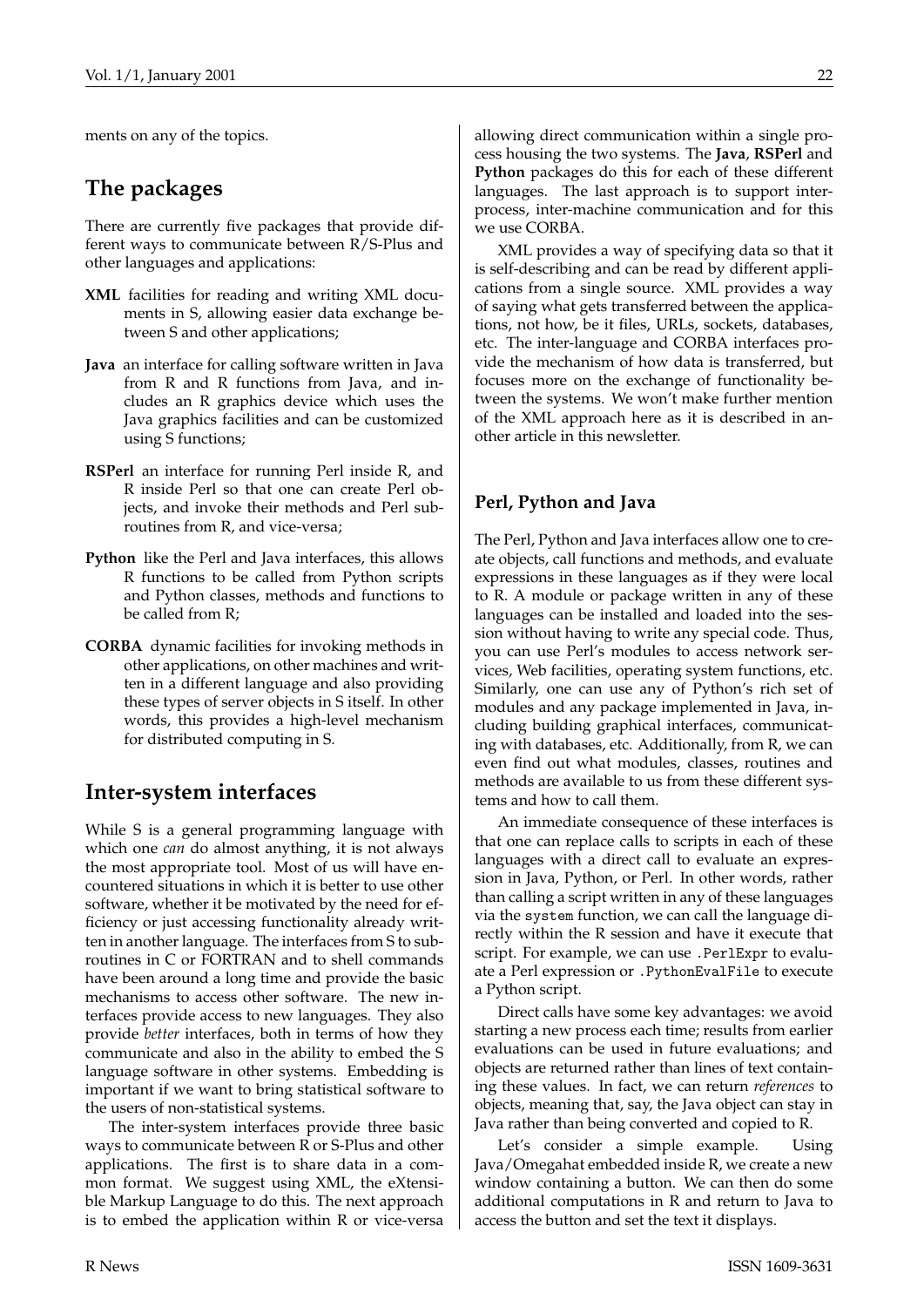ments on any of the topics.

## **The packages**

There are currently five packages that provide different ways to communicate between R/S-Plus and other languages and applications:

- **XML** facilities for reading and writing XML documents in S, allowing easier data exchange between S and other applications;
- **Java** an interface for calling software written in Java from R and R functions from Java, and includes an R graphics device which uses the Java graphics facilities and can be customized using S functions;
- **RSPerl** an interface for running Perl inside R, and R inside Perl so that one can create Perl objects, and invoke their methods and Perl subroutines from R, and vice-versa;
- **Python** like the Perl and Java interfaces, this allows R functions to be called from Python scripts and Python classes, methods and functions to be called from R;
- **CORBA** dynamic facilities for invoking methods in other applications, on other machines and written in a different language and also providing these types of server objects in S itself. In other words, this provides a high-level mechanism for distributed computing in S.

## **Inter-system interfaces**

While S is a general programming language with which one *can* do almost anything, it is not always the most appropriate tool. Most of us will have encountered situations in which it is better to use other software, whether it be motivated by the need for efficiency or just accessing functionality already written in another language. The interfaces from S to subroutines in C or FORTRAN and to shell commands have been around a long time and provide the basic mechanisms to access other software. The new interfaces provide access to new languages. They also provide *better* interfaces, both in terms of how they communicate and also in the ability to embed the S language software in other systems. Embedding is important if we want to bring statistical software to the users of non-statistical systems.

The inter-system interfaces provide three basic ways to communicate between R or S-Plus and other applications. The first is to share data in a common format. We suggest using XML, the eXtensible Markup Language to do this. The next approach is to embed the application within R or vice-versa allowing direct communication within a single process housing the two systems. The **Java**, **RSPerl** and **Python** packages do this for each of these different languages. The last approach is to support interprocess, inter-machine communication and for this we use CORBA.

XML provides a way of specifying data so that it is self-describing and can be read by different applications from a single source. XML provides a way of saying what gets transferred between the applications, not how, be it files, URLs, sockets, databases, etc. The inter-language and CORBA interfaces provide the mechanism of how data is transferred, but focuses more on the exchange of functionality between the systems. We won't make further mention of the XML approach here as it is described in another article in this newsletter.

### **Perl, Python and Java**

The Perl, Python and Java interfaces allow one to create objects, call functions and methods, and evaluate expressions in these languages as if they were local to R. A module or package written in any of these languages can be installed and loaded into the session without having to write any special code. Thus, you can use Perl's modules to access network services, Web facilities, operating system functions, etc. Similarly, one can use any of Python's rich set of modules and any package implemented in Java, including building graphical interfaces, communicating with databases, etc. Additionally, from R, we can even find out what modules, classes, routines and methods are available to us from these different systems and how to call them.

An immediate consequence of these interfaces is that one can replace calls to scripts in each of these languages with a direct call to evaluate an expression in Java, Python, or Perl. In other words, rather than calling a script written in any of these languages via the system function, we can call the language directly within the R session and have it execute that script. For example, we can use .PerlExpr to evaluate a Perl expression or .PythonEvalFile to execute a Python script.

Direct calls have some key advantages: we avoid starting a new process each time; results from earlier evaluations can be used in future evaluations; and objects are returned rather than lines of text containing these values. In fact, we can return *references* to objects, meaning that, say, the Java object can stay in Java rather than being converted and copied to R.

Let's consider a simple example. Using Java/Omegahat embedded inside R, we create a new window containing a button. We can then do some additional computations in R and return to Java to access the button and set the text it displays.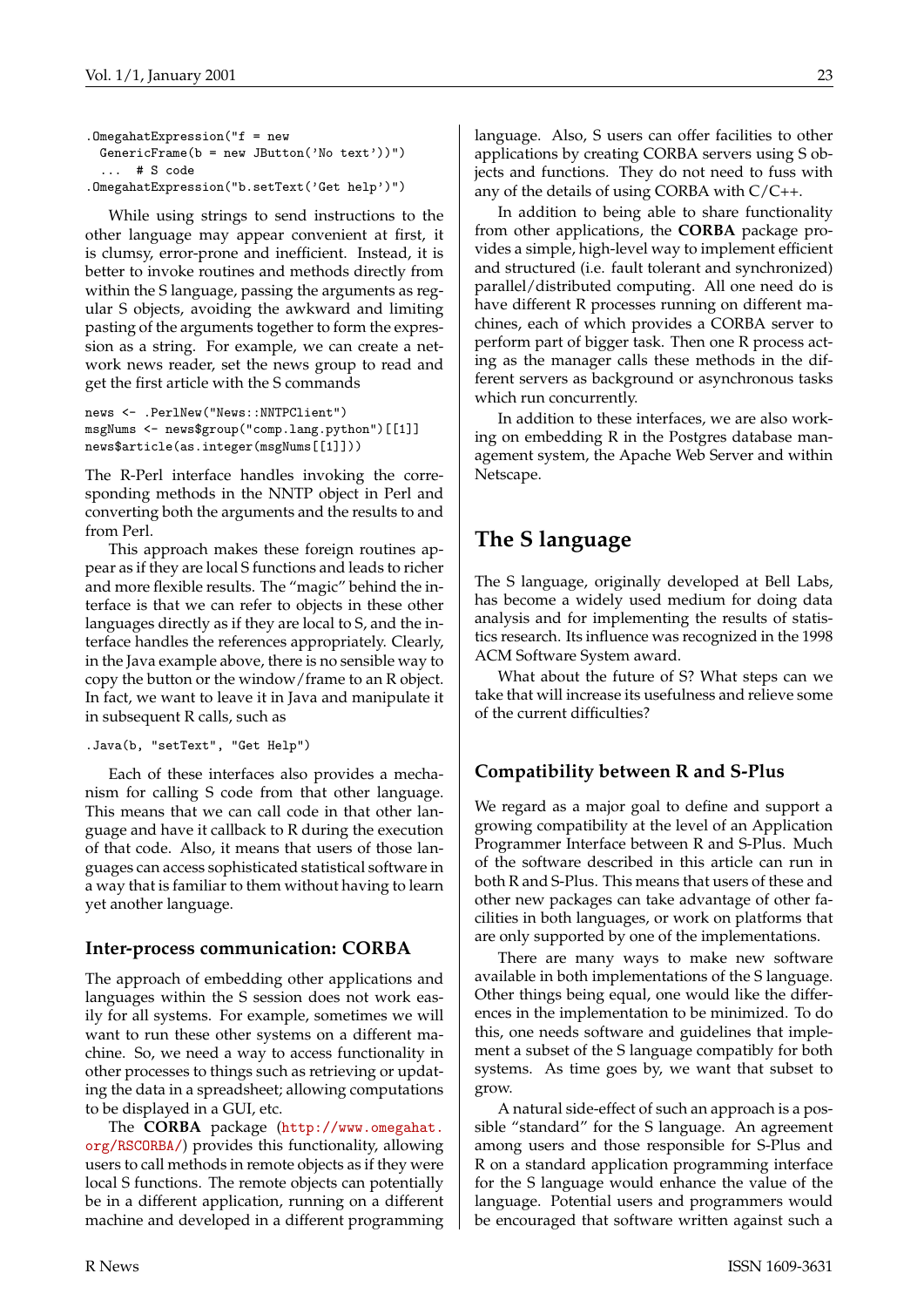```
.OmegahatExpression("f = new
 GenericFrame(b = new JButton('No text'))")
  ... # S code
.OmegahatExpression("b.setText('Get help')")
```
While using strings to send instructions to the other language may appear convenient at first, it is clumsy, error-prone and inefficient. Instead, it is better to invoke routines and methods directly from within the S language, passing the arguments as regular S objects, avoiding the awkward and limiting pasting of the arguments together to form the expression as a string. For example, we can create a network news reader, set the news group to read and get the first article with the S commands

```
news <- .PerlNew("News::NNTPClient")
msgNums <- news$group("comp.lang.python")[[1]]
news$article(as.integer(msgNums[[1]]))
```
The R-Perl interface handles invoking the corresponding methods in the NNTP object in Perl and converting both the arguments and the results to and from Perl.

This approach makes these foreign routines appear as if they are local S functions and leads to richer and more flexible results. The "magic" behind the interface is that we can refer to objects in these other languages directly as if they are local to S, and the interface handles the references appropriately. Clearly, in the Java example above, there is no sensible way to copy the button or the window/frame to an R object. In fact, we want to leave it in Java and manipulate it in subsequent R calls, such as

```
.Java(b, "setText", "Get Help")
```
Each of these interfaces also provides a mechanism for calling S code from that other language. This means that we can call code in that other language and have it callback to R during the execution of that code. Also, it means that users of those languages can access sophisticated statistical software in a way that is familiar to them without having to learn yet another language.

#### **Inter-process communication: CORBA**

The approach of embedding other applications and languages within the S session does not work easily for all systems. For example, sometimes we will want to run these other systems on a different machine. So, we need a way to access functionality in other processes to things such as retrieving or updating the data in a spreadsheet; allowing computations to be displayed in a GUI, etc.

The **CORBA** package ([http://www.omegahat.](http://www.omegahat.org/RSCORBA/) [org/RSCORBA/](http://www.omegahat.org/RSCORBA/)) provides this functionality, allowing users to call methods in remote objects as if they were local S functions. The remote objects can potentially be in a different application, running on a different machine and developed in a different programming language. Also, S users can offer facilities to other applications by creating CORBA servers using S objects and functions. They do not need to fuss with any of the details of using CORBA with C/C++.

In addition to being able to share functionality from other applications, the **CORBA** package provides a simple, high-level way to implement efficient and structured (i.e. fault tolerant and synchronized) parallel/distributed computing. All one need do is have different R processes running on different machines, each of which provides a CORBA server to perform part of bigger task. Then one R process acting as the manager calls these methods in the different servers as background or asynchronous tasks which run concurrently.

In addition to these interfaces, we are also working on embedding R in the Postgres database management system, the Apache Web Server and within Netscape.

## **The S language**

The S language, originally developed at Bell Labs, has become a widely used medium for doing data analysis and for implementing the results of statistics research. Its influence was recognized in the 1998 ACM Software System award.

What about the future of S? What steps can we take that will increase its usefulness and relieve some of the current difficulties?

## **Compatibility between R and S-Plus**

We regard as a major goal to define and support a growing compatibility at the level of an Application Programmer Interface between R and S-Plus. Much of the software described in this article can run in both R and S-Plus. This means that users of these and other new packages can take advantage of other facilities in both languages, or work on platforms that are only supported by one of the implementations.

There are many ways to make new software available in both implementations of the S language. Other things being equal, one would like the differences in the implementation to be minimized. To do this, one needs software and guidelines that implement a subset of the S language compatibly for both systems. As time goes by, we want that subset to grow.

A natural side-effect of such an approach is a possible "standard" for the S language. An agreement among users and those responsible for S-Plus and R on a standard application programming interface for the S language would enhance the value of the language. Potential users and programmers would be encouraged that software written against such a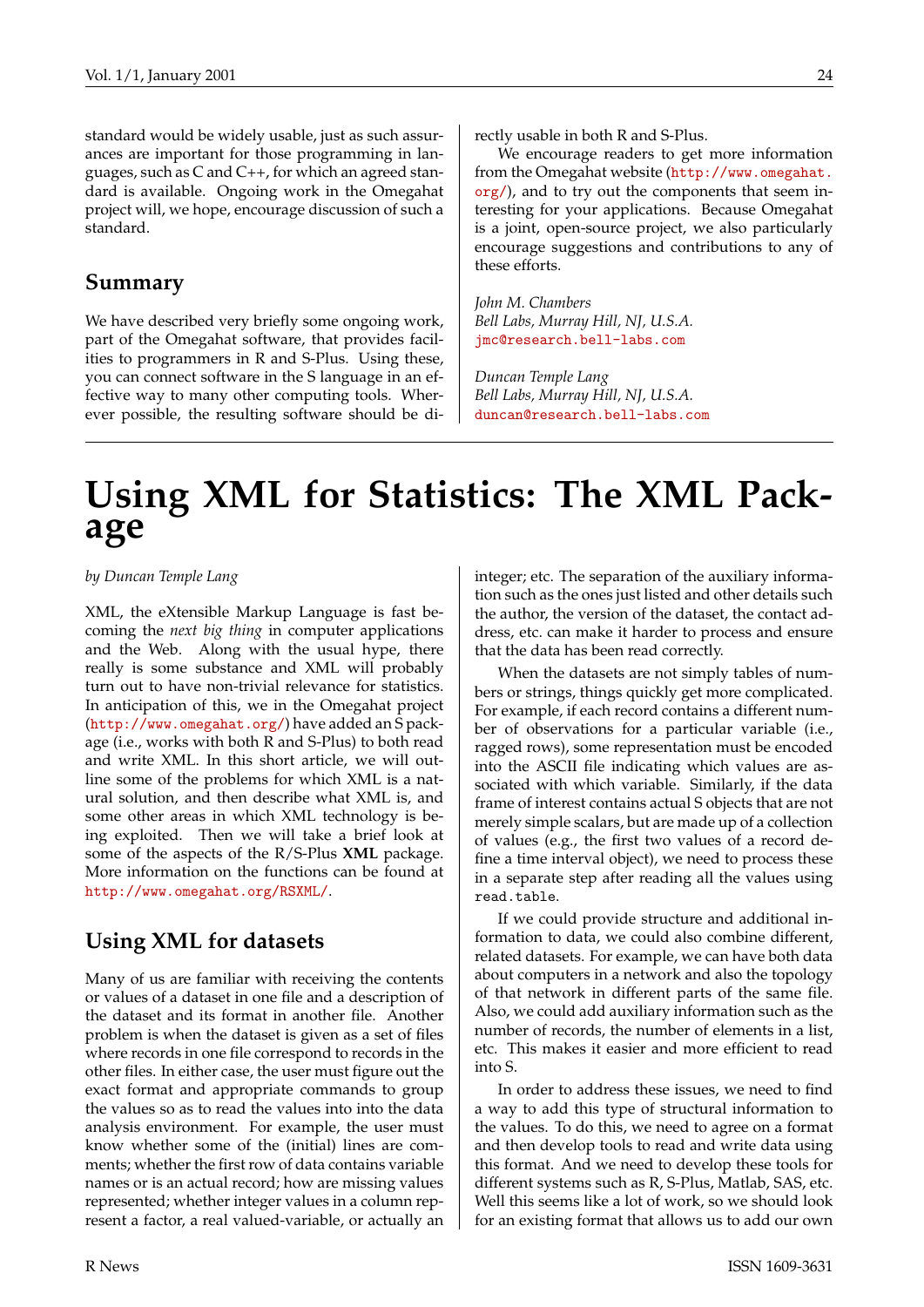standard would be widely usable, just as such assurances are important for those programming in languages, such as C and C++, for which an agreed standard is available. Ongoing work in the Omegahat project will, we hope, encourage discussion of such a standard.

### **Summary**

We have described very briefly some ongoing work, part of the Omegahat software, that provides facilities to programmers in R and S-Plus. Using these, you can connect software in the S language in an effective way to many other computing tools. Wherever possible, the resulting software should be directly usable in both R and S-Plus.

We encourage readers to get more information from the Omegahat website ([http://www.omegahat.](http://www.omegahat.org/) [org/](http://www.omegahat.org/)), and to try out the components that seem interesting for your applications. Because Omegahat is a joint, open-source project, we also particularly encourage suggestions and contributions to any of these efforts.

*John M. Chambers Bell Labs, Murray Hill, NJ, U.S.A.* [jmc@research.bell-labs.com](mailto:jmc@research.bell-labs.com)

*Duncan Temple Lang Bell Labs, Murray Hill, NJ, U.S.A.* [duncan@research.bell-labs.com](mailto:duncan@research.bell-labs.com)

## **Using XML for Statistics: The XML Package**

*by Duncan Temple Lang*

XML, the eXtensible Markup Language is fast becoming the *next big thing* in computer applications and the Web. Along with the usual hype, there really is some substance and XML will probably turn out to have non-trivial relevance for statistics. In anticipation of this, we in the Omegahat project (<http://www.omegahat.org/>) have added an S package (i.e., works with both R and S-Plus) to both read and write XML. In this short article, we will outline some of the problems for which XML is a natural solution, and then describe what XML is, and some other areas in which XML technology is being exploited. Then we will take a brief look at some of the aspects of the R/S-Plus **XML** package. More information on the functions can be found at <http://www.omegahat.org/RSXML/>.

## **Using XML for datasets**

Many of us are familiar with receiving the contents or values of a dataset in one file and a description of the dataset and its format in another file. Another problem is when the dataset is given as a set of files where records in one file correspond to records in the other files. In either case, the user must figure out the exact format and appropriate commands to group the values so as to read the values into into the data analysis environment. For example, the user must know whether some of the (initial) lines are comments; whether the first row of data contains variable names or is an actual record; how are missing values represented; whether integer values in a column represent a factor, a real valued-variable, or actually an

integer; etc. The separation of the auxiliary information such as the ones just listed and other details such the author, the version of the dataset, the contact address, etc. can make it harder to process and ensure that the data has been read correctly.

When the datasets are not simply tables of numbers or strings, things quickly get more complicated. For example, if each record contains a different number of observations for a particular variable (i.e., ragged rows), some representation must be encoded into the ASCII file indicating which values are associated with which variable. Similarly, if the data frame of interest contains actual S objects that are not merely simple scalars, but are made up of a collection of values (e.g., the first two values of a record define a time interval object), we need to process these in a separate step after reading all the values using read.table.

If we could provide structure and additional information to data, we could also combine different, related datasets. For example, we can have both data about computers in a network and also the topology of that network in different parts of the same file. Also, we could add auxiliary information such as the number of records, the number of elements in a list, etc. This makes it easier and more efficient to read into S.

In order to address these issues, we need to find a way to add this type of structural information to the values. To do this, we need to agree on a format and then develop tools to read and write data using this format. And we need to develop these tools for different systems such as R, S-Plus, Matlab, SAS, etc. Well this seems like a lot of work, so we should look for an existing format that allows us to add our own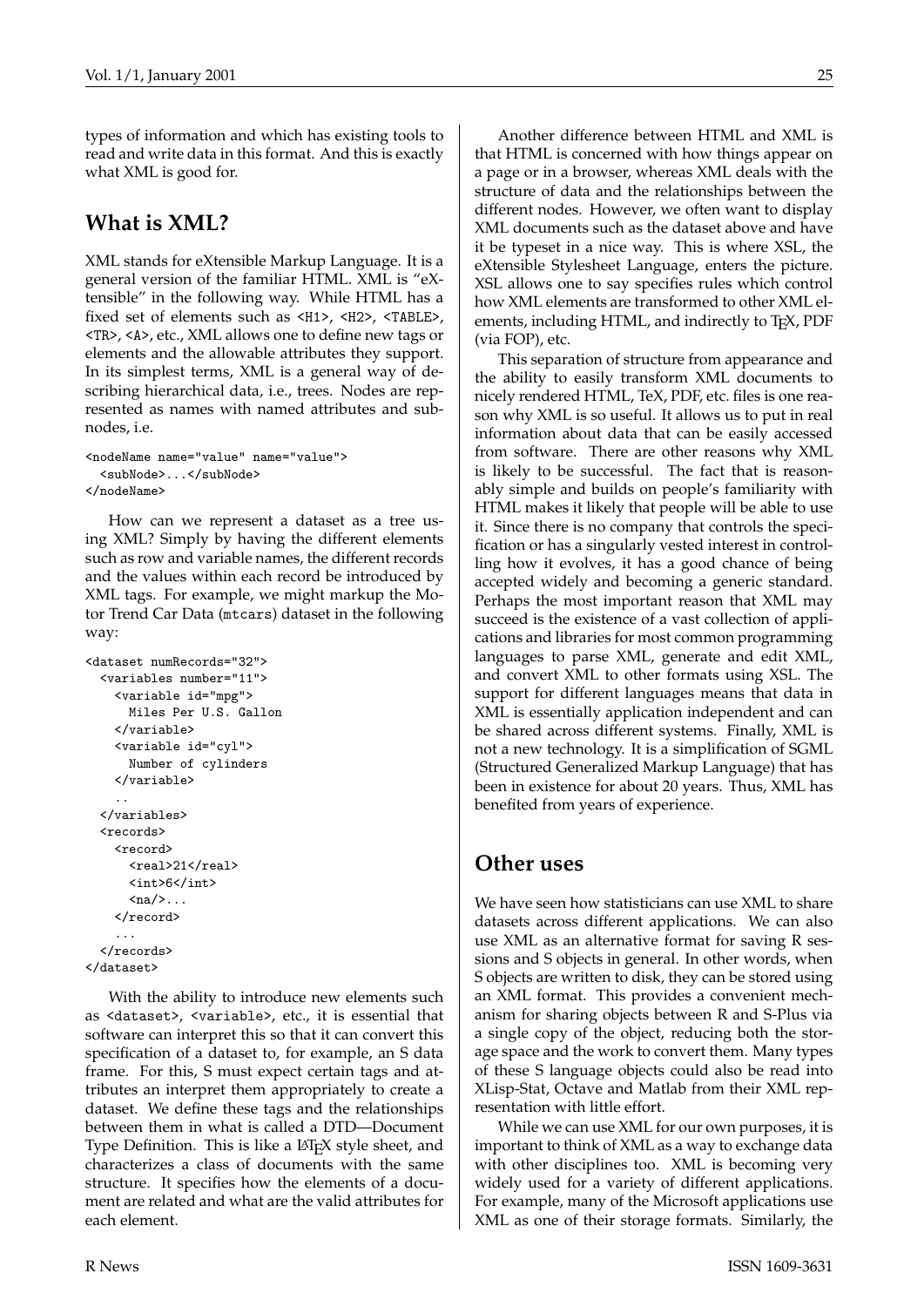types of information and which has existing tools to read and write data in this format. And this is exactly what XML is good for.

## **What is XML?**

XML stands for eXtensible Markup Language. It is a general version of the familiar HTML. XML is "eXtensible" in the following way. While HTML has a fixed set of elements such as <H1>, <H2>, <TABLE>, <TR>, <A>, etc., XML allows one to define new tags or elements and the allowable attributes they support. In its simplest terms, XML is a general way of describing hierarchical data, i.e., trees. Nodes are represented as names with named attributes and subnodes, i.e.

```
<nodeName name="value" name="value">
 <subNode>...</subNode>
</nodeName>
```
How can we represent a dataset as a tree using XML? Simply by having the different elements such as row and variable names, the different records and the values within each record be introduced by XML tags. For example, we might markup the Motor Trend Car Data (mtcars) dataset in the following way:

```
<dataset numRecords="32">
 <variables number="11">
   <variable id="mpg">
     Miles Per U.S. Gallon
    </variable>
    <variable id="cyl">
     Number of cylinders
    </variable>
    ..
 </variables>
 <records>
    <record>
      <real>21</real>
      <int>6</int>
      \langlena/>...
    </record>
    ...
  </records>
</dataset>
```
With the ability to introduce new elements such as <dataset>, <variable>, etc., it is essential that software can interpret this so that it can convert this specification of a dataset to, for example, an S data frame. For this, S must expect certain tags and attributes an interpret them appropriately to create a dataset. We define these tags and the relationships between them in what is called a DTD—Document Type Definition. This is like a LATEX style sheet, and characterizes a class of documents with the same structure. It specifies how the elements of a document are related and what are the valid attributes for each element.

Another difference between HTML and XML is that HTML is concerned with how things appear on a page or in a browser, whereas XML deals with the structure of data and the relationships between the different nodes. However, we often want to display XML documents such as the dataset above and have it be typeset in a nice way. This is where XSL, the eXtensible Stylesheet Language, enters the picture. XSL allows one to say specifies rules which control how XML elements are transformed to other XML elements, including HTML, and indirectly to T<sub>E</sub>X, PDF (via FOP), etc.

This separation of structure from appearance and the ability to easily transform XML documents to nicely rendered HTML, TeX, PDF, etc. files is one reason why XML is so useful. It allows us to put in real information about data that can be easily accessed from software. There are other reasons why XML is likely to be successful. The fact that is reasonably simple and builds on people's familiarity with HTML makes it likely that people will be able to use it. Since there is no company that controls the specification or has a singularly vested interest in controlling how it evolves, it has a good chance of being accepted widely and becoming a generic standard. Perhaps the most important reason that XML may succeed is the existence of a vast collection of applications and libraries for most common programming languages to parse XML, generate and edit XML, and convert XML to other formats using XSL. The support for different languages means that data in XML is essentially application independent and can be shared across different systems. Finally, XML is not a new technology. It is a simplification of SGML (Structured Generalized Markup Language) that has been in existence for about 20 years. Thus, XML has benefited from years of experience.

## **Other uses**

We have seen how statisticians can use XML to share datasets across different applications. We can also use XML as an alternative format for saving R sessions and S objects in general. In other words, when S objects are written to disk, they can be stored using an XML format. This provides a convenient mechanism for sharing objects between R and S-Plus via a single copy of the object, reducing both the storage space and the work to convert them. Many types of these S language objects could also be read into XLisp-Stat, Octave and Matlab from their XML representation with little effort.

While we can use XML for our own purposes, it is important to think of XML as a way to exchange data with other disciplines too. XML is becoming very widely used for a variety of different applications. For example, many of the Microsoft applications use XML as one of their storage formats. Similarly, the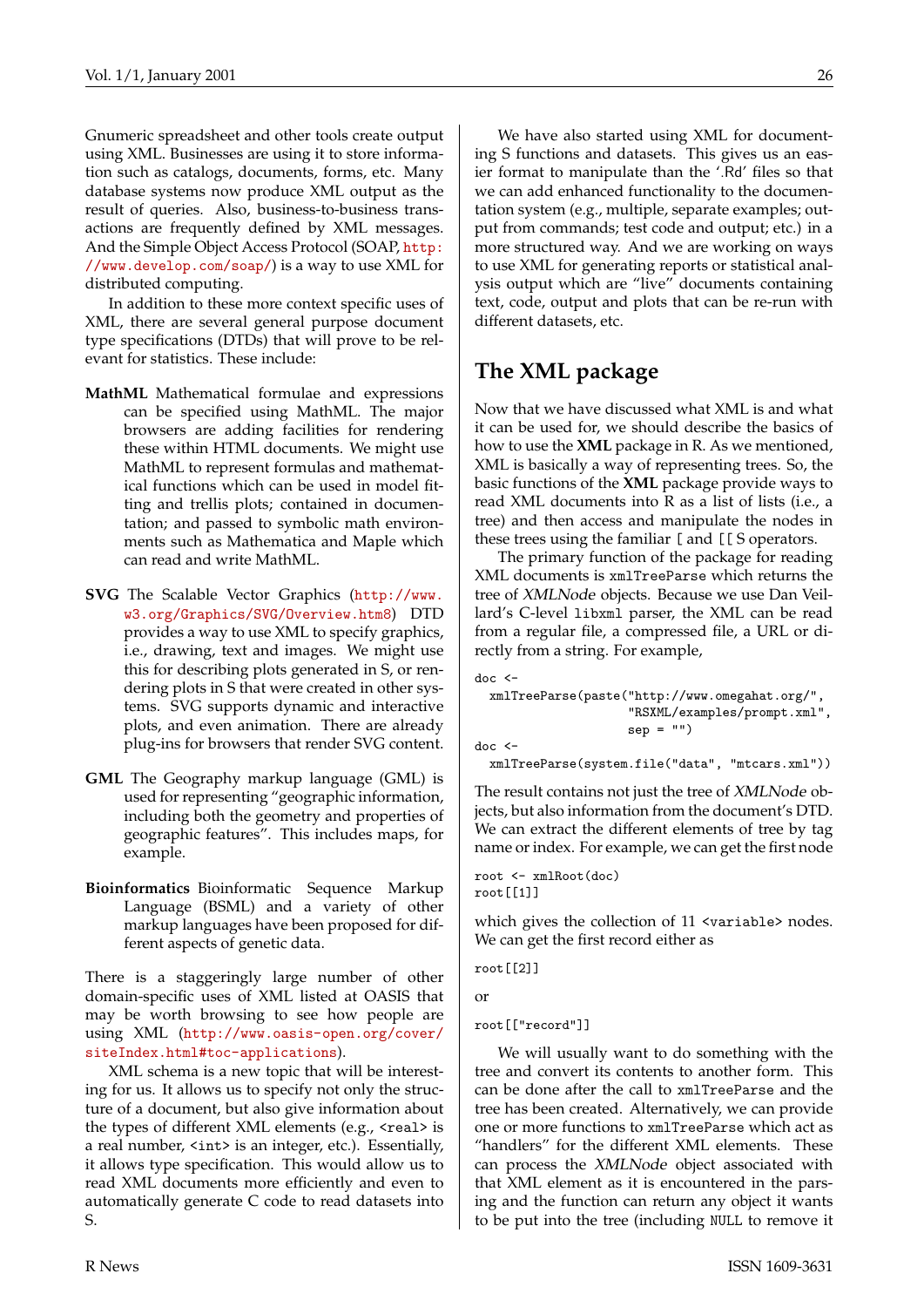Gnumeric spreadsheet and other tools create output using XML. Businesses are using it to store information such as catalogs, documents, forms, etc. Many database systems now produce XML output as the result of queries. Also, business-to-business transactions are frequently defined by XML messages. And the Simple Object Access Protocol (SOAP, [http:](http://www.develop.com/soap/) [//www.develop.com/soap/](http://www.develop.com/soap/)) is a way to use XML for distributed computing.

In addition to these more context specific uses of XML, there are several general purpose document type specifications (DTDs) that will prove to be relevant for statistics. These include:

- **MathML** Mathematical formulae and expressions can be specified using MathML. The major browsers are adding facilities for rendering these within HTML documents. We might use MathML to represent formulas and mathematical functions which can be used in model fitting and trellis plots; contained in documentation; and passed to symbolic math environments such as Mathematica and Maple which can read and write MathML.
- **SVG** The Scalable Vector Graphics ([http://www.](http://www.w3.org/Graphics/SVG/Overview.htm8) [w3.org/Graphics/SVG/Overview.htm8](http://www.w3.org/Graphics/SVG/Overview.htm8)) DTD provides a way to use XML to specify graphics, i.e., drawing, text and images. We might use this for describing plots generated in S, or rendering plots in S that were created in other systems. SVG supports dynamic and interactive plots, and even animation. There are already plug-ins for browsers that render SVG content.
- **GML** The Geography markup language (GML) is used for representing "geographic information, including both the geometry and properties of geographic features". This includes maps, for example.
- **Bioinformatics** Bioinformatic Sequence Markup Language (BSML) and a variety of other markup languages have been proposed for different aspects of genetic data.

There is a staggeringly large number of other domain-specific uses of XML listed at OASIS that may be worth browsing to see how people are using XML ([http://www.oasis-open.org/cover/](http://www.oasis-open.org/cover/siteIndex.html#toc-applications) [siteIndex.html#toc-applications](http://www.oasis-open.org/cover/siteIndex.html#toc-applications)).

XML schema is a new topic that will be interesting for us. It allows us to specify not only the structure of a document, but also give information about the types of different XML elements (e.g., <real> is a real number, <int> is an integer, etc.). Essentially, it allows type specification. This would allow us to read XML documents more efficiently and even to automatically generate C code to read datasets into S.

We have also started using XML for documenting S functions and datasets. This gives us an easier format to manipulate than the '.Rd' files so that we can add enhanced functionality to the documentation system (e.g., multiple, separate examples; output from commands; test code and output; etc.) in a more structured way. And we are working on ways to use XML for generating reports or statistical analysis output which are "live" documents containing text, code, output and plots that can be re-run with different datasets, etc.

## **The XML package**

Now that we have discussed what XML is and what it can be used for, we should describe the basics of how to use the **XML** package in R. As we mentioned, XML is basically a way of representing trees. So, the basic functions of the **XML** package provide ways to read XML documents into R as a list of lists (i.e., a tree) and then access and manipulate the nodes in these trees using the familiar [ and [[ S operators.

The primary function of the package for reading XML documents is xmlTreeParse which returns the tree of XMLNode objects. Because we use Dan Veillard's C-level libxml parser, the XML can be read from a regular file, a compressed file, a URL or directly from a string. For example,

```
doc <-
  xmlTreeParse(paste("http://www.omegahat.org/",
                      "RSXML/examples/prompt.xml",
                      sep = "")doc \leq-
  xmlTreeParse(system.file("data", "mtcars.xml"))
```
The result contains not just the tree of *XMLNode* objects, but also information from the document's DTD. We can extract the different elements of tree by tag name or index. For example, we can get the first node

root <- xmlRoot(doc) root[[1]]

which gives the collection of 11 <variable> nodes. We can get the first record either as

```
root[[2]]
```
or

```
root[["record"]]
```
We will usually want to do something with the tree and convert its contents to another form. This can be done after the call to xmlTreeParse and the tree has been created. Alternatively, we can provide one or more functions to xmlTreeParse which act as "handlers" for the different XML elements. These can process the XMLNode object associated with that XML element as it is encountered in the parsing and the function can return any object it wants to be put into the tree (including NULL to remove it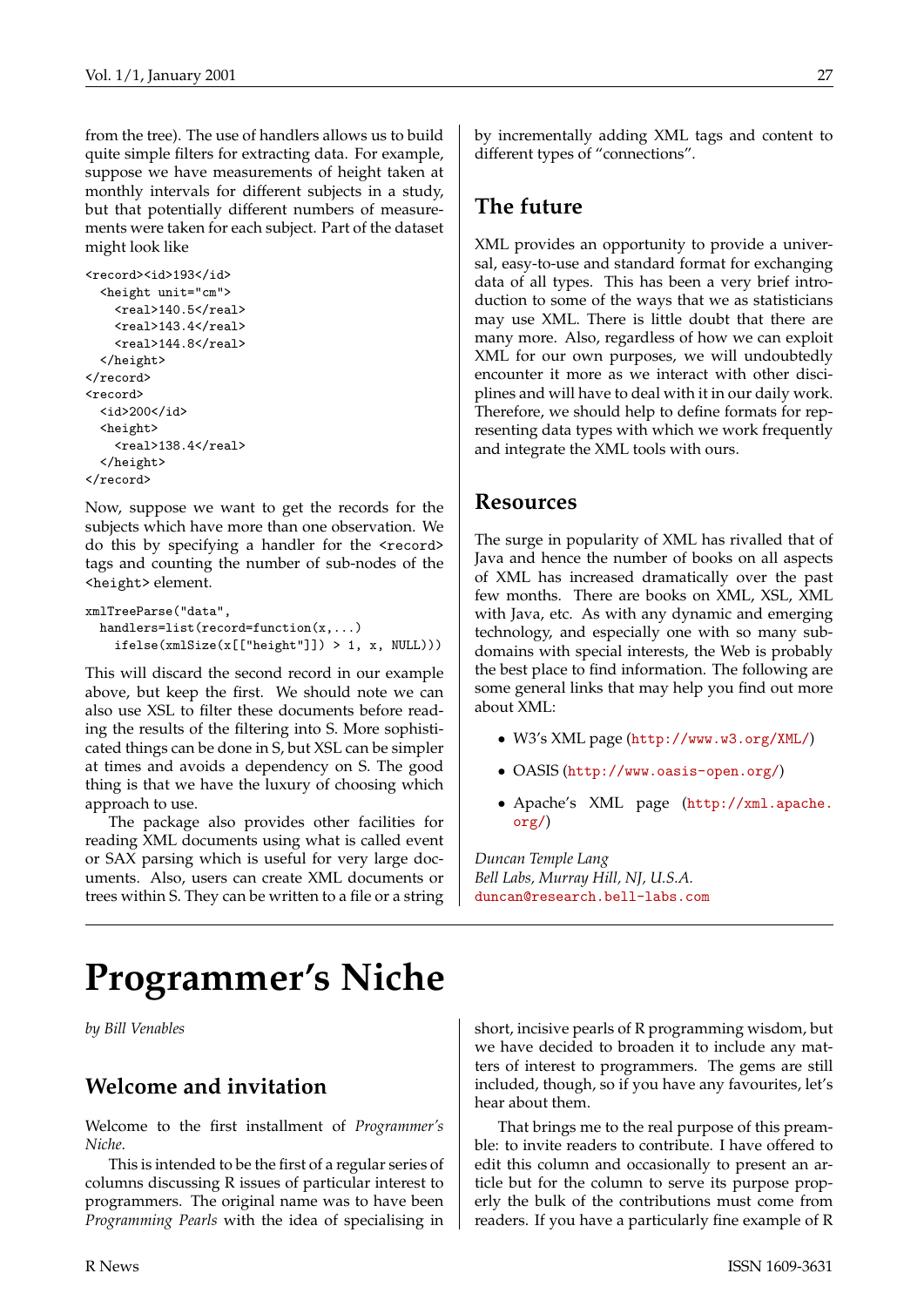from the tree). The use of handlers allows us to build quite simple filters for extracting data. For example, suppose we have measurements of height taken at monthly intervals for different subjects in a study, but that potentially different numbers of measurements were taken for each subject. Part of the dataset might look like

```
<record><id>193</id>
  <height unit="cm">
    <real>140.5</real>
    <real>143.4</real>
    <real>144.8</real>
  </height>
</record>
<record>
  <id>200</id>
  <height>
    <real>138.4</real>
  </height>
</record>
```
Now, suppose we want to get the records for the subjects which have more than one observation. We do this by specifying a handler for the <record> tags and counting the number of sub-nodes of the <height> element.

```
xmlTreeParse("data",
 handlers=list(record=function(x,...)
    ifelse(xmlSize(x[["height"]]) > 1, x, NULL)))
```
This will discard the second record in our example above, but keep the first. We should note we can also use XSL to filter these documents before reading the results of the filtering into S. More sophisticated things can be done in S, but XSL can be simpler at times and avoids a dependency on S. The good thing is that we have the luxury of choosing which approach to use.

The package also provides other facilities for reading XML documents using what is called event or SAX parsing which is useful for very large documents. Also, users can create XML documents or trees within S. They can be written to a file or a string by incrementally adding XML tags and content to different types of "connections".

## **The future**

XML provides an opportunity to provide a universal, easy-to-use and standard format for exchanging data of all types. This has been a very brief introduction to some of the ways that we as statisticians may use XML. There is little doubt that there are many more. Also, regardless of how we can exploit XML for our own purposes, we will undoubtedly encounter it more as we interact with other disciplines and will have to deal with it in our daily work. Therefore, we should help to define formats for representing data types with which we work frequently and integrate the XML tools with ours.

### **Resources**

The surge in popularity of XML has rivalled that of Java and hence the number of books on all aspects of XML has increased dramatically over the past few months. There are books on XML, XSL, XML with Java, etc. As with any dynamic and emerging technology, and especially one with so many subdomains with special interests, the Web is probably the best place to find information. The following are some general links that may help you find out more about XML:

- W3's XML page (<http://www.w3.org/XML/>)
- OASIS (<http://www.oasis-open.org/>)
- Apache's XML page ([http://xml.apache.](http://xml.apache.org/) [org/](http://xml.apache.org/))

*Duncan Temple Lang Bell Labs, Murray Hill, NJ, U.S.A.* [duncan@research.bell-labs.com](mailto:duncan@research.bell-labs.com)

## **Programmer's Niche**

*by Bill Venables*

## **Welcome and invitation**

Welcome to the first installment of *Programmer's Niche*.

This is intended to be the first of a regular series of columns discussing R issues of particular interest to programmers. The original name was to have been *Programming Pearls* with the idea of specialising in

short, incisive pearls of R programming wisdom, but we have decided to broaden it to include any matters of interest to programmers. The gems are still included, though, so if you have any favourites, let's hear about them.

That brings me to the real purpose of this preamble: to invite readers to contribute. I have offered to edit this column and occasionally to present an article but for the column to serve its purpose properly the bulk of the contributions must come from readers. If you have a particularly fine example of R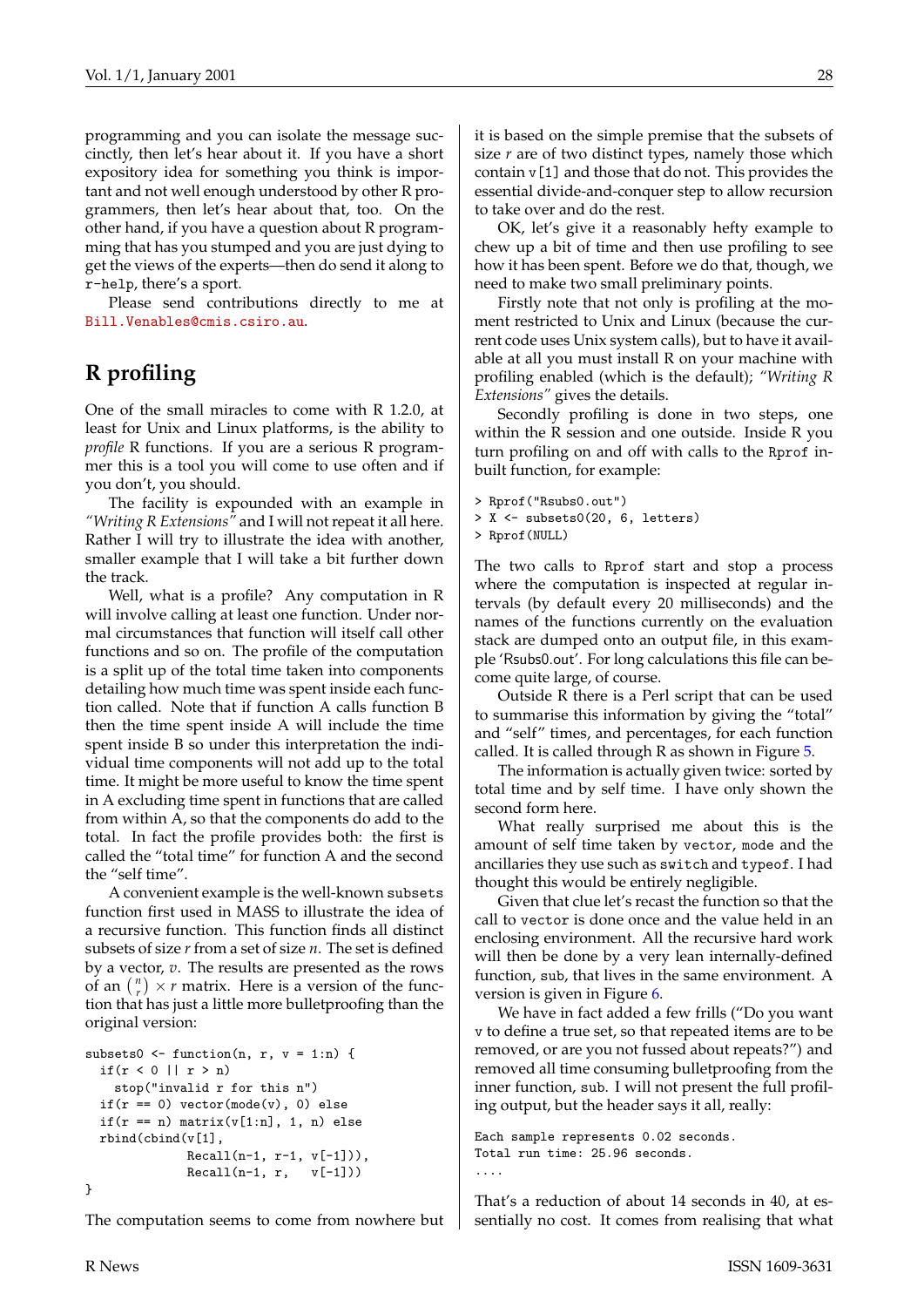programming and you can isolate the message succinctly, then let's hear about it. If you have a short expository idea for something you think is important and not well enough understood by other R programmers, then let's hear about that, too. On the other hand, if you have a question about R programming that has you stumped and you are just dying to get the views of the experts—then do send it along to r-help, there's a sport.

Please send contributions directly to me at [Bill.Venables@cmis.csiro.au](mailto:Bill.Venables@cmis.csiro.au).

## **R profiling**

One of the small miracles to come with R 1.2.0, at least for Unix and Linux platforms, is the ability to *profile* R functions. If you are a serious R programmer this is a tool you will come to use often and if you don't, you should.

The facility is expounded with an example in *"Writing R Extensions"* and I will not repeat it all here. Rather I will try to illustrate the idea with another, smaller example that I will take a bit further down the track.

Well, what is a profile? Any computation in R will involve calling at least one function. Under normal circumstances that function will itself call other functions and so on. The profile of the computation is a split up of the total time taken into components detailing how much time was spent inside each function called. Note that if function A calls function B then the time spent inside A will include the time spent inside B so under this interpretation the individual time components will not add up to the total time. It might be more useful to know the time spent in A excluding time spent in functions that are called from within A, so that the components do add to the total. In fact the profile provides both: the first is called the "total time" for function A and the second the "self time".

A convenient example is the well-known subsets function first used in MASS to illustrate the idea of a recursive function. This function finds all distinct subsets of size *r* from a set of size *n*. The set is defined by a vector, *v*. The results are presented as the rows of an  $\binom{n}{r} \times r$  matrix. Here is a version of the function that has just a little more bulletproofing than the original version:

```
subsets0 \leftarrow function(n, r, v = 1:n) {
  if(r < 0|| r > n)
    stop("invalid r for this n")
  if(r == 0) vector(model(v), 0) elseif(r == n) matrix(v[1:n], 1, n) else
  rbind(cbind(v[1],
              Recall(n-1, r-1, v[-1])),
              Recall(n-1, r, v[-1]))}
```
The computation seems to come from nowhere but

it is based on the simple premise that the subsets of size *r* are of two distinct types, namely those which contain v[1] and those that do not. This provides the essential divide-and-conquer step to allow recursion to take over and do the rest.

OK, let's give it a reasonably hefty example to chew up a bit of time and then use profiling to see how it has been spent. Before we do that, though, we need to make two small preliminary points.

Firstly note that not only is profiling at the moment restricted to Unix and Linux (because the current code uses Unix system calls), but to have it available at all you must install R on your machine with profiling enabled (which is the default); *"Writing R Extensions"* gives the details.

Secondly profiling is done in two steps, one within the R session and one outside. Inside R you turn profiling on and off with calls to the Rprof inbuilt function, for example:

- > Rprof("Rsubs0.out")
- > X <- subsets0(20, 6, letters)
- > Rprof(NULL)

The two calls to Rprof start and stop a process where the computation is inspected at regular intervals (by default every 20 milliseconds) and the names of the functions currently on the evaluation stack are dumped onto an output file, in this example 'Rsubs0.out'. For long calculations this file can become quite large, of course.

Outside R there is a Perl script that can be used to summarise this information by giving the "total" and "self" times, and percentages, for each function called. It is called through R as shown in Figure [5.](#page-28-1)

The information is actually given twice: sorted by total time and by self time. I have only shown the second form here.

What really surprised me about this is the amount of self time taken by vector, mode and the ancillaries they use such as switch and typeof. I had thought this would be entirely negligible.

Given that clue let's recast the function so that the call to vector is done once and the value held in an enclosing environment. All the recursive hard work will then be done by a very lean internally-defined function, sub, that lives in the same environment. A version is given in Figure [6.](#page-28-0)

We have in fact added a few frills ("Do you want v to define a true set, so that repeated items are to be removed, or are you not fussed about repeats?") and removed all time consuming bulletproofing from the inner function, sub. I will not present the full profiling output, but the header says it all, really:

```
Each sample represents 0.02 seconds.
Total run time: 25.96 seconds.
....
```
That's a reduction of about 14 seconds in 40, at essentially no cost. It comes from realising that what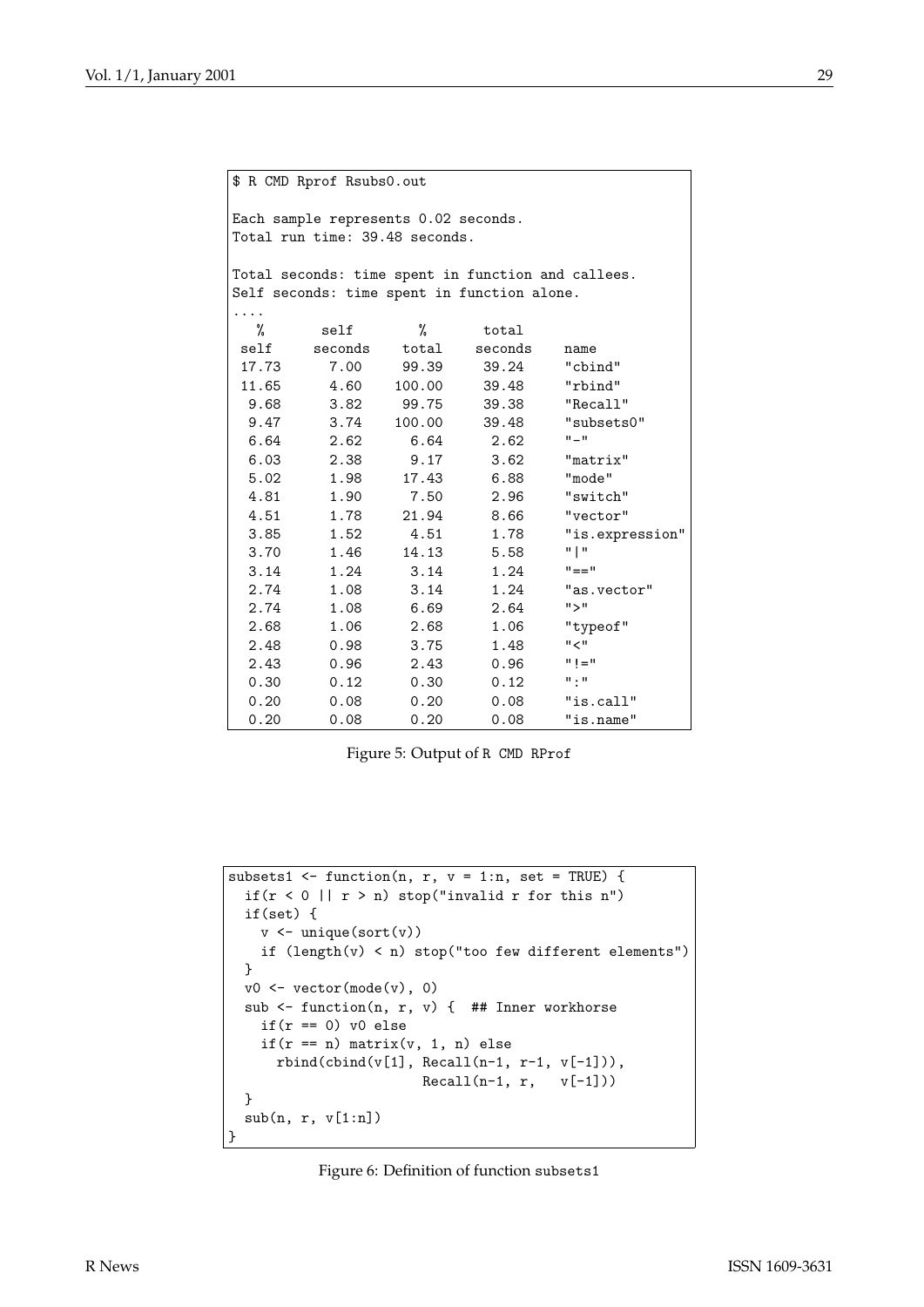|       | \$ R CMD Rprof Rsubs0.out                                              |               |                                             |                                                    |
|-------|------------------------------------------------------------------------|---------------|---------------------------------------------|----------------------------------------------------|
|       | Each sample represents 0.02 seconds.<br>Total run time: 39.48 seconds. |               |                                             |                                                    |
|       |                                                                        |               |                                             | Total seconds: time spent in function and callees. |
|       |                                                                        |               | Self seconds: time spent in function alone. |                                                    |
|       |                                                                        |               |                                             |                                                    |
| %     | self                                                                   | %             | total                                       |                                                    |
| self  |                                                                        | seconds total | seconds                                     | name                                               |
| 17.73 | 7.00                                                                   | 99.39         | 39.24                                       | "cbind"                                            |
| 11.65 | 4.60                                                                   | 100.00        | 39.48                                       | "rbind"                                            |
| 9.68  | 3.82                                                                   |               | 99.75 39.38                                 | "Recall"                                           |
| 9.47  | 3.74                                                                   | 100.00        | 39.48                                       | "subsets0"                                         |
| 6.64  | 2.62                                                                   | 6.64          | 2.62                                        | $\mathbf{u} = \mathbf{u}$                          |
| 6.03  | 2.38                                                                   | 9.17          | 3.62                                        | "matrix"                                           |
| 5.02  | 1.98                                                                   | 17.43         | 6.88                                        | "mode"                                             |
| 4.81  | 1.90                                                                   | 7.50          | 2.96                                        | "switch"                                           |
| 4.51  | 1.78                                                                   | 21.94         | 8.66                                        | "vector"                                           |
| 3.85  | 1.52                                                                   | 4.51          | 1.78                                        | "is.expression"                                    |
| 3.70  | 1.46                                                                   | 14.13         | 5.58                                        | "   "                                              |
| 3.14  | 1.24                                                                   | 3.14          | 1.24                                        | $" == "$                                           |
| 2.74  | 1.08                                                                   | 3.14          | 1.24                                        | "as.vector"                                        |
| 2.74  | 1.08                                                                   | 6.69          | 2.64                                        | "                                                  |
| 2.68  | 1.06                                                                   | 2.68          | 1.06                                        | "typeof"                                           |
| 2.48  | 0.98                                                                   | 3.75          | 1.48                                        | $"$ $<$                                            |
| 2.43  | 0.96                                                                   | 2.43          | 0.96                                        | $11 = 11$                                          |
| 0.30  | 0.12                                                                   | 0.30          | 0.12                                        | $\mathbf{u}$ , $\mathbf{u}$                        |
| 0.20  | 0.08                                                                   | 0.20          | 0.08                                        | "is.call"                                          |
| 0.20  | 0.08                                                                   | 0.20          | 0.08                                        | "is.name"                                          |

<span id="page-28-1"></span>Figure 5: Output of R CMD RProf

```
subsets1 <- function(n, r, v = 1:n, set = TRUE) {
 if(r < 0 || r > n) stop("invalid r for this n")
 if(set) {
    v \leftarrow unique(sort(v))
    if (length(v) < n) stop("too few different elements")
 }
 v0 \leftarrow vector(mode(v), 0)sub \leq function(n, r, v) { ## Inner workhorse
   if(r == 0) v0 else
   if(r == n) matrix(v, 1, n) else
      rbind(cbind(v[1], Recall(n-1, r-1, v[-1])) ,
                        Recall(n-1, r, v[-1]))}
 sub(n, r, v[1:n])
}
```
<span id="page-28-0"></span>Figure 6: Definition of function subsets1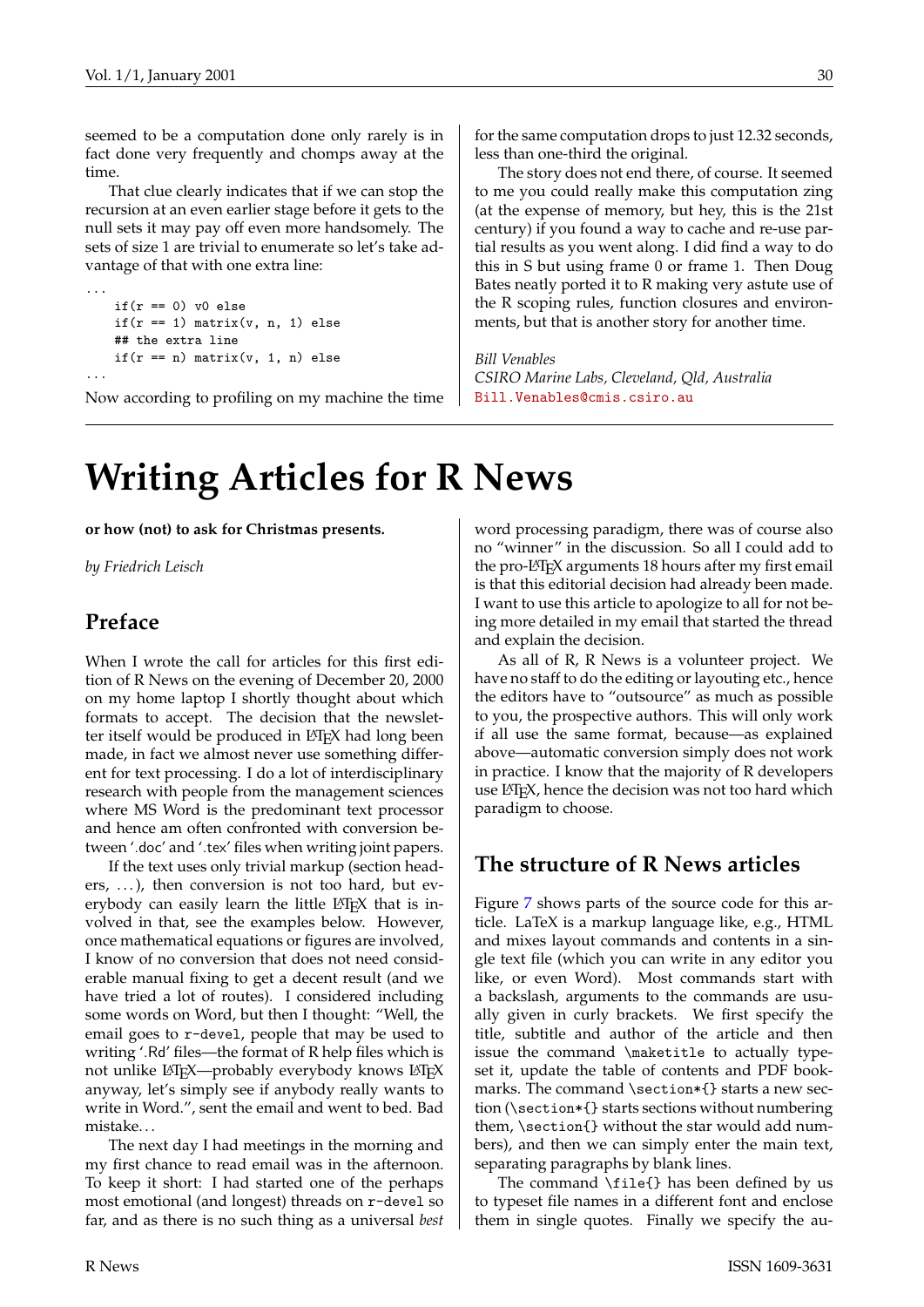seemed to be a computation done only rarely is in fact done very frequently and chomps away at the time.

That clue clearly indicates that if we can stop the recursion at an even earlier stage before it gets to the null sets it may pay off even more handsomely. The sets of size 1 are trivial to enumerate so let's take advantage of that with one extra line:

```
...
   if(r == 0) v0 else
   if(r == 1) matrix(v, n, 1) else
   ## the extra line
   if(r == n) matrix(v, 1, n) else
...
```
Now according to profiling on my machine the time

for the same computation drops to just 12.32 seconds, less than one-third the original.

The story does not end there, of course. It seemed to me you could really make this computation zing (at the expense of memory, but hey, this is the 21st century) if you found a way to cache and re-use partial results as you went along. I did find a way to do this in S but using frame 0 or frame 1. Then Doug Bates neatly ported it to R making very astute use of the R scoping rules, function closures and environments, but that is another story for another time.

*Bill Venables CSIRO Marine Labs, Cleveland, Qld, Australia* [Bill.Venables@cmis.csiro.au](mailto:Bill.Venables@cmis.csiro.au)

## **Writing Articles for R News**

**or how (not) to ask for Christmas presents.**

*by Friedrich Leisch*

## **Preface**

When I wrote the call for articles for this first edition of R News on the evening of December 20, 2000 on my home laptop I shortly thought about which formats to accept. The decision that the newsletter itself would be produced in LAT<sub>E</sub>X had long been made, in fact we almost never use something different for text processing. I do a lot of interdisciplinary research with people from the management sciences where MS Word is the predominant text processor and hence am often confronted with conversion between '.doc' and '.tex' files when writing joint papers.

If the text uses only trivial markup (section headers,  $\ldots$ ), then conversion is not too hard, but everybody can easily learn the little  $L^{\text{th}}$  that is involved in that, see the examples below. However, once mathematical equations or figures are involved, I know of no conversion that does not need considerable manual fixing to get a decent result (and we have tried a lot of routes). I considered including some words on Word, but then I thought: "Well, the email goes to r-devel, people that may be used to writing '.Rd' files—the format of R help files which is not unlike LHEX-probably everybody knows LHEX anyway, let's simply see if anybody really wants to write in Word.", sent the email and went to bed. Bad mistake. . .

The next day I had meetings in the morning and my first chance to read email was in the afternoon. To keep it short: I had started one of the perhaps most emotional (and longest) threads on r-devel so far, and as there is no such thing as a universal *best*

word processing paradigm, there was of course also no "winner" in the discussion. So all I could add to the pro-LAT<sub>E</sub>X arguments 18 hours after my first email is that this editorial decision had already been made. I want to use this article to apologize to all for not being more detailed in my email that started the thread and explain the decision.

As all of R, R News is a volunteer project. We have no staff to do the editing or layouting etc., hence the editors have to "outsource" as much as possible to you, the prospective authors. This will only work if all use the same format, because—as explained above—automatic conversion simply does not work in practice. I know that the majority of R developers use LATEX, hence the decision was not too hard which paradigm to choose.

## **The structure of R News articles**

Figure [7](#page-30-0) shows parts of the source code for this article. LaTeX is a markup language like, e.g., HTML and mixes layout commands and contents in a single text file (which you can write in any editor you like, or even Word). Most commands start with a backslash, arguments to the commands are usually given in curly brackets. We first specify the title, subtitle and author of the article and then issue the command \maketitle to actually typeset it, update the table of contents and PDF bookmarks. The command \section\*{} starts a new section (\section\*{} starts sections without numbering them, \section{} without the star would add numbers), and then we can simply enter the main text, separating paragraphs by blank lines.

The command \file{} has been defined by us to typeset file names in a different font and enclose them in single quotes. Finally we specify the au-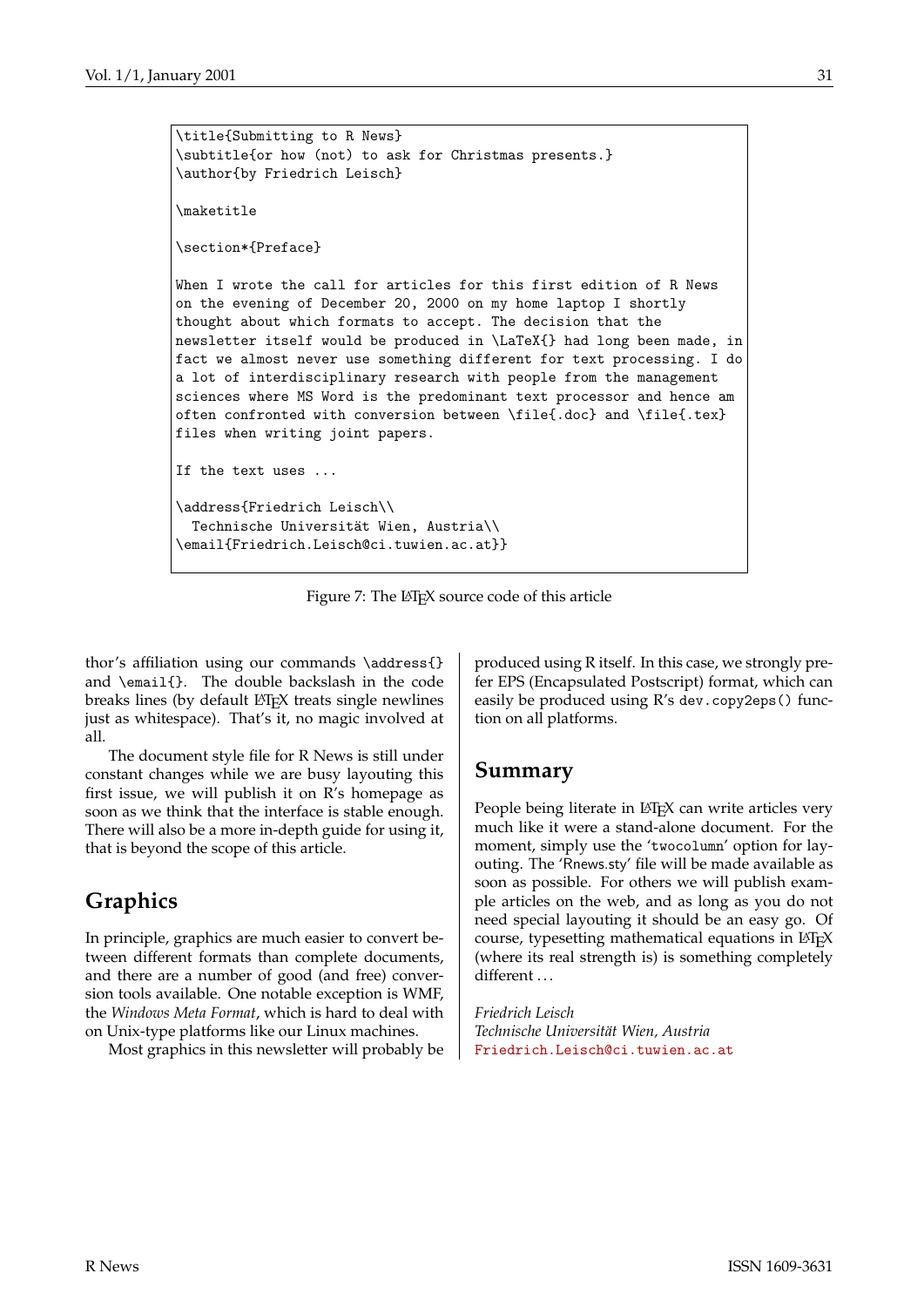```
\title{Submitting to R News}
\subtitle{or how (not) to ask for Christmas presents.}
\author{by Friedrich Leisch}
\maketitle
\section*{Preface}
When I wrote the call for articles for this first edition of R News
on the evening of December 20, 2000 on my home laptop I shortly
thought about which formats to accept. The decision that the
newsletter itself would be produced in \LaTeX{} had long been made, in
fact we almost never use something different for text processing. I do
a lot of interdisciplinary research with people from the management
sciences where MS Word is the predominant text processor and hence am
often confronted with conversion between \file{.doc} and \file{.tex}
files when writing joint papers.
If the text uses ...
\address{Friedrich Leisch\\
  Technische Universität Wien, Austria\\
\email{Friedrich.Leisch@ci.tuwien.ac.at}}
```
Figure 7: The LAT<sub>E</sub>X source code of this article

thor's affiliation using our commands \address{} and \email{}. The double backslash in the code breaks lines (by default LAT<sub>E</sub>X treats single newlines just as whitespace). That's it, no magic involved at all.

The document style file for R News is still under constant changes while we are busy layouting this first issue, we will publish it on R's homepage as soon as we think that the interface is stable enough. There will also be a more in-depth guide for using it, that is beyond the scope of this article.

## **Graphics**

In principle, graphics are much easier to convert between different formats than complete documents, and there are a number of good (and free) conversion tools available. One notable exception is WMF, the *Windows Meta Format*, which is hard to deal with on Unix-type platforms like our Linux machines.

Most graphics in this newsletter will probably be

<span id="page-30-0"></span>produced using R itself. In this case, we strongly prefer EPS (Encapsulated Postscript) format, which can easily be produced using R's dev.copy2eps() function on all platforms.

### **Summary**

People being literate in LAT<sub>E</sub>X can write articles very much like it were a stand-alone document. For the moment, simply use the 'twocolumn' option for layouting. The 'Rnews.sty' file will be made available as soon as possible. For others we will publish example articles on the web, and as long as you do not need special layouting it should be an easy go. Of course, typesetting mathematical equations in  $\mathbb{F}$ <sub>F</sub>X (where its real strength is) is something completely different ...

*Friedrich Leisch Technische Universität Wien, Austria* [Friedrich.Leisch@ci.tuwien.ac.at](mailto:Friedrich.Leisch@ci.tuwien.ac.at)